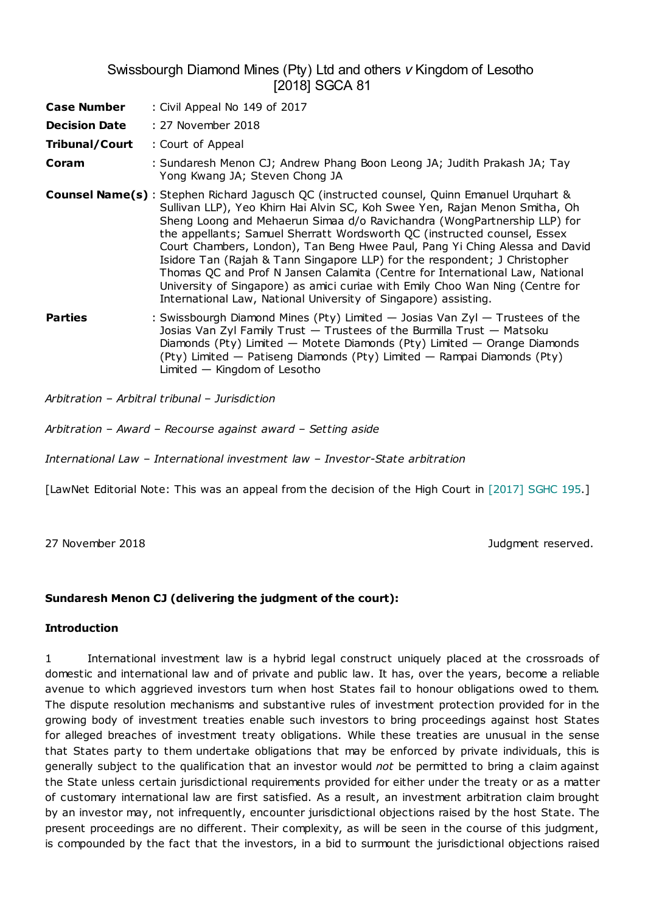# Swissbourgh Diamond Mines (Pty) Ltd and others *v* Kingdom of Lesotho [2018] SGCA 81

| <b>Case Number</b>   | : Civil Appeal No 149 of 2017                                                                                                                                                                                                                                                                                                                                                                                                                                                                                                                                                                                                                                                                                                             |
|----------------------|-------------------------------------------------------------------------------------------------------------------------------------------------------------------------------------------------------------------------------------------------------------------------------------------------------------------------------------------------------------------------------------------------------------------------------------------------------------------------------------------------------------------------------------------------------------------------------------------------------------------------------------------------------------------------------------------------------------------------------------------|
| <b>Decision Date</b> | : 27 November 2018                                                                                                                                                                                                                                                                                                                                                                                                                                                                                                                                                                                                                                                                                                                        |
| Tribunal/Court       | : Court of Appeal                                                                                                                                                                                                                                                                                                                                                                                                                                                                                                                                                                                                                                                                                                                         |
| Coram                | : Sundaresh Menon CJ; Andrew Phang Boon Leong JA; Judith Prakash JA; Tay<br>Yong Kwang JA; Steven Chong JA                                                                                                                                                                                                                                                                                                                                                                                                                                                                                                                                                                                                                                |
|                      | <b>Counsel Name(s)</b> : Stephen Richard Jagusch QC (instructed counsel, Quinn Emanuel Urquhart &<br>Sullivan LLP), Yeo Khirn Hai Alvin SC, Koh Swee Yen, Rajan Menon Smitha, Oh<br>Sheng Loong and Mehaerun Simaa d/o Ravichandra (WongPartnership LLP) for<br>the appellants; Samuel Sherratt Wordsworth QC (instructed counsel, Essex<br>Court Chambers, London), Tan Beng Hwee Paul, Pang Yi Ching Alessa and David<br>Isidore Tan (Rajah & Tann Singapore LLP) for the respondent; J Christopher<br>Thomas QC and Prof N Jansen Calamita (Centre for International Law, National<br>University of Singapore) as amici curiae with Emily Choo Wan Ning (Centre for<br>International Law, National University of Singapore) assisting. |
| <b>Parties</b>       | : Swissbourgh Diamond Mines (Pty) Limited $-$ Josias Van Zyl $-$ Trustees of the<br>Josias Van Zyl Family Trust - Trustees of the Burmilla Trust - Matsoku<br>Diamonds (Pty) Limited - Motete Diamonds (Pty) Limited - Orange Diamonds<br>(Pty) Limited — Patiseng Diamonds (Pty) Limited — Rampai Diamonds (Pty)<br>Limited $-$ Kingdom of Lesotho                                                                                                                                                                                                                                                                                                                                                                                       |

*Arbitration* – *Arbitral tribunal* – *Jurisdiction*

*Arbitration* – *Award* – *Recourse against award* – *Setting aside*

*International Law* – *International investment law* – *Investor-State arbitration*

[LawNet Editorial Note: This was an appeal from the decision of the High Court in [2017] SGHC 195.]

27 November 2018 Judgment reserved.

### **Sundaresh Menon CJ (delivering the judgment of the court):**

### **Introduction**

1 International investment law is a hybrid legal construct uniquely placed at the crossroads of domestic and international law and of private and public law. It has, over the years, become a reliable avenue to which aggrieved investors turn when host States fail to honour obligations owed to them. The dispute resolution mechanisms and substantive rules of investment protection provided for in the growing body of investment treaties enable such investors to bring proceedings against host States for alleged breaches of investment treaty obligations. While these treaties are unusual in the sense that States party to them undertake obligations that may be enforced by private individuals, this is generally subject to the qualification that an investor would *not* be permitted to bring a claim against the State unless certain jurisdictional requirements provided for either under the treaty or as a matter of customary international law are first satisfied. As a result, an investment arbitration claim brought by an investor may, not infrequently, encounter jurisdictional objections raised by the host State. The present proceedings are no different. Their complexity, as will be seen in the course of this judgment, is compounded by the fact that the investors, in a bid to surmount the jurisdictional objections raised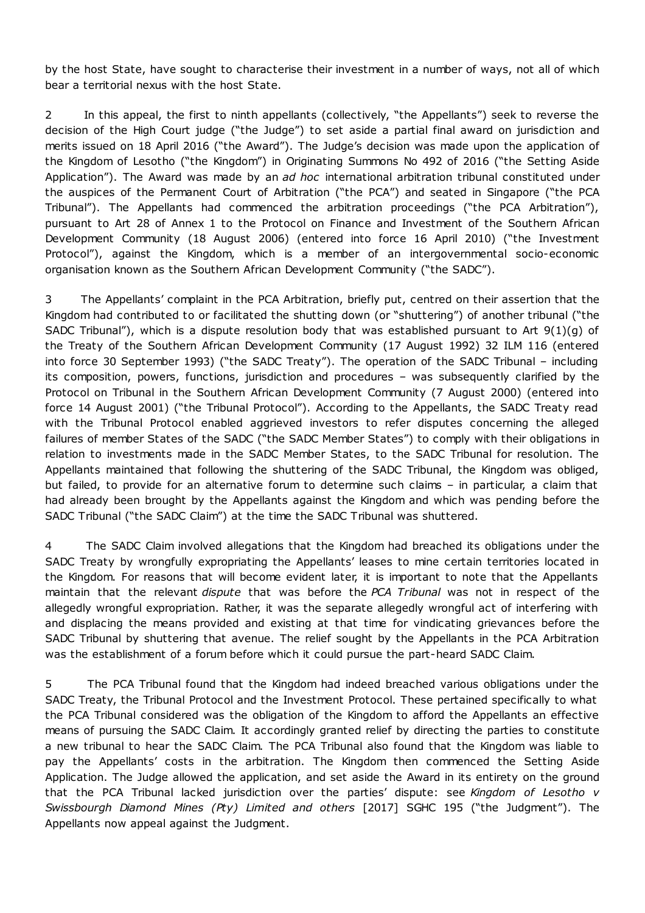by the host State, have sought to characterise their investment in a number of ways, not all of which bear a territorial nexus with the host State.

2 In this appeal, the first to ninth appellants (collectively, "the Appellants") seek to reverse the decision of the High Court judge ("the Judge") to set aside a partial final award on jurisdiction and merits issued on 18 April 2016 ("the Award"). The Judge's decision was made upon the application of the Kingdom of Lesotho ("the Kingdom") in Originating Summons No 492 of 2016 ("the Setting Aside Application"). The Award was made by an *ad hoc* international arbitration tribunal constituted under the auspices of the Permanent Court of Arbitration ("the PCA") and seated in Singapore ("the PCA Tribunal"). The Appellants had commenced the arbitration proceedings ("the PCA Arbitration"), pursuant to Art 28 of Annex 1 to the Protocol on Finance and Investment of the Southern African Development Community (18 August 2006) (entered into force 16 April 2010) ("the Investment Protocol"), against the Kingdom, which is a member of an intergovernmental socio-economic organisation known as the Southern African Development Community ("the SADC").

3 The Appellants' complaint in the PCA Arbitration, briefly put, centred on their assertion that the Kingdom had contributed to or facilitated the shutting down (or "shuttering") of another tribunal ("the SADC Tribunal"), which is a dispute resolution body that was established pursuant to Art 9(1)(g) of the Treaty of the Southern African Development Community (17 August 1992) 32 ILM 116 (entered into force 30 September 1993) ("the SADC Treaty"). The operation of the SADC Tribunal – including its composition, powers, functions, jurisdiction and procedures – was subsequently clarified by the Protocol on Tribunal in the Southern African Development Community (7 August 2000) (entered into force 14 August 2001) ("the Tribunal Protocol"). According to the Appellants, the SADC Treaty read with the Tribunal Protocol enabled aggrieved investors to refer disputes concerning the alleged failures of member States of the SADC ("the SADC Member States") to comply with their obligations in relation to investments made in the SADC Member States, to the SADC Tribunal for resolution. The Appellants maintained that following the shuttering of the SADC Tribunal, the Kingdom was obliged, but failed, to provide for an alternative forum to determine such claims – in particular, a claim that had already been brought by the Appellants against the Kingdom and which was pending before the SADC Tribunal ("the SADC Claim") at the time the SADC Tribunal was shuttered.

4 The SADC Claim involved allegations that the Kingdom had breached its obligations under the SADC Treaty by wrongfully expropriating the Appellants' leases to mine certain territories located in the Kingdom. For reasons that will become evident later, it is important to note that the Appellants maintain that the relevant *dispute* that was before the *PCA Tribunal* was not in respect of the allegedly wrongful expropriation. Rather, it was the separate allegedly wrongful act of interfering with and displacing the means provided and existing at that time for vindicating grievances before the SADC Tribunal by shuttering that avenue. The relief sought by the Appellants in the PCA Arbitration was the establishment of a forum before which it could pursue the part-heard SADC Claim.

5 The PCA Tribunal found that the Kingdom had indeed breached various obligations under the SADC Treaty, the Tribunal Protocol and the Investment Protocol. These pertained specifically to what the PCA Tribunal considered was the obligation of the Kingdom to afford the Appellants an effective means of pursuing the SADC Claim. It accordingly granted relief by directing the parties to constitute a new tribunal to hear the SADC Claim. The PCA Tribunal also found that the Kingdom was liable to pay the Appellants' costs in the arbitration. The Kingdom then commenced the Setting Aside Application. The Judge allowed the application, and set aside the Award in its entirety on the ground that the PCA Tribunal lacked jurisdiction over the parties' dispute: see *Kingdom of Lesotho v Swissbourgh Diamond Mines (Pty) Limited and others* [2017] SGHC 195 ("the Judgment"). The Appellants now appeal against the Judgment.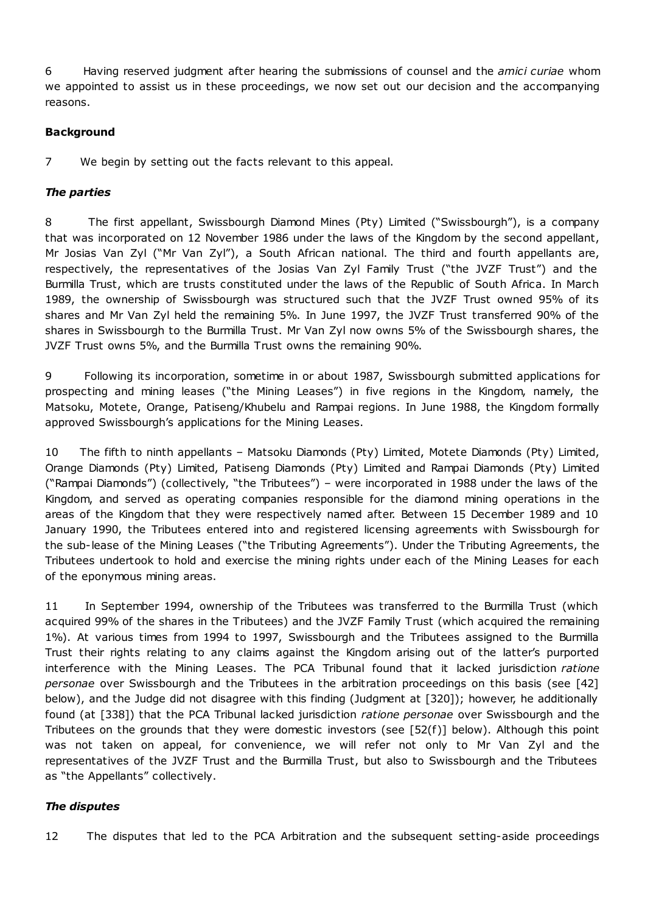6 Having reserved judgment after hearing the submissions of counsel and the *amici curiae* whom we appointed to assist us in these proceedings, we now set out our decision and the accompanying reasons.

## **Background**

7 We begin by setting out the facts relevant to this appeal.

## *The parties*

8 The first appellant, Swissbourgh Diamond Mines (Pty) Limited ("Swissbourgh"), is a company that was incorporated on 12 November 1986 under the laws of the Kingdom by the second appellant, Mr Josias Van Zyl ("Mr Van Zyl"), a South African national. The third and fourth appellants are, respectively, the representatives of the Josias Van Zyl Family Trust ("the JVZF Trust") and the Burmilla Trust, which are trusts constituted under the laws of the Republic of South Africa. In March 1989, the ownership of Swissbourgh was structured such that the JVZF Trust owned 95% of its shares and Mr Van Zyl held the remaining 5%. In June 1997, the JVZF Trust transferred 90% of the shares in Swissbourgh to the Burmilla Trust. Mr Van Zyl now owns 5% of the Swissbourgh shares, the JVZF Trust owns 5%, and the Burmilla Trust owns the remaining 90%.

9 Following its incorporation, sometime in or about 1987, Swissbourgh submitted applications for prospecting and mining leases ("the Mining Leases") in five regions in the Kingdom, namely, the Matsoku, Motete, Orange, Patiseng/Khubelu and Rampai regions. In June 1988, the Kingdom formally approved Swissbourgh's applications for the Mining Leases.

10 The fifth to ninth appellants – Matsoku Diamonds (Pty) Limited, Motete Diamonds (Pty) Limited, Orange Diamonds (Pty) Limited, Patiseng Diamonds (Pty) Limited and Rampai Diamonds (Pty) Limited ("Rampai Diamonds") (collectively, "the Tributees") – were incorporated in 1988 under the laws of the Kingdom, and served as operating companies responsible for the diamond mining operations in the areas of the Kingdom that they were respectively named after. Between 15 December 1989 and 10 January 1990, the Tributees entered into and registered licensing agreements with Swissbourgh for the sub-lease of the Mining Leases ("the Tributing Agreements"). Under the Tributing Agreements, the Tributees undertook to hold and exercise the mining rights under each of the Mining Leases for each of the eponymous mining areas.

11 In September 1994, ownership of the Tributees was transferred to the Burmilla Trust (which acquired 99% of the shares in the Tributees) and the JVZF Family Trust (which acquired the remaining 1%). At various times from 1994 to 1997, Swissbourgh and the Tributees assigned to the Burmilla Trust their rights relating to any claims against the Kingdom arising out of the latter's purported interference with the Mining Leases. The PCA Tribunal found that it lacked jurisdiction *ratione personae* over Swissbourgh and the Tributees in the arbitration proceedings on this basis (see [42] below), and the Judge did not disagree with this finding (Judgment at [320]); however, he additionally found (at [338]) that the PCA Tribunal lacked jurisdiction *ratione personae* over Swissbourgh and the Tributees on the grounds that they were domestic investors (see [52(f)] below). Although this point was not taken on appeal, for convenience, we will refer not only to Mr Van Zyl and the representatives of the JVZF Trust and the Burmilla Trust, but also to Swissbourgh and the Tributees as "the Appellants" collectively.

### *The disputes*

12 The disputes that led to the PCA Arbitration and the subsequent setting-aside proceedings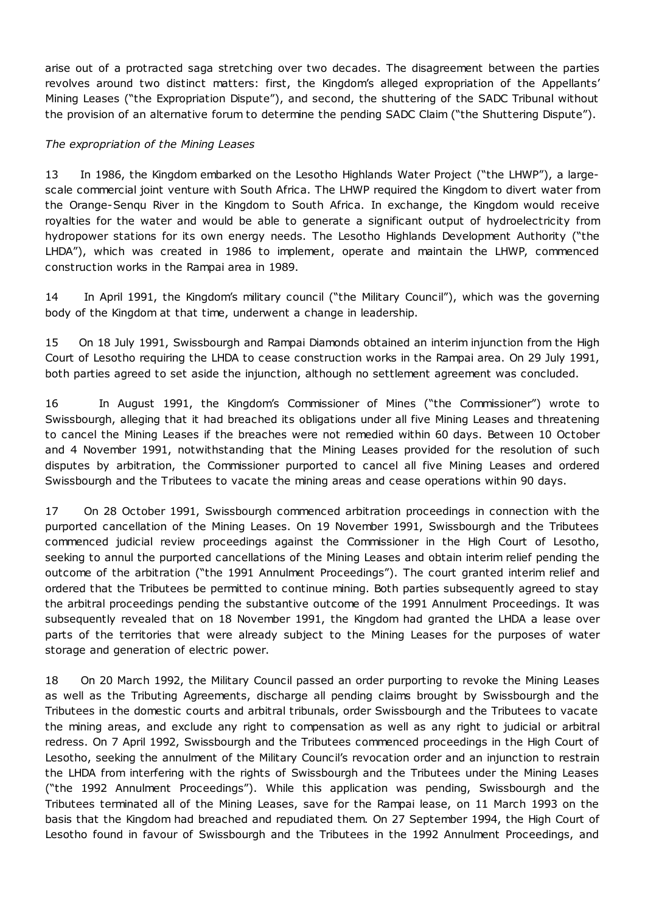arise out of a protracted saga stretching over two decades. The disagreement between the parties revolves around two distinct matters: first, the Kingdom's alleged expropriation of the Appellants' Mining Leases ("the Expropriation Dispute"), and second, the shuttering of the SADC Tribunal without the provision of an alternative forum to determine the pending SADC Claim ("the Shuttering Dispute").

### *The expropriation of the Mining Leases*

13 In 1986, the Kingdom embarked on the Lesotho Highlands Water Project ("the LHWP"), a largescale commercial joint venture with South Africa. The LHWP required the Kingdom to divert water from the Orange-Senqu River in the Kingdom to South Africa. In exchange, the Kingdom would receive royalties for the water and would be able to generate a significant output of hydroelectricity from hydropower stations for its own energy needs. The Lesotho Highlands Development Authority ("the LHDA"), which was created in 1986 to implement, operate and maintain the LHWP, commenced construction works in the Rampai area in 1989.

14 In April 1991, the Kingdom's military council ("the Military Council"), which was the governing body of the Kingdom at that time, underwent a change in leadership.

15 On 18 July 1991, Swissbourgh and Rampai Diamonds obtained an interim injunction from the High Court of Lesotho requiring the LHDA to cease construction works in the Rampai area. On 29 July 1991, both parties agreed to set aside the injunction, although no settlement agreement was concluded.

16 In August 1991, the Kingdom's Commissioner of Mines ("the Commissioner") wrote to Swissbourgh, alleging that it had breached its obligations under all five Mining Leases and threatening to cancel the Mining Leases if the breaches were not remedied within 60 days. Between 10 October and 4 November 1991, notwithstanding that the Mining Leases provided for the resolution of such disputes by arbitration, the Commissioner purported to cancel all five Mining Leases and ordered Swissbourgh and the Tributees to vacate the mining areas and cease operations within 90 days.

17 On 28 October 1991, Swissbourgh commenced arbitration proceedings in connection with the purported cancellation of the Mining Leases. On 19 November 1991, Swissbourgh and the Tributees commenced judicial review proceedings against the Commissioner in the High Court of Lesotho, seeking to annul the purported cancellations of the Mining Leases and obtain interim relief pending the outcome of the arbitration ("the 1991 Annulment Proceedings"). The court granted interim relief and ordered that the Tributees be permitted to continue mining. Both parties subsequently agreed to stay the arbitral proceedings pending the substantive outcome of the 1991 Annulment Proceedings. It was subsequently revealed that on 18 November 1991, the Kingdom had granted the LHDA a lease over parts of the territories that were already subject to the Mining Leases for the purposes of water storage and generation of electric power.

18 On 20 March 1992, the Military Council passed an order purporting to revoke the Mining Leases as well as the Tributing Agreements, discharge all pending claims brought by Swissbourgh and the Tributees in the domestic courts and arbitral tribunals, order Swissbourgh and the Tributees to vacate the mining areas, and exclude any right to compensation as well as any right to judicial or arbitral redress. On 7 April 1992, Swissbourgh and the Tributees commenced proceedings in the High Court of Lesotho, seeking the annulment of the Military Council's revocation order and an injunction to restrain the LHDA from interfering with the rights of Swissbourgh and the Tributees under the Mining Leases ("the 1992 Annulment Proceedings"). While this application was pending, Swissbourgh and the Tributees terminated all of the Mining Leases, save for the Rampai lease, on 11 March 1993 on the basis that the Kingdom had breached and repudiated them. On 27 September 1994, the High Court of Lesotho found in favour of Swissbourgh and the Tributees in the 1992 Annulment Proceedings, and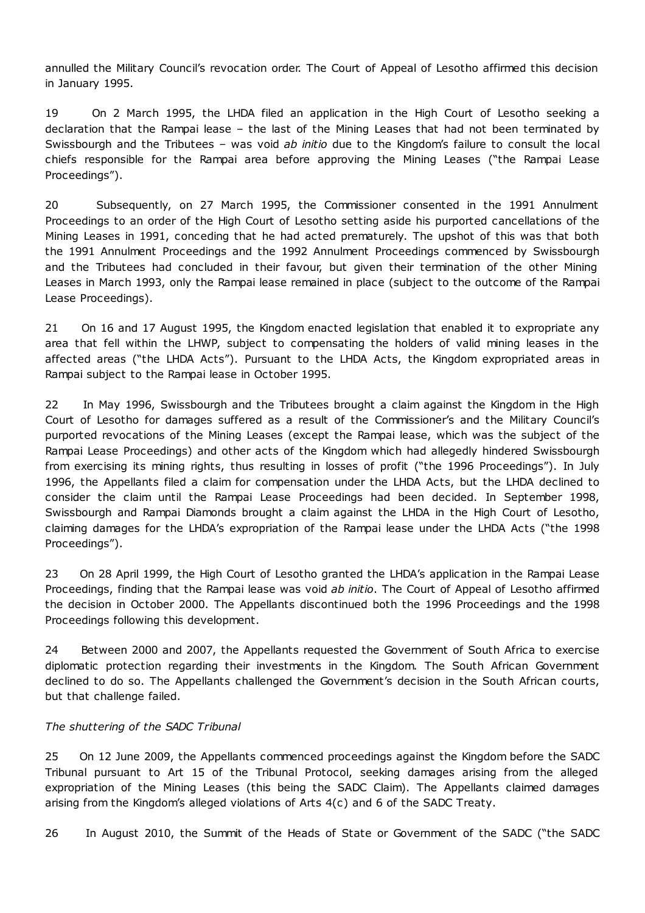annulled the Military Council's revocation order. The Court of Appeal of Lesotho affirmed this decision in January 1995.

19 On 2 March 1995, the LHDA filed an application in the High Court of Lesotho seeking a declaration that the Rampai lease – the last of the Mining Leases that had not been terminated by Swissbourgh and the Tributees – was void *ab initio* due to the Kingdom's failure to consult the local chiefs responsible for the Rampai area before approving the Mining Leases ("the Rampai Lease Proceedings").

20 Subsequently, on 27 March 1995, the Commissioner consented in the 1991 Annulment Proceedings to an order of the High Court of Lesotho setting aside his purported cancellations of the Mining Leases in 1991, conceding that he had acted prematurely. The upshot of this was that both the 1991 Annulment Proceedings and the 1992 Annulment Proceedings commenced by Swissbourgh and the Tributees had concluded in their favour, but given their termination of the other Mining Leases in March 1993, only the Rampai lease remained in place (subject to the outcome of the Rampai Lease Proceedings).

21 On 16 and 17 August 1995, the Kingdom enacted legislation that enabled it to expropriate any area that fell within the LHWP, subject to compensating the holders of valid mining leases in the affected areas ("the LHDA Acts"). Pursuant to the LHDA Acts, the Kingdom expropriated areas in Rampai subject to the Rampai lease in October 1995.

22 In May 1996, Swissbourgh and the Tributees brought a claim against the Kingdom in the High Court of Lesotho for damages suffered as a result of the Commissioner's and the Military Council's purported revocations of the Mining Leases (except the Rampai lease, which was the subject of the Rampai Lease Proceedings) and other acts of the Kingdom which had allegedly hindered Swissbourgh from exercising its mining rights, thus resulting in losses of profit ("the 1996 Proceedings"). In July 1996, the Appellants filed a claim for compensation under the LHDA Acts, but the LHDA declined to consider the claim until the Rampai Lease Proceedings had been decided. In September 1998, Swissbourgh and Rampai Diamonds brought a claim against the LHDA in the High Court of Lesotho, claiming damages for the LHDA's expropriation of the Rampai lease under the LHDA Acts ("the 1998 Proceedings").

23 On 28 April 1999, the High Court of Lesotho granted the LHDA's application in the Rampai Lease Proceedings, finding that the Rampai lease was void *ab initio*. The Court of Appeal of Lesotho affirmed the decision in October 2000. The Appellants discontinued both the 1996 Proceedings and the 1998 Proceedings following this development.

24 Between 2000 and 2007, the Appellants requested the Government of South Africa to exercise diplomatic protection regarding their investments in the Kingdom. The South African Government declined to do so. The Appellants challenged the Government's decision in the South African courts, but that challenge failed.

### *The shuttering of the SADC Tribunal*

25 On 12 June 2009, the Appellants commenced proceedings against the Kingdom before the SADC Tribunal pursuant to Art 15 of the Tribunal Protocol, seeking damages arising from the alleged expropriation of the Mining Leases (this being the SADC Claim). The Appellants claimed damages arising from the Kingdom's alleged violations of Arts 4(c) and 6 of the SADC Treaty.

26 In August 2010, the Summit of the Heads of State or Government of the SADC ("the SADC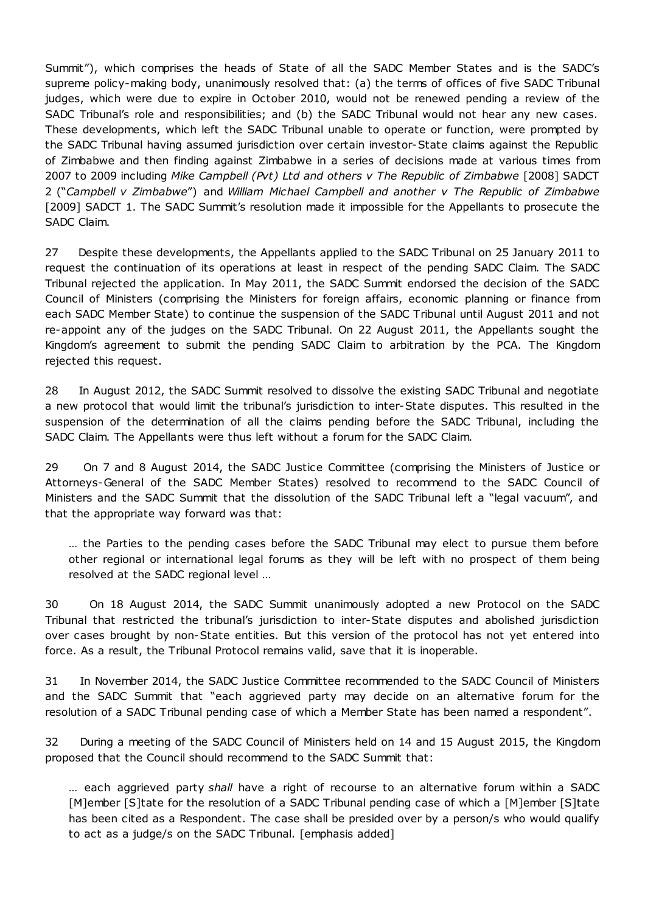Summit"), which comprises the heads of State of all the SADC Member States and is the SADC's supreme policy-making body, unanimously resolved that: (a) the terms of offices of five SADC Tribunal judges, which were due to expire in October 2010, would not be renewed pending a review of the SADC Tribunal's role and responsibilities; and (b) the SADC Tribunal would not hear any new cases. These developments, which left the SADC Tribunal unable to operate or function, were prompted by the SADC Tribunal having assumed jurisdiction over certain investor-State claims against the Republic of Zimbabwe and then finding against Zimbabwe in a series of decisions made at various times from 2007 to 2009 including *Mike Campbell (Pvt) Ltd and others v The Republic of Zimbabwe* [2008] SADCT 2 ("*Campbell v Zimbabwe*") and *William Michael Campbell and another v The Republic of Zimbabwe* [2009] SADCT 1. The SADC Summit's resolution made it impossible for the Appellants to prosecute the SADC Claim.

27 Despite these developments, the Appellants applied to the SADC Tribunal on 25 January 2011 to request the continuation of its operations at least in respect of the pending SADC Claim. The SADC Tribunal rejected the application. In May 2011, the SADC Summit endorsed the decision of the SADC Council of Ministers (comprising the Ministers for foreign affairs, economic planning or finance from each SADC Member State) to continue the suspension of the SADC Tribunal until August 2011 and not re-appoint any of the judges on the SADC Tribunal. On 22 August 2011, the Appellants sought the Kingdom's agreement to submit the pending SADC Claim to arbitration by the PCA. The Kingdom rejected this request.

28 In August 2012, the SADC Summit resolved to dissolve the existing SADC Tribunal and negotiate a new protocol that would limit the tribunal's jurisdiction to inter-State disputes. This resulted in the suspension of the determination of all the claims pending before the SADC Tribunal, including the SADC Claim. The Appellants were thus left without a forum for the SADC Claim.

29 On 7 and 8 August 2014, the SADC Justice Committee (comprising the Ministers of Justice or Attorneys-General of the SADC Member States) resolved to recommend to the SADC Council of Ministers and the SADC Summit that the dissolution of the SADC Tribunal left a "legal vacuum", and that the appropriate way forward was that:

… the Parties to the pending cases before the SADC Tribunal may elect to pursue them before other regional or international legal forums as they will be left with no prospect of them being resolved at the SADC regional level …

30 On 18 August 2014, the SADC Summit unanimously adopted a new Protocol on the SADC Tribunal that restricted the tribunal's jurisdiction to inter-State disputes and abolished jurisdiction over cases brought by non-State entities. But this version of the protocol has not yet entered into force. As a result, the Tribunal Protocol remains valid, save that it is inoperable.

31 In November 2014, the SADC Justice Committee recommended to the SADC Council of Ministers and the SADC Summit that "each aggrieved party may decide on an alternative forum for the resolution of a SADC Tribunal pending case of which a Member State has been named a respondent".

32 During a meeting of the SADC Council of Ministers held on 14 and 15 August 2015, the Kingdom proposed that the Council should recommend to the SADC Summit that:

… each aggrieved party *shall* have a right of recourse to an alternative forum within a SADC [M]ember [S]tate for the resolution of a SADC Tribunal pending case of which a [M]ember [S]tate has been cited as a Respondent. The case shall be presided over by a person/s who would qualify to act as a judge/s on the SADC Tribunal. [emphasis added]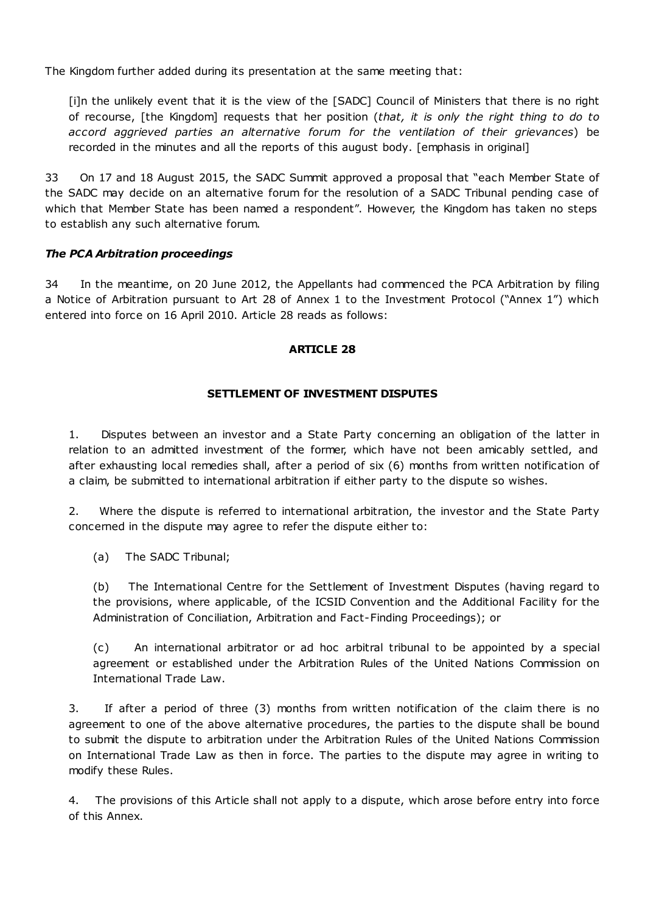The Kingdom further added during its presentation at the same meeting that:

[i]n the unlikely event that it is the view of the [SADC] Council of Ministers that there is no right of recourse, [the Kingdom] requests that her position (*that, it is only the right thing to do to accord aggrieved parties an alternative forum for the ventilation of their grievances*) be recorded in the minutes and all the reports of this august body. [emphasis in original]

33 On 17 and 18 August 2015, the SADC Summit approved a proposal that "each Member State of the SADC may decide on an alternative forum for the resolution of a SADC Tribunal pending case of which that Member State has been named a respondent". However, the Kingdom has taken no steps to establish any such alternative forum.

# *The PCA Arbitration proceedings*

34 In the meantime, on 20 June 2012, the Appellants had commenced the PCA Arbitration by filing a Notice of Arbitration pursuant to Art 28 of Annex 1 to the Investment Protocol ("Annex 1") which entered into force on 16 April 2010. Article 28 reads as follows:

# **ARTICLE 28**

# **SETTLEMENT OF INVESTMENT DISPUTES**

1. Disputes between an investor and a State Party concerning an obligation of the latter in relation to an admitted investment of the former, which have not been amicably settled, and after exhausting local remedies shall, after a period of six (6) months from written notification of a claim, be submitted to international arbitration if either party to the dispute so wishes.

2. Where the dispute is referred to international arbitration, the investor and the State Party concerned in the dispute may agree to refer the dispute either to:

(a) The SADC Tribunal;

(b) The International Centre for the Settlement of Investment Disputes (having regard to the provisions, where applicable, of the ICSID Convention and the Additional Facility for the Administration of Conciliation, Arbitration and Fact-Finding Proceedings); or

(c) An international arbitrator or ad hoc arbitral tribunal to be appointed by a special agreement or established under the Arbitration Rules of the United Nations Commission on International Trade Law.

3. If after a period of three (3) months from written notification of the claim there is no agreement to one of the above alternative procedures, the parties to the dispute shall be bound to submit the dispute to arbitration under the Arbitration Rules of the United Nations Commission on International Trade Law as then in force. The parties to the dispute may agree in writing to modify these Rules.

4. The provisions of this Article shall not apply to a dispute, which arose before entry into force of this Annex.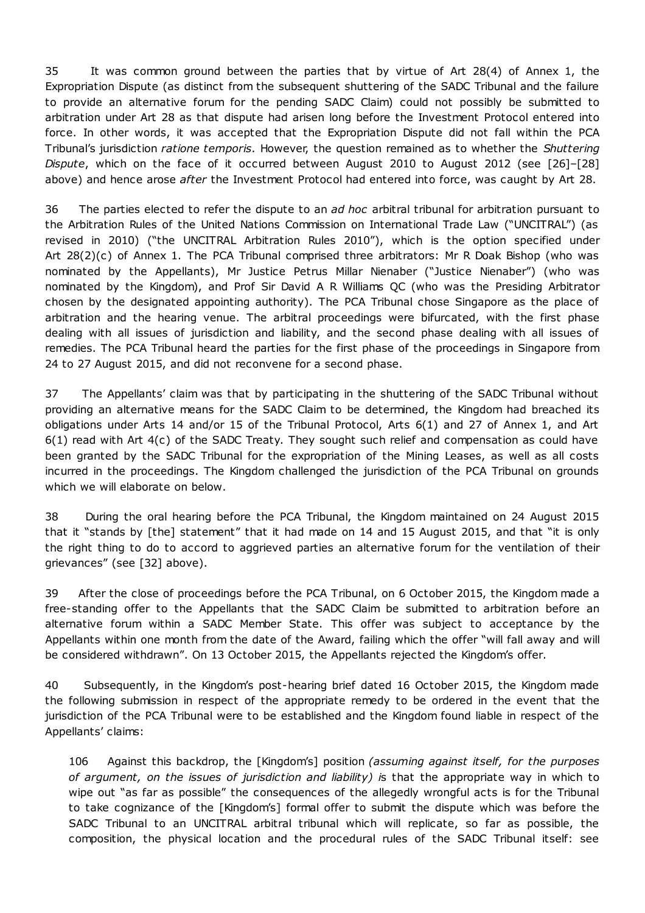35 It was common ground between the parties that by virtue of Art 28(4) of Annex 1, the Expropriation Dispute (as distinct from the subsequent shuttering of the SADC Tribunal and the failure to provide an alternative forum for the pending SADC Claim) could not possibly be submitted to arbitration under Art 28 as that dispute had arisen long before the Investment Protocol entered into force. In other words, it was accepted that the Expropriation Dispute did not fall within the PCA Tribunal's jurisdiction *ratione temporis*. However, the question remained as to whether the *Shuttering Dispute*, which on the face of it occurred between August 2010 to August 2012 (see [26]–[28] above) and hence arose *after* the Investment Protocol had entered into force, was caught by Art 28.

36 The parties elected to refer the dispute to an *ad hoc* arbitral tribunal for arbitration pursuant to the Arbitration Rules of the United Nations Commission on International Trade Law ("UNCITRAL") (as revised in 2010) ("the UNCITRAL Arbitration Rules 2010"), which is the option specified under Art 28(2)(c) of Annex 1. The PCA Tribunal comprised three arbitrators: Mr R Doak Bishop (who was nominated by the Appellants), Mr Justice Petrus Millar Nienaber ("Justice Nienaber") (who was nominated by the Kingdom), and Prof Sir David A R Williams QC (who was the Presiding Arbitrator chosen by the designated appointing authority). The PCA Tribunal chose Singapore as the place of arbitration and the hearing venue. The arbitral proceedings were bifurcated, with the first phase dealing with all issues of jurisdiction and liability, and the second phase dealing with all issues of remedies. The PCA Tribunal heard the parties for the first phase of the proceedings in Singapore from 24 to 27 August 2015, and did not reconvene for a second phase.

37 The Appellants' claim was that by participating in the shuttering of the SADC Tribunal without providing an alternative means for the SADC Claim to be determined, the Kingdom had breached its obligations under Arts 14 and/or 15 of the Tribunal Protocol, Arts 6(1) and 27 of Annex 1, and Art  $6(1)$  read with Art  $4(c)$  of the SADC Treaty. They sought such relief and compensation as could have been granted by the SADC Tribunal for the expropriation of the Mining Leases, as well as all costs incurred in the proceedings. The Kingdom challenged the jurisdiction of the PCA Tribunal on grounds which we will elaborate on below.

38 During the oral hearing before the PCA Tribunal, the Kingdom maintained on 24 August 2015 that it "stands by [the] statement" that it had made on 14 and 15 August 2015, and that "it is only the right thing to do to accord to aggrieved parties an alternative forum for the ventilation of their grievances" (see [32] above).

39 After the close of proceedings before the PCA Tribunal, on 6 October 2015, the Kingdom made a free-standing offer to the Appellants that the SADC Claim be submitted to arbitration before an alternative forum within a SADC Member State. This offer was subject to acceptance by the Appellants within one month from the date of the Award, failing which the offer "will fall away and will be considered withdrawn". On 13 October 2015, the Appellants rejected the Kingdom's offer.

40 Subsequently, in the Kingdom's post-hearing brief dated 16 October 2015, the Kingdom made the following submission in respect of the appropriate remedy to be ordered in the event that the jurisdiction of the PCA Tribunal were to be established and the Kingdom found liable in respect of the Appellants' claims:

106 Against this backdrop, the [Kingdom's] position *(assuming against itself, for the purposes of argument, on the issues of jurisdiction and liability) i*s that the appropriate way in which to wipe out "as far as possible" the consequences of the allegedly wrongful acts is for the Tribunal to take cognizance of the [Kingdom's] formal offer to submit the dispute which was before the SADC Tribunal to an UNCITRAL arbitral tribunal which will replicate, so far as possible, the composition, the physical location and the procedural rules of the SADC Tribunal itself: see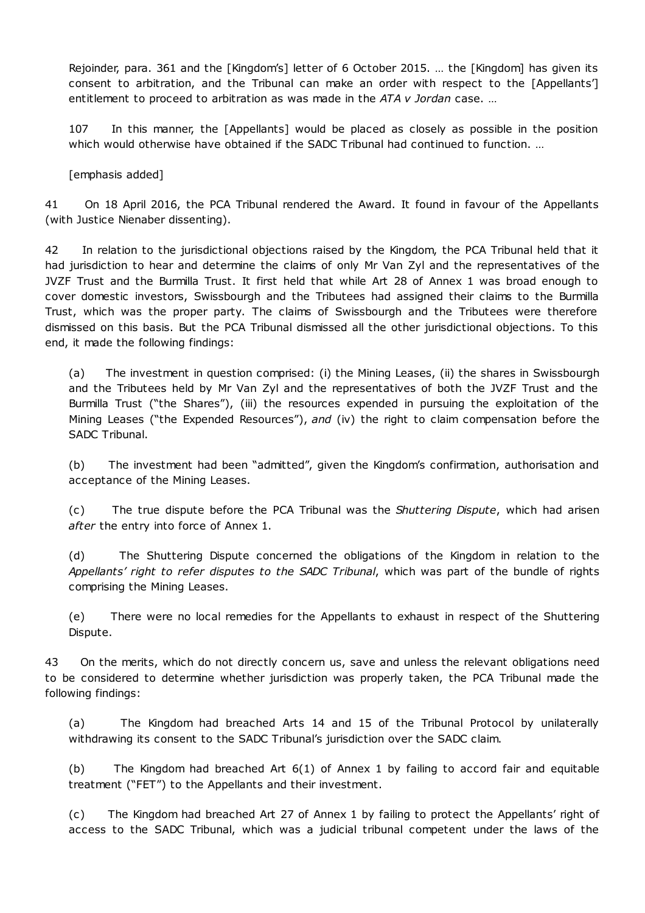Rejoinder, para. 361 and the [Kingdom's] letter of 6 October 2015. … the [Kingdom] has given its consent to arbitration, and the Tribunal can make an order with respect to the [Appellants'] entitlement to proceed to arbitration as was made in the *ATA v Jordan* case. …

107 In this manner, the [Appellants] would be placed as closely as possible in the position which would otherwise have obtained if the SADC Tribunal had continued to function. ...

[emphasis added]

41 On 18 April 2016, the PCA Tribunal rendered the Award. It found in favour of the Appellants (with Justice Nienaber dissenting).

42 In relation to the jurisdictional objections raised by the Kingdom, the PCA Tribunal held that it had jurisdiction to hear and determine the claims of only Mr Van Zyl and the representatives of the JVZF Trust and the Burmilla Trust. It first held that while Art 28 of Annex 1 was broad enough to cover domestic investors, Swissbourgh and the Tributees had assigned their claims to the Burmilla Trust, which was the proper party. The claims of Swissbourgh and the Tributees were therefore dismissed on this basis. But the PCA Tribunal dismissed all the other jurisdictional objections. To this end, it made the following findings:

(a) The investment in question comprised: (i) the Mining Leases, (ii) the shares in Swissbourgh and the Tributees held by Mr Van Zyl and the representatives of both the JVZF Trust and the Burmilla Trust ("the Shares"), (iii) the resources expended in pursuing the exploitation of the Mining Leases ("the Expended Resources"), *and* (iv) the right to claim compensation before the SADC Tribunal.

(b) The investment had been "admitted", given the Kingdom's confirmation, authorisation and acceptance of the Mining Leases.

(c) The true dispute before the PCA Tribunal was the *Shuttering Dispute*, which had arisen *after* the entry into force of Annex 1.

(d) The Shuttering Dispute concerned the obligations of the Kingdom in relation to the *Appellants' right to refer disputes to the SADC Tribunal*, which was part of the bundle of rights comprising the Mining Leases.

(e) There were no local remedies for the Appellants to exhaust in respect of the Shuttering Dispute.

43 On the merits, which do not directly concern us, save and unless the relevant obligations need to be considered to determine whether jurisdiction was properly taken, the PCA Tribunal made the following findings:

(a) The Kingdom had breached Arts 14 and 15 of the Tribunal Protocol by unilaterally withdrawing its consent to the SADC Tribunal's jurisdiction over the SADC claim.

(b) The Kingdom had breached Art 6(1) of Annex 1 by failing to accord fair and equitable treatment ("FET") to the Appellants and their investment.

(c) The Kingdom had breached Art 27 of Annex 1 by failing to protect the Appellants' right of access to the SADC Tribunal, which was a judicial tribunal competent under the laws of the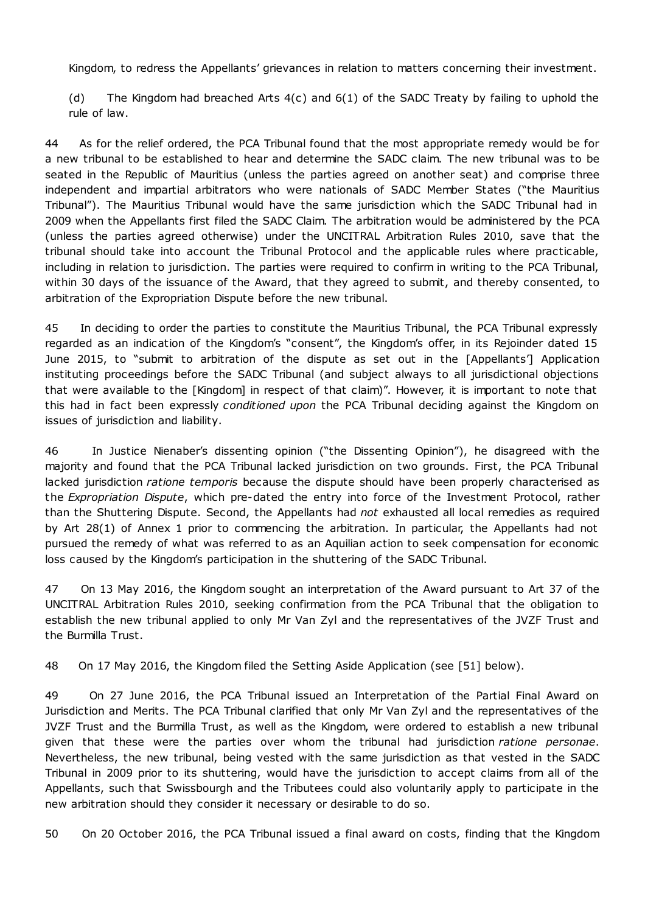Kingdom, to redress the Appellants' grievances in relation to matters concerning their investment.

(d) The Kingdom had breached Arts 4(c) and 6(1) of the SADC Treaty by failing to uphold the rule of law.

44 As for the relief ordered, the PCA Tribunal found that the most appropriate remedy would be for a new tribunal to be established to hear and determine the SADC claim. The new tribunal was to be seated in the Republic of Mauritius (unless the parties agreed on another seat) and comprise three independent and impartial arbitrators who were nationals of SADC Member States ("the Mauritius Tribunal"). The Mauritius Tribunal would have the same jurisdiction which the SADC Tribunal had in 2009 when the Appellants first filed the SADC Claim. The arbitration would be administered by the PCA (unless the parties agreed otherwise) under the UNCITRAL Arbitration Rules 2010, save that the tribunal should take into account the Tribunal Protocol and the applicable rules where practicable, including in relation to jurisdiction. The parties were required to confirm in writing to the PCA Tribunal, within 30 days of the issuance of the Award, that they agreed to submit, and thereby consented, to arbitration of the Expropriation Dispute before the new tribunal.

45 In deciding to order the parties to constitute the Mauritius Tribunal, the PCA Tribunal expressly regarded as an indication of the Kingdom's "consent", the Kingdom's offer, in its Rejoinder dated 15 June 2015, to "submit to arbitration of the dispute as set out in the [Appellants'] Application instituting proceedings before the SADC Tribunal (and subject always to all jurisdictional objections that were available to the [Kingdom] in respect of that claim)". However, it is important to note that this had in fact been expressly *conditioned upon* the PCA Tribunal deciding against the Kingdom on issues of jurisdiction and liability.

46 In Justice Nienaber's dissenting opinion ("the Dissenting Opinion"), he disagreed with the majority and found that the PCA Tribunal lacked jurisdiction on two grounds. First, the PCA Tribunal lacked jurisdiction *ratione temporis* because the dispute should have been properly characterised as the *Expropriation Dispute*, which pre-dated the entry into force of the Investment Protocol, rather than the Shuttering Dispute. Second, the Appellants had *not* exhausted all local remedies as required by Art 28(1) of Annex 1 prior to commencing the arbitration. In particular, the Appellants had not pursued the remedy of what was referred to as an Aquilian action to seek compensation for economic loss caused by the Kingdom's participation in the shuttering of the SADC Tribunal.

47 On 13 May 2016, the Kingdom sought an interpretation of the Award pursuant to Art 37 of the UNCITRAL Arbitration Rules 2010, seeking confirmation from the PCA Tribunal that the obligation to establish the new tribunal applied to only Mr Van Zyl and the representatives of the JVZF Trust and the Burmilla Trust.

48 On 17 May 2016, the Kingdom filed the Setting Aside Application (see [51] below).

49 On 27 June 2016, the PCA Tribunal issued an Interpretation of the Partial Final Award on Jurisdiction and Merits. The PCA Tribunal clarified that only Mr Van Zyl and the representatives of the JVZF Trust and the Burmilla Trust, as well as the Kingdom, were ordered to establish a new tribunal given that these were the parties over whom the tribunal had jurisdiction *ratione personae*. Nevertheless, the new tribunal, being vested with the same jurisdiction as that vested in the SADC Tribunal in 2009 prior to its shuttering, would have the jurisdiction to accept claims from all of the Appellants, such that Swissbourgh and the Tributees could also voluntarily apply to participate in the new arbitration should they consider it necessary or desirable to do so.

50 On 20 October 2016, the PCA Tribunal issued a final award on costs, finding that the Kingdom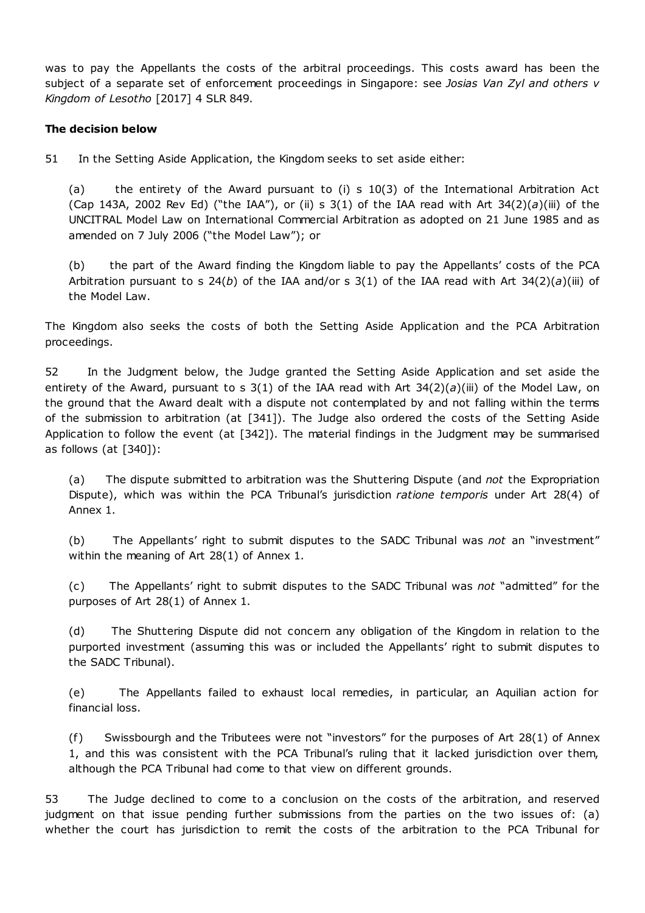was to pay the Appellants the costs of the arbitral proceedings. This costs award has been the subject of a separate set of enforcement proceedings in Singapore: see *Josias Van Zyl and others v Kingdom of Lesotho* [2017] 4 SLR 849.

### **The decision below**

51 In the Setting Aside Application, the Kingdom seeks to set aside either:

(a) the entirety of the Award pursuant to (i) s 10(3) of the International Arbitration Act (Cap 143A, 2002 Rev Ed) ("the IAA"), or (ii) s  $3(1)$  of the IAA read with Art  $34(2)(a)(iii)$  of the UNCITRAL Model Law on International Commercial Arbitration as adopted on 21 June 1985 and as amended on 7 July 2006 ("the Model Law"); or

(b) the part of the Award finding the Kingdom liable to pay the Appellants' costs of the PCA Arbitration pursuant to s 24(*b*) of the IAA and/or s 3(1) of the IAA read with Art 34(2)(*a*)(iii) of the Model Law.

The Kingdom also seeks the costs of both the Setting Aside Application and the PCA Arbitration proceedings.

52 In the Judgment below, the Judge granted the Setting Aside Application and set aside the entirety of the Award, pursuant to s 3(1) of the IAA read with Art 34(2)(*a*)(iii) of the Model Law, on the ground that the Award dealt with a dispute not contemplated by and not falling within the terms of the submission to arbitration (at [341]). The Judge also ordered the costs of the Setting Aside Application to follow the event (at [342]). The material findings in the Judgment may be summarised as follows (at  $[340]$ ):

(a) The dispute submitted to arbitration was the Shuttering Dispute (and *not* the Expropriation Dispute), which was within the PCA Tribunal's jurisdiction *ratione temporis* under Art 28(4) of Annex 1.

(b) The Appellants' right to submit disputes to the SADC Tribunal was *not* an "investment" within the meaning of Art 28(1) of Annex 1.

(c) The Appellants' right to submit disputes to the SADC Tribunal was *not* "admitted" for the purposes of Art 28(1) of Annex 1.

(d) The Shuttering Dispute did not concern any obligation of the Kingdom in relation to the purported investment (assuming this was or included the Appellants' right to submit disputes to the SADC Tribunal).

(e) The Appellants failed to exhaust local remedies, in particular, an Aquilian action for financial loss.

(f) Swissbourgh and the Tributees were not "investors" for the purposes of Art 28(1) of Annex 1, and this was consistent with the PCA Tribunal's ruling that it lacked jurisdiction over them, although the PCA Tribunal had come to that view on different grounds.

53 The Judge declined to come to a conclusion on the costs of the arbitration, and reserved judgment on that issue pending further submissions from the parties on the two issues of: (a) whether the court has jurisdiction to remit the costs of the arbitration to the PCA Tribunal for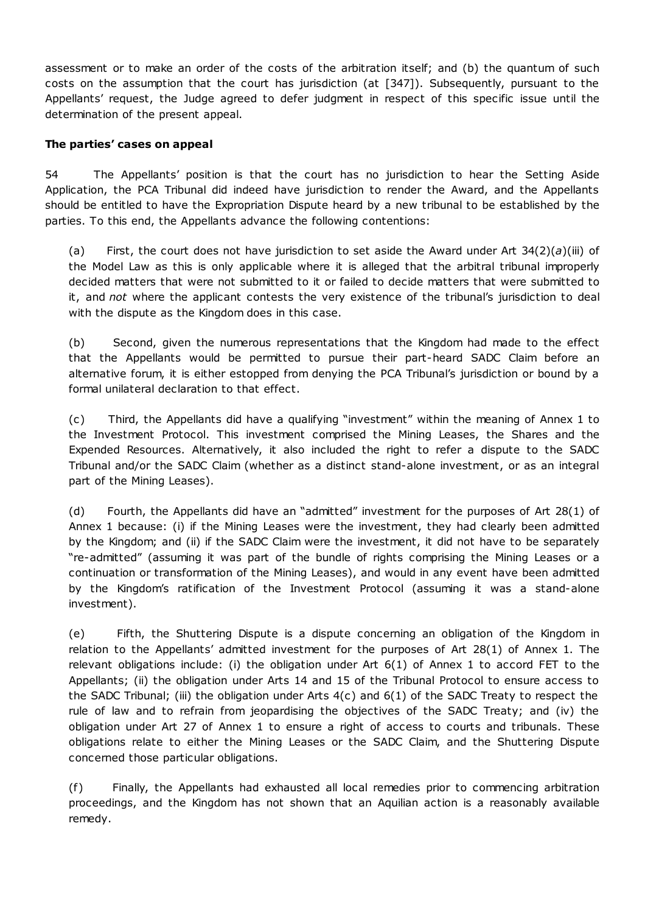assessment or to make an order of the costs of the arbitration itself; and (b) the quantum of such costs on the assumption that the court has jurisdiction (at [347]). Subsequently, pursuant to the Appellants' request, the Judge agreed to defer judgment in respect of this specific issue until the determination of the present appeal.

### **The parties' cases on appeal**

54 The Appellants' position is that the court has no jurisdiction to hear the Setting Aside Application, the PCA Tribunal did indeed have jurisdiction to render the Award, and the Appellants should be entitled to have the Expropriation Dispute heard by a new tribunal to be established by the parties. To this end, the Appellants advance the following contentions:

(a) First, the court does not have jurisdiction to set aside the Award under Art  $34(2)(a)(iii)$  of the Model Law as this is only applicable where it is alleged that the arbitral tribunal improperly decided matters that were not submitted to it or failed to decide matters that were submitted to it, and *not* where the applicant contests the very existence of the tribunal's jurisdiction to deal with the dispute as the Kingdom does in this case.

(b) Second, given the numerous representations that the Kingdom had made to the effect that the Appellants would be permitted to pursue their part-heard SADC Claim before an alternative forum, it is either estopped from denying the PCA Tribunal's jurisdiction or bound by a formal unilateral declaration to that effect.

(c) Third, the Appellants did have a qualifying "investment" within the meaning of Annex 1 to the Investment Protocol. This investment comprised the Mining Leases, the Shares and the Expended Resources. Alternatively, it also included the right to refer a dispute to the SADC Tribunal and/or the SADC Claim (whether as a distinct stand-alone investment, or as an integral part of the Mining Leases).

(d) Fourth, the Appellants did have an "admitted" investment for the purposes of Art 28(1) of Annex 1 because: (i) if the Mining Leases were the investment, they had clearly been admitted by the Kingdom; and (ii) if the SADC Claim were the investment, it did not have to be separately "re-admitted" (assuming it was part of the bundle of rights comprising the Mining Leases or a continuation or transformation of the Mining Leases), and would in any event have been admitted by the Kingdom's ratification of the Investment Protocol (assuming it was a stand-alone investment).

(e) Fifth, the Shuttering Dispute is a dispute concerning an obligation of the Kingdom in relation to the Appellants' admitted investment for the purposes of Art 28(1) of Annex 1. The relevant obligations include: (i) the obligation under Art 6(1) of Annex 1 to accord FET to the Appellants; (ii) the obligation under Arts 14 and 15 of the Tribunal Protocol to ensure access to the SADC Tribunal; (iii) the obligation under Arts 4(c) and 6(1) of the SADC Treaty to respect the rule of law and to refrain from jeopardising the objectives of the SADC Treaty; and (iv) the obligation under Art 27 of Annex 1 to ensure a right of access to courts and tribunals. These obligations relate to either the Mining Leases or the SADC Claim, and the Shuttering Dispute concerned those particular obligations.

(f) Finally, the Appellants had exhausted all local remedies prior to commencing arbitration proceedings, and the Kingdom has not shown that an Aquilian action is a reasonably available remedy.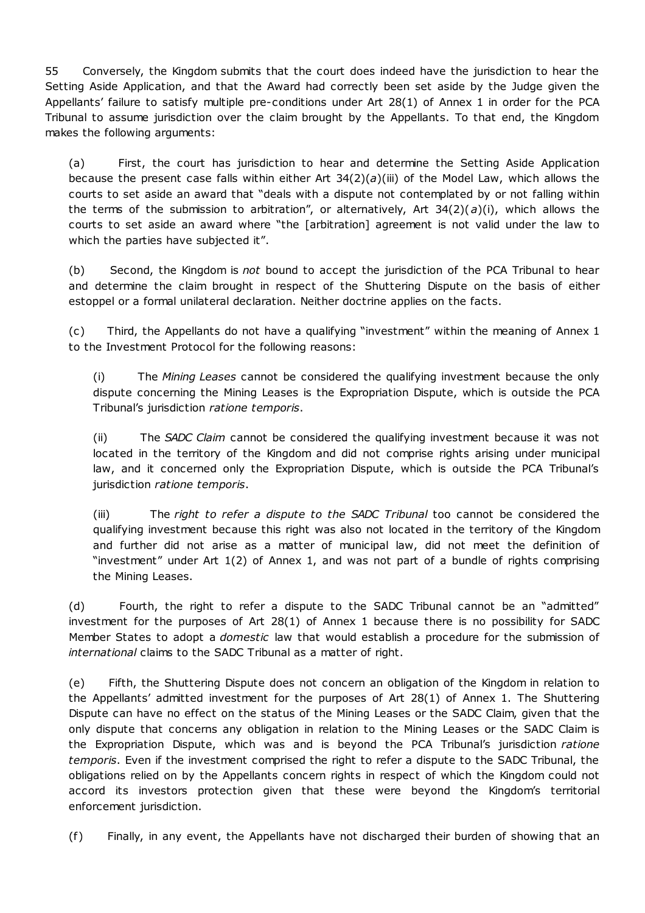55 Conversely, the Kingdom submits that the court does indeed have the jurisdiction to hear the Setting Aside Application, and that the Award had correctly been set aside by the Judge given the Appellants' failure to satisfy multiple pre-conditions under Art 28(1) of Annex 1 in order for the PCA Tribunal to assume jurisdiction over the claim brought by the Appellants. To that end, the Kingdom makes the following arguments:

(a) First, the court has jurisdiction to hear and determine the Setting Aside Application because the present case falls within either Art 34(2)(*a*)(iii) of the Model Law, which allows the courts to set aside an award that "deals with a dispute not contemplated by or not falling within the terms of the submission to arbitration", or alternatively, Art  $34(2)(a)(i)$ , which allows the courts to set aside an award where "the [arbitration] agreement is not valid under the law to which the parties have subjected it".

(b) Second, the Kingdom is *not* bound to accept the jurisdiction of the PCA Tribunal to hear and determine the claim brought in respect of the Shuttering Dispute on the basis of either estoppel or a formal unilateral declaration. Neither doctrine applies on the facts.

(c) Third, the Appellants do not have a qualifying "investment" within the meaning of Annex 1 to the Investment Protocol for the following reasons:

(i) The *Mining Leases* cannot be considered the qualifying investment because the only dispute concerning the Mining Leases is the Expropriation Dispute, which is outside the PCA Tribunal's jurisdiction *ratione temporis*.

(ii) The *SADC Claim* cannot be considered the qualifying investment because it was not located in the territory of the Kingdom and did not comprise rights arising under municipal law, and it concerned only the Expropriation Dispute, which is outside the PCA Tribunal's jurisdiction *ratione temporis*.

(iii) The *right to refer a dispute to the SADC Tribunal* too cannot be considered the qualifying investment because this right was also not located in the territory of the Kingdom and further did not arise as a matter of municipal law, did not meet the definition of "investment" under Art 1(2) of Annex 1, and was not part of a bundle of rights comprising the Mining Leases.

(d) Fourth, the right to refer a dispute to the SADC Tribunal cannot be an "admitted" investment for the purposes of Art 28(1) of Annex 1 because there is no possibility for SADC Member States to adopt a *domestic* law that would establish a procedure for the submission of *international* claims to the SADC Tribunal as a matter of right.

(e) Fifth, the Shuttering Dispute does not concern an obligation of the Kingdom in relation to the Appellants' admitted investment for the purposes of Art 28(1) of Annex 1. The Shuttering Dispute can have no effect on the status of the Mining Leases or the SADC Claim, given that the only dispute that concerns any obligation in relation to the Mining Leases or the SADC Claim is the Expropriation Dispute, which was and is beyond the PCA Tribunal's jurisdiction *ratione temporis*. Even if the investment comprised the right to refer a dispute to the SADC Tribunal, the obligations relied on by the Appellants concern rights in respect of which the Kingdom could not accord its investors protection given that these were beyond the Kingdom's territorial enforcement jurisdiction.

(f) Finally, in any event, the Appellants have not discharged their burden of showing that an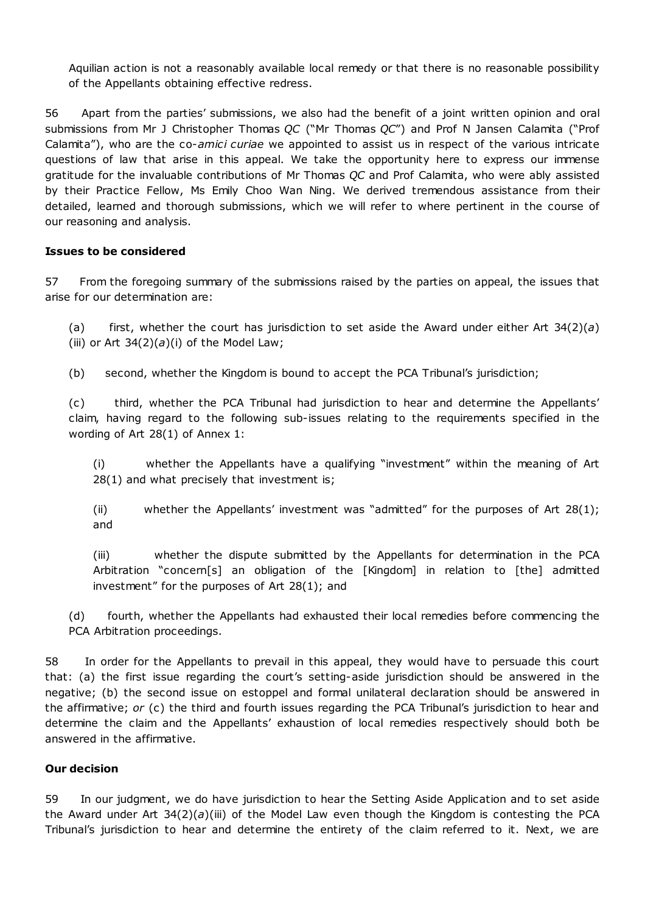Aquilian action is not a reasonably available local remedy or that there is no reasonable possibility of the Appellants obtaining effective redress.

56 Apart from the parties' submissions, we also had the benefit of a joint written opinion and oral submissions from Mr J Christopher Thomas *QC* ("Mr Thomas *QC*") and Prof N Jansen Calamita ("Prof Calamita"), who are the co-*amici curiae* we appointed to assist us in respect of the various intricate questions of law that arise in this appeal. We take the opportunity here to express our immense gratitude for the invaluable contributions of Mr Thomas *QC* and Prof Calamita, who were ably assisted by their Practice Fellow, Ms Emily Choo Wan Ning. We derived tremendous assistance from their detailed, learned and thorough submissions, which we will refer to where pertinent in the course of our reasoning and analysis.

### **Issues to be considered**

57 From the foregoing summary of the submissions raised by the parties on appeal, the issues that arise for our determination are:

(a) first, whether the court has jurisdiction to set aside the Award under either Art 34(2)(*a*) (iii) or Art  $34(2)(a)(i)$  of the Model Law;

(b) second, whether the Kingdom is bound to accept the PCA Tribunal's jurisdiction;

(c) third, whether the PCA Tribunal had jurisdiction to hear and determine the Appellants' claim, having regard to the following sub-issues relating to the requirements specified in the wording of Art 28(1) of Annex 1:

(i) whether the Appellants have a qualifying "investment" within the meaning of Art 28(1) and what precisely that investment is;

(ii) whether the Appellants' investment was "admitted" for the purposes of Art 28(1); and

(iii) whether the dispute submitted by the Appellants for determination in the PCA Arbitration "concern[s] an obligation of the [Kingdom] in relation to [the] admitted investment" for the purposes of Art 28(1); and

(d) fourth, whether the Appellants had exhausted their local remedies before commencing the PCA Arbitration proceedings.

58 In order for the Appellants to prevail in this appeal, they would have to persuade this court that: (a) the first issue regarding the court's setting-aside jurisdiction should be answered in the negative; (b) the second issue on estoppel and formal unilateral declaration should be answered in the affirmative; *or* (c) the third and fourth issues regarding the PCA Tribunal's jurisdiction to hear and determine the claim and the Appellants' exhaustion of local remedies respectively should both be answered in the affirmative.

### **Our decision**

59 In our judgment, we do have jurisdiction to hear the Setting Aside Application and to set aside the Award under Art 34(2)(*a*)(iii) of the Model Law even though the Kingdom is contesting the PCA Tribunal's jurisdiction to hear and determine the entirety of the claim referred to it. Next, we are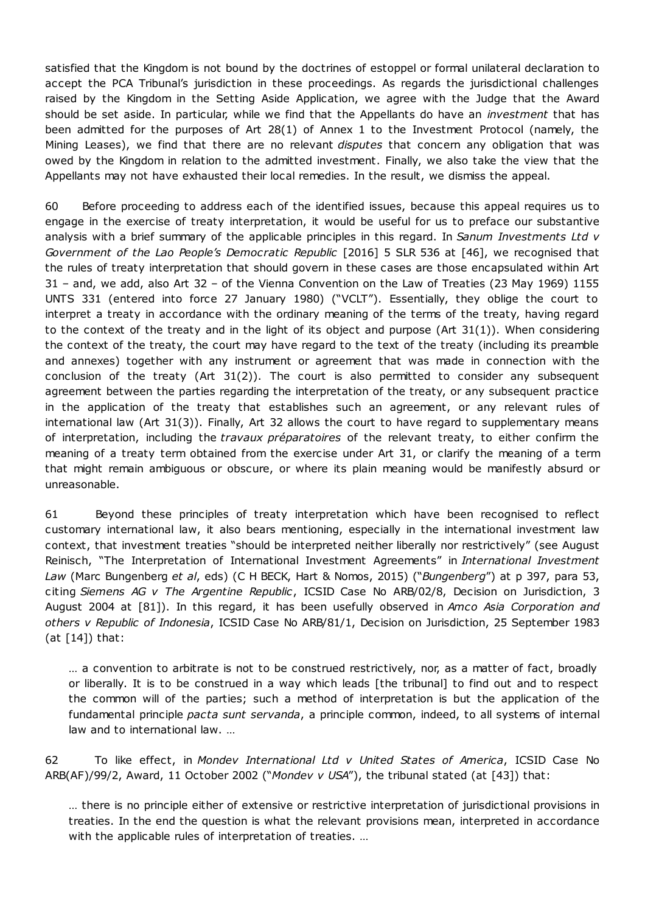satisfied that the Kingdom is not bound by the doctrines of estoppel or formal unilateral declaration to accept the PCA Tribunal's jurisdiction in these proceedings. As regards the jurisdictional challenges raised by the Kingdom in the Setting Aside Application, we agree with the Judge that the Award should be set aside. In particular, while we find that the Appellants do have an *investment* that has been admitted for the purposes of Art 28(1) of Annex 1 to the Investment Protocol (namely, the Mining Leases), we find that there are no relevant *disputes* that concern any obligation that was owed by the Kingdom in relation to the admitted investment. Finally, we also take the view that the Appellants may not have exhausted their local remedies. In the result, we dismiss the appeal.

60 Before proceeding to address each of the identified issues, because this appeal requires us to engage in the exercise of treaty interpretation, it would be useful for us to preface our substantive analysis with a brief summary of the applicable principles in this regard. In *Sanum Investments Ltd v Government of the Lao People's Democratic Republic* [2016] 5 SLR 536 at [46], we recognised that the rules of treaty interpretation that should govern in these cases are those encapsulated within Art 31 – and, we add, also Art 32 – of the Vienna Convention on the Law of Treaties (23 May 1969) 1155 UNTS 331 (entered into force 27 January 1980) ("VCLT"). Essentially, they oblige the court to interpret a treaty in accordance with the ordinary meaning of the terms of the treaty, having regard to the context of the treaty and in the light of its object and purpose (Art 31(1)). When considering the context of the treaty, the court may have regard to the text of the treaty (including its preamble and annexes) together with any instrument or agreement that was made in connection with the conclusion of the treaty (Art  $31(2)$ ). The court is also permitted to consider any subsequent agreement between the parties regarding the interpretation of the treaty, or any subsequent practice in the application of the treaty that establishes such an agreement, or any relevant rules of international law (Art 31(3)). Finally, Art 32 allows the court to have regard to supplementary means of interpretation, including the *travaux préparatoires* of the relevant treaty, to either confirm the meaning of a treaty term obtained from the exercise under Art 31, or clarify the meaning of a term that might remain ambiguous or obscure, or where its plain meaning would be manifestly absurd or unreasonable.

61 Beyond these principles of treaty interpretation which have been recognised to reflect customary international law, it also bears mentioning, especially in the international investment law context, that investment treaties "should be interpreted neither liberally nor restrictively" (see August Reinisch, "The Interpretation of International Investment Agreements" in *International Investment Law* (Marc Bungenberg *et al*, eds) (C H BECK, Hart & Nomos, 2015) ("*Bungenberg*") at p 397, para 53, citing *Siemens AG v The Argentine Republic*, ICSID Case No ARB/02/8, Decision on Jurisdiction, 3 August 2004 at [81]). In this regard, it has been usefully observed in *Amco Asia Corporation and others v Republic of Indonesia*, ICSID Case No ARB/81/1, Decision on Jurisdiction, 25 September 1983 (at  $[14]$ ) that:

… a convention to arbitrate is not to be construed restrictively, nor, as a matter of fact, broadly or liberally. It is to be construed in a way which leads [the tribunal] to find out and to respect the common will of the parties; such a method of interpretation is but the application of the fundamental principle *pacta sunt servanda*, a principle common, indeed, to all systems of internal law and to international law. …

62 To like effect, in *Mondev International Ltd v United States of America*, ICSID Case No ARB(AF)/99/2, Award, 11 October 2002 ("*Mondev v USA*"), the tribunal stated (at [43]) that:

… there is no principle either of extensive or restrictive interpretation of jurisdictional provisions in treaties. In the end the question is what the relevant provisions mean, interpreted in accordance with the applicable rules of interpretation of treaties. …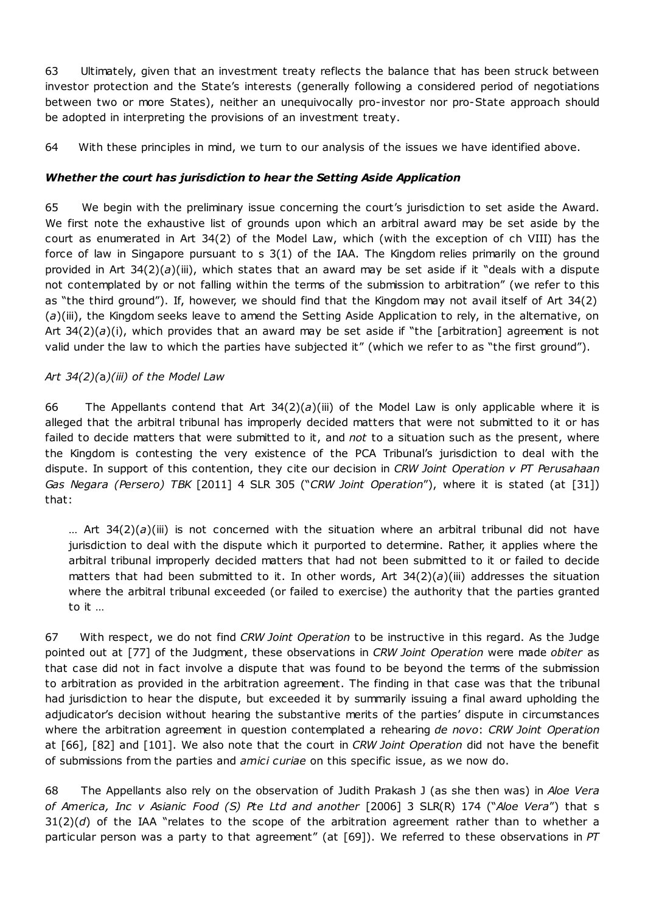63 Ultimately, given that an investment treaty reflects the balance that has been struck between investor protection and the State's interests (generally following a considered period of negotiations between two or more States), neither an unequivocally pro-investor nor pro-State approach should be adopted in interpreting the provisions of an investment treaty.

64 With these principles in mind, we turn to our analysis of the issues we have identified above.

## *Whether the court has jurisdiction to hear the Setting Aside Application*

65 We begin with the preliminary issue concerning the court's jurisdiction to set aside the Award. We first note the exhaustive list of grounds upon which an arbitral award may be set aside by the court as enumerated in Art 34(2) of the Model Law, which (with the exception of ch VIII) has the force of law in Singapore pursuant to s 3(1) of the IAA. The Kingdom relies primarily on the ground provided in Art 34(2)(*a*)(iii), which states that an award may be set aside if it "deals with a dispute not contemplated by or not falling within the terms of the submission to arbitration" (we refer to this as "the third ground"). If, however, we should find that the Kingdom may not avail itself of Art 34(2) (*a*)(iii), the Kingdom seeks leave to amend the Setting Aside Application to rely, in the alternative, on Art 34(2)(*a*)(i), which provides that an award may be set aside if "the [arbitration] agreement is not valid under the law to which the parties have subjected it" (which we refer to as "the first ground").

### *Art 34(2)(*a*)(iii) of the Model Law*

66 The Appellants contend that Art 34(2)(*a*)(iii) of the Model Law is only applicable where it is alleged that the arbitral tribunal has improperly decided matters that were not submitted to it or has failed to decide matters that were submitted to it, and *not* to a situation such as the present, where the Kingdom is contesting the very existence of the PCA Tribunal's jurisdiction to deal with the dispute. In support of this contention, they cite our decision in *CRW Joint Operation v PT Perusahaan Gas Negara (Persero) TBK* [2011] 4 SLR 305 ("*CRW Joint Operation*"), where it is stated (at [31]) that:

… Art 34(2)(*a*)(iii) is not concerned with the situation where an arbitral tribunal did not have jurisdiction to deal with the dispute which it purported to determine. Rather, it applies where the arbitral tribunal improperly decided matters that had not been submitted to it or failed to decide matters that had been submitted to it. In other words, Art 34(2)(*a*)(iii) addresses the situation where the arbitral tribunal exceeded (or failed to exercise) the authority that the parties granted to it …

67 With respect, we do not find *CRW Joint Operation* to be instructive in this regard. As the Judge pointed out at [77] of the Judgment, these observations in *CRW Joint Operation* were made *obiter* as that case did not in fact involve a dispute that was found to be beyond the terms of the submission to arbitration as provided in the arbitration agreement. The finding in that case was that the tribunal had jurisdiction to hear the dispute, but exceeded it by summarily issuing a final award upholding the adjudicator's decision without hearing the substantive merits of the parties' dispute in circumstances where the arbitration agreement in question contemplated a rehearing *de novo*: *CRW Joint Operation* at [66], [82] and [101]. We also note that the court in *CRW Joint Operation* did not have the benefit of submissions from the parties and *amici curiae* on this specific issue, as we now do.

68 The Appellants also rely on the observation of Judith Prakash J (as she then was) in *Aloe Vera of America, Inc v Asianic Food (S) Pte Ltd and another* [2006] 3 SLR(R) 174 ("*Aloe Vera*") that s 31(2)(*d*) of the IAA "relates to the scope of the arbitration agreement rather than to whether a particular person was a party to that agreement" (at [69]). We referred to these observations in *PT*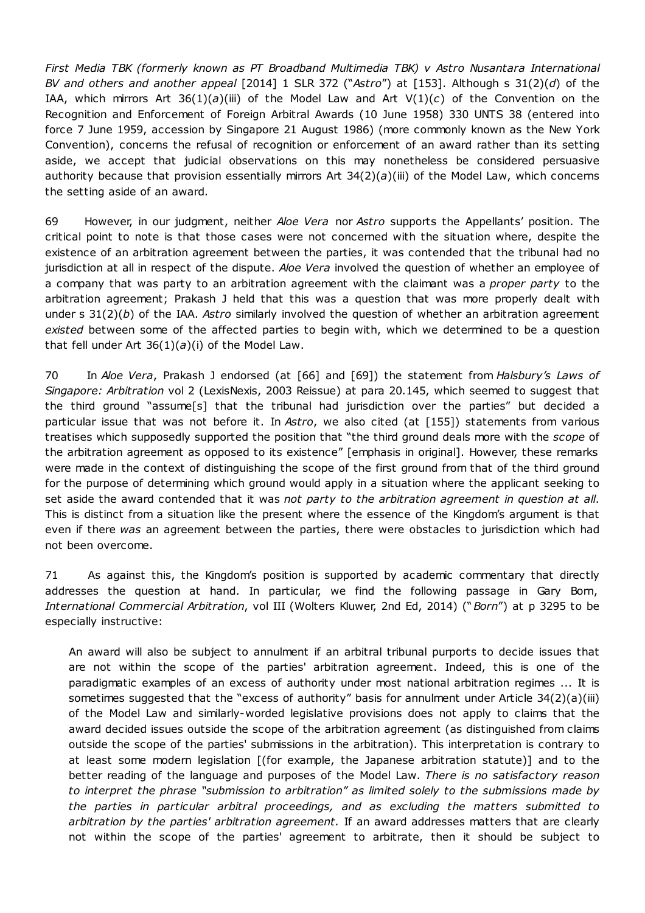*First Media TBK (formerly known as PT Broadband Multimedia TBK) v Astro Nusantara International BV and others and another appeal* [2014] 1 SLR 372 ("*Astro*") at [153]. Although s 31(2)(*d*) of the IAA, which mirrors Art 36(1)(*a*)(iii) of the Model Law and Art V(1)(*c*) of the Convention on the Recognition and Enforcement of Foreign Arbitral Awards (10 June 1958) 330 UNTS 38 (entered into force 7 June 1959, accession by Singapore 21 August 1986) (more commonly known as the New York Convention), concerns the refusal of recognition or enforcement of an award rather than its setting aside, we accept that judicial observations on this may nonetheless be considered persuasive authority because that provision essentially mirrors Art  $34(2)(a)(iii)$  of the Model Law, which concerns the setting aside of an award.

69 However, in our judgment, neither *Aloe Vera* nor *Astro* supports the Appellants' position. The critical point to note is that those cases were not concerned with the situation where, despite the existence of an arbitration agreement between the parties, it was contended that the tribunal had no jurisdiction at all in respect of the dispute. *Aloe Vera* involved the question of whether an employee of a company that was party to an arbitration agreement with the claimant was a *proper party* to the arbitration agreement; Prakash J held that this was a question that was more properly dealt with under s 31(2)(*b*) of the IAA. *Astro* similarly involved the question of whether an arbitration agreement *existed* between some of the affected parties to begin with, which we determined to be a question that fell under Art  $36(1)(a)(i)$  of the Model Law.

70 In *Aloe Vera*, Prakash J endorsed (at [66] and [69]) the statement from *Halsbury's Laws of Singapore: Arbitration* vol 2 (LexisNexis, 2003 Reissue) at para 20.145, which seemed to suggest that the third ground "assume[s] that the tribunal had jurisdiction over the parties" but decided a particular issue that was not before it. In *Astro*, we also cited (at [155]) statements from various treatises which supposedly supported the position that "the third ground deals more with the *scope* of the arbitration agreement as opposed to its existence" [emphasis in original]. However, these remarks were made in the context of distinguishing the scope of the first ground from that of the third ground for the purpose of determining which ground would apply in a situation where the applicant seeking to set aside the award contended that it was *not party to the arbitration agreement in question at all*. This is distinct from a situation like the present where the essence of the Kingdom's argument is that even if there *was* an agreement between the parties, there were obstacles to jurisdiction which had not been overcome.

71 As against this, the Kingdom's position is supported by academic commentary that directly addresses the question at hand. In particular, we find the following passage in Gary Born, *International Commercial Arbitration*, vol III (Wolters Kluwer, 2nd Ed, 2014) ("*Born*") at p 3295 to be especially instructive:

An award will also be subject to annulment if an arbitral tribunal purports to decide issues that are not within the scope of the parties' arbitration agreement. Indeed, this is one of the paradigmatic examples of an excess of authority under most national arbitration regimes ... It is sometimes suggested that the "excess of authority" basis for annulment under Article 34(2)(a)(iii) of the Model Law and similarly-worded legislative provisions does not apply to claims that the award decided issues outside the scope of the arbitration agreement (as distinguished from claims outside the scope of the parties' submissions in the arbitration). This interpretation is contrary to at least some modern legislation [(for example, the Japanese arbitration statute)] and to the better reading of the language and purposes of the Model Law. *There is no satisfactory reason to interpret the phrase "submission to arbitration" as limited solely to the submissions made by the parties in particular arbitral proceedings, and as excluding the matters submitted to arbitration by the parties' arbitration agreement.* If an award addresses matters that are clearly not within the scope of the parties' agreement to arbitrate, then it should be subject to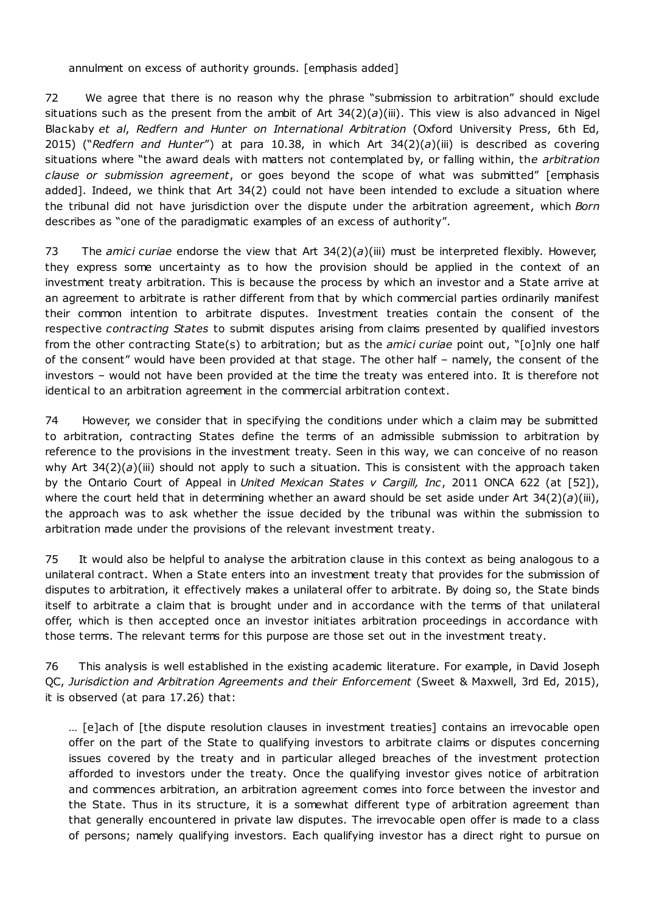### annulment on excess of authority grounds. [emphasis added]

72 We agree that there is no reason why the phrase "submission to arbitration" should exclude situations such as the present from the ambit of Art  $34(2)(a)(iii)$ . This view is also advanced in Nigel Blackaby *et al*, *Redfern and Hunter on International Arbitration* (Oxford University Press, 6th Ed, 2015) ("*Redfern and Hunter*") at para 10.38, in which Art 34(2)(*a*)(iii) is described as covering situations where "the award deals with matters not contemplated by, or falling within, th*e arbitration clause or submission agreement*, or goes beyond the scope of what was submitted" [emphasis added]. Indeed, we think that Art 34(2) could not have been intended to exclude a situation where the tribunal did not have jurisdiction over the dispute under the arbitration agreement, which *Born* describes as "one of the paradigmatic examples of an excess of authority".

73 The *amici curiae* endorse the view that Art 34(2)(*a*)(iii) must be interpreted flexibly. However, they express some uncertainty as to how the provision should be applied in the context of an investment treaty arbitration. This is because the process by which an investor and a State arrive at an agreement to arbitrate is rather different from that by which commercial parties ordinarily manifest their common intention to arbitrate disputes. Investment treaties contain the consent of the respective *contracting States* to submit disputes arising from claims presented by qualified investors from the other contracting State(s) to arbitration; but as the *amici curiae* point out, "[o]nly one half of the consent" would have been provided at that stage. The other half – namely, the consent of the investors – would not have been provided at the time the treaty was entered into. It is therefore not identical to an arbitration agreement in the commercial arbitration context.

74 However, we consider that in specifying the conditions under which a claim may be submitted to arbitration, contracting States define the terms of an admissible submission to arbitration by reference to the provisions in the investment treaty. Seen in this way, we can conceive of no reason why Art 34(2)(*a*)(iii) should not apply to such a situation. This is consistent with the approach taken by the Ontario Court of Appeal in *United Mexican States v Cargill, Inc*, 2011 ONCA 622 (at [52]), where the court held that in determining whether an award should be set aside under Art  $34(2)(a)(iii)$ , the approach was to ask whether the issue decided by the tribunal was within the submission to arbitration made under the provisions of the relevant investment treaty.

75 It would also be helpful to analyse the arbitration clause in this context as being analogous to a unilateral contract. When a State enters into an investment treaty that provides for the submission of disputes to arbitration, it effectively makes a unilateral offer to arbitrate. By doing so, the State binds itself to arbitrate a claim that is brought under and in accordance with the terms of that unilateral offer, which is then accepted once an investor initiates arbitration proceedings in accordance with those terms. The relevant terms for this purpose are those set out in the investment treaty.

76 This analysis is well established in the existing academic literature. For example, in David Joseph QC, *Jurisdiction and Arbitration Agreements and their Enforcement* (Sweet & Maxwell, 3rd Ed, 2015), it is observed (at para 17.26) that:

… [e]ach of [the dispute resolution clauses in investment treaties] contains an irrevocable open offer on the part of the State to qualifying investors to arbitrate claims or disputes concerning issues covered by the treaty and in particular alleged breaches of the investment protection afforded to investors under the treaty. Once the qualifying investor gives notice of arbitration and commences arbitration, an arbitration agreement comes into force between the investor and the State. Thus in its structure, it is a somewhat different type of arbitration agreement than that generally encountered in private law disputes. The irrevocable open offer is made to a class of persons; namely qualifying investors. Each qualifying investor has a direct right to pursue on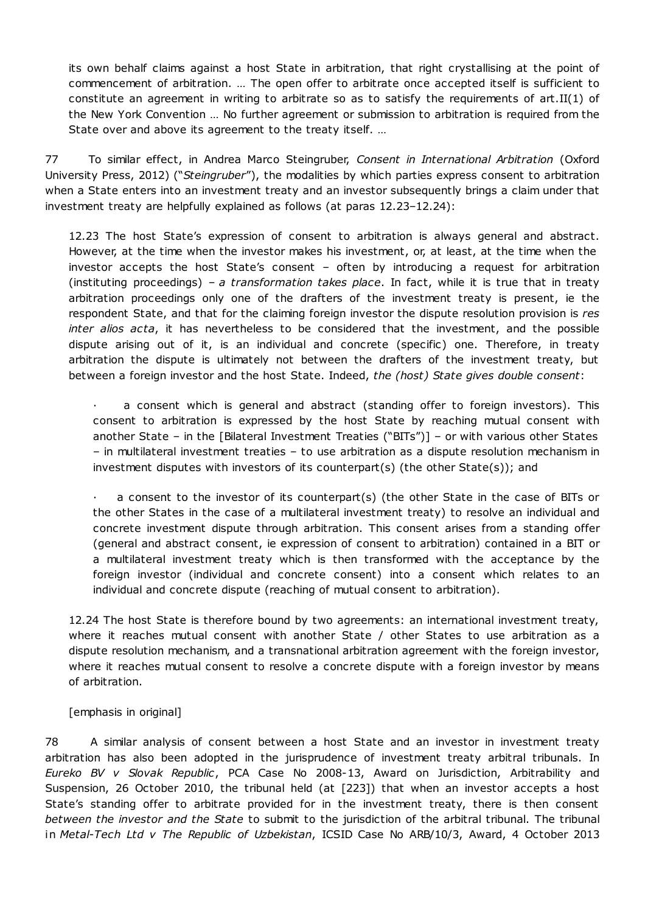its own behalf claims against a host State in arbitration, that right crystallising at the point of commencement of arbitration. … The open offer to arbitrate once accepted itself is sufficient to constitute an agreement in writing to arbitrate so as to satisfy the requirements of art.II(1) of the New York Convention … No further agreement or submission to arbitration is required from the State over and above its agreement to the treaty itself. …

77 To similar effect, in Andrea Marco Steingruber, *Consent in International Arbitration* (Oxford University Press, 2012) ("*Steingruber*"), the modalities by which parties express consent to arbitration when a State enters into an investment treaty and an investor subsequently brings a claim under that investment treaty are helpfully explained as follows (at paras 12.23–12.24):

12.23 The host State's expression of consent to arbitration is always general and abstract. However, at the time when the investor makes his investment, or, at least, at the time when the investor accepts the host State's consent – often by introducing a request for arbitration (instituting proceedings) – *a transformation takes place*. In fact, while it is true that in treaty arbitration proceedings only one of the drafters of the investment treaty is present, ie the respondent State, and that for the claiming foreign investor the dispute resolution provision is *res inter alios acta*, it has nevertheless to be considered that the investment, and the possible dispute arising out of it, is an individual and concrete (specific) one. Therefore, in treaty arbitration the dispute is ultimately not between the drafters of the investment treaty, but between a foreign investor and the host State. Indeed, *the (host) State gives double consent*:

a consent which is general and abstract (standing offer to foreign investors). This consent to arbitration is expressed by the host State by reaching mutual consent with another State – in the [Bilateral Investment Treaties ("BITs")] – or with various other States – in multilateral investment treaties – to use arbitration as a dispute resolution mechanism in investment disputes with investors of its counterpart(s) (the other State(s)); and

· a consent to the investor of its counterpart(s) (the other State in the case of BITs or the other States in the case of a multilateral investment treaty) to resolve an individual and concrete investment dispute through arbitration. This consent arises from a standing offer (general and abstract consent, ie expression of consent to arbitration) contained in a BIT or a multilateral investment treaty which is then transformed with the acceptance by the foreign investor (individual and concrete consent) into a consent which relates to an individual and concrete dispute (reaching of mutual consent to arbitration).

12.24 The host State is therefore bound by two agreements: an international investment treaty, where it reaches mutual consent with another State / other States to use arbitration as a dispute resolution mechanism, and a transnational arbitration agreement with the foreign investor, where it reaches mutual consent to resolve a concrete dispute with a foreign investor by means of arbitration.

[emphasis in original]

78 A similar analysis of consent between a host State and an investor in investment treaty arbitration has also been adopted in the jurisprudence of investment treaty arbitral tribunals. In *Eureko BV v Slovak Republic*, PCA Case No 2008-13, Award on Jurisdiction, Arbitrability and Suspension, 26 October 2010, the tribunal held (at [223]) that when an investor accepts a host State's standing offer to arbitrate provided for in the investment treaty, there is then consent *between the investor and the State* to submit to the jurisdiction of the arbitral tribunal. The tribunal in *Metal-Tech Ltd v The Republic of Uzbekistan*, ICSID Case No ARB/10/3, Award, 4 October 2013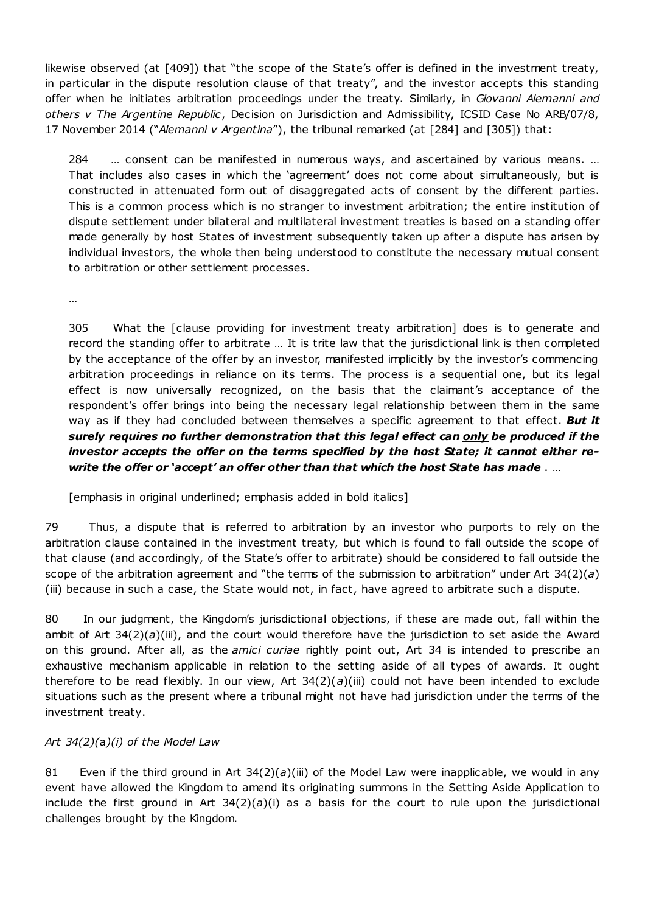likewise observed (at [409]) that "the scope of the State's offer is defined in the investment treaty, in particular in the dispute resolution clause of that treaty", and the investor accepts this standing offer when he initiates arbitration proceedings under the treaty. Similarly, in *Giovanni Alemanni and others v The Argentine Republic*, Decision on Jurisdiction and Admissibility, ICSID Case No ARB/07/8, 17 November 2014 ("*Alemanni v Argentina*"), the tribunal remarked (at [284] and [305]) that:

284 … consent can be manifested in numerous ways, and ascertained by various means. … That includes also cases in which the 'agreement' does not come about simultaneously, but is constructed in attenuated form out of disaggregated acts of consent by the different parties. This is a common process which is no stranger to investment arbitration; the entire institution of dispute settlement under bilateral and multilateral investment treaties is based on a standing offer made generally by host States of investment subsequently taken up after a dispute has arisen by individual investors, the whole then being understood to constitute the necessary mutual consent to arbitration or other settlement processes.

…

305 What the [clause providing for investment treaty arbitration] does is to generate and record the standing offer to arbitrate … It is trite law that the jurisdictional link is then completed by the acceptance of the offer by an investor, manifested implicitly by the investor's commencing arbitration proceedings in reliance on its terms. The process is a sequential one, but its legal effect is now universally recognized, on the basis that the claimant's acceptance of the respondent's offer brings into being the necessary legal relationship between them in the same way as if they had concluded between themselves a specific agreement to that effect. *But it surely requires no further demonstration that this legal effect can only be produced if the investor accepts the offer on the terms specified by the host State; it cannot either rewrite the offer or 'accept' an offer other than that which the host State has made* . …

[emphasis in original underlined; emphasis added in bold italics]

79 Thus, a dispute that is referred to arbitration by an investor who purports to rely on the arbitration clause contained in the investment treaty, but which is found to fall outside the scope of that clause (and accordingly, of the State's offer to arbitrate) should be considered to fall outside the scope of the arbitration agreement and "the terms of the submission to arbitration" under Art 34(2)(*a*) (iii) because in such a case, the State would not, in fact, have agreed to arbitrate such a dispute.

80 In our judgment, the Kingdom's jurisdictional objections, if these are made out, fall within the ambit of Art 34(2)(*a*)(iii), and the court would therefore have the jurisdiction to set aside the Award on this ground. After all, as the *amici curiae* rightly point out, Art 34 is intended to prescribe an exhaustive mechanism applicable in relation to the setting aside of all types of awards. It ought therefore to be read flexibly. In our view, Art  $34(2)(a)(iii)$  could not have been intended to exclude situations such as the present where a tribunal might not have had jurisdiction under the terms of the investment treaty.

# *Art 34(2)(*a*)(i) of the Model Law*

81 Even if the third ground in Art 34(2)(*a*)(iii) of the Model Law were inapplicable, we would in any event have allowed the Kingdom to amend its originating summons in the Setting Aside Application to include the first ground in Art  $34(2)(a)(i)$  as a basis for the court to rule upon the jurisdictional challenges brought by the Kingdom.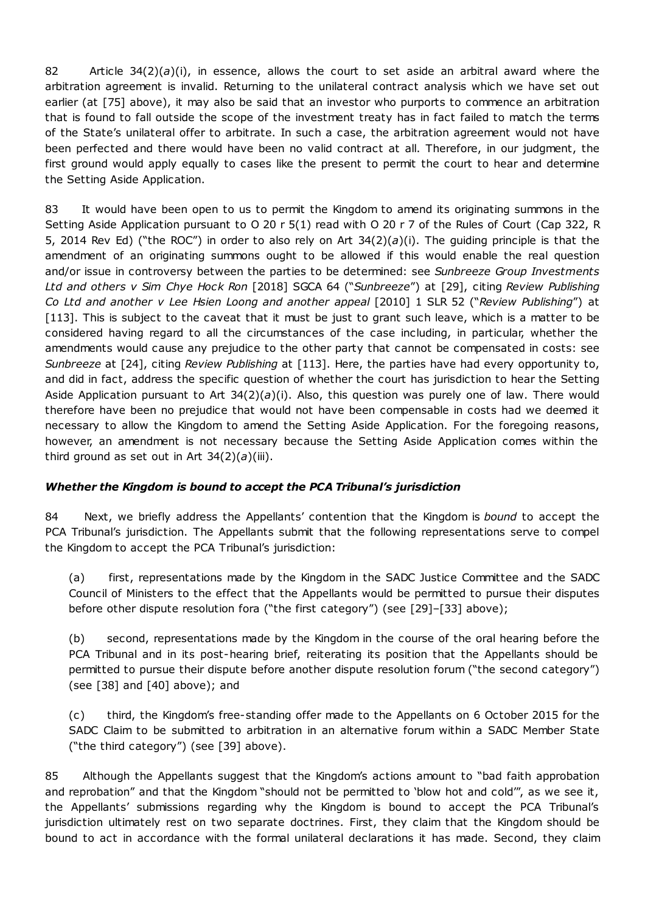82 Article 34(2)(*a*)(i), in essence, allows the court to set aside an arbitral award where the arbitration agreement is invalid. Returning to the unilateral contract analysis which we have set out earlier (at [75] above), it may also be said that an investor who purports to commence an arbitration that is found to fall outside the scope of the investment treaty has in fact failed to match the terms of the State's unilateral offer to arbitrate. In such a case, the arbitration agreement would not have been perfected and there would have been no valid contract at all. Therefore, in our judgment, the first ground would apply equally to cases like the present to permit the court to hear and determine the Setting Aside Application.

83 It would have been open to us to permit the Kingdom to amend its originating summons in the Setting Aside Application pursuant to O 20 r 5(1) read with O 20 r 7 of the Rules of Court (Cap 322, R 5, 2014 Rev Ed) ("the ROC") in order to also rely on Art 34(2)(*a*)(i). The guiding principle is that the amendment of an originating summons ought to be allowed if this would enable the real question and/or issue in controversy between the parties to be determined: see *Sunbreeze Group Investments Ltd and others v Sim Chye Hock Ron* [2018] SGCA 64 ("*Sunbreeze*") at [29], citing *Review Publishing Co Ltd and another v Lee Hsien Loong and another appeal* [2010] 1 SLR 52 ("*Review Publishing*") at [113]. This is subject to the caveat that it must be just to grant such leave, which is a matter to be considered having regard to all the circumstances of the case including, in particular, whether the amendments would cause any prejudice to the other party that cannot be compensated in costs: see *Sunbreeze* at [24], citing *Review Publishing* at [113]. Here, the parties have had every opportunity to, and did in fact, address the specific question of whether the court has jurisdiction to hear the Setting Aside Application pursuant to Art 34(2)(*a*)(i). Also, this question was purely one of law. There would therefore have been no prejudice that would not have been compensable in costs had we deemed it necessary to allow the Kingdom to amend the Setting Aside Application. For the foregoing reasons, however, an amendment is not necessary because the Setting Aside Application comes within the third ground as set out in Art  $34(2)(a)(iii)$ .

# *Whether the Kingdom is bound to accept the PCA Tribunal's jurisdiction*

84 Next, we briefly address the Appellants' contention that the Kingdom is *bound* to accept the PCA Tribunal's jurisdiction. The Appellants submit that the following representations serve to compel the Kingdom to accept the PCA Tribunal's jurisdiction:

(a) first, representations made by the Kingdom in the SADC Justice Committee and the SADC Council of Ministers to the effect that the Appellants would be permitted to pursue their disputes before other dispute resolution fora ("the first category") (see [29]–[33] above);

(b) second, representations made by the Kingdom in the course of the oral hearing before the PCA Tribunal and in its post-hearing brief, reiterating its position that the Appellants should be permitted to pursue their dispute before another dispute resolution forum ("the second category") (see [38] and [40] above); and

(c) third, the Kingdom's free-standing offer made to the Appellants on 6 October 2015 for the SADC Claim to be submitted to arbitration in an alternative forum within a SADC Member State ("the third category") (see [39] above).

85 Although the Appellants suggest that the Kingdom's actions amount to "bad faith approbation and reprobation" and that the Kingdom "should not be permitted to 'blow hot and cold'", as we see it, the Appellants' submissions regarding why the Kingdom is bound to accept the PCA Tribunal's jurisdiction ultimately rest on two separate doctrines. First, they claim that the Kingdom should be bound to act in accordance with the formal unilateral declarations it has made. Second, they claim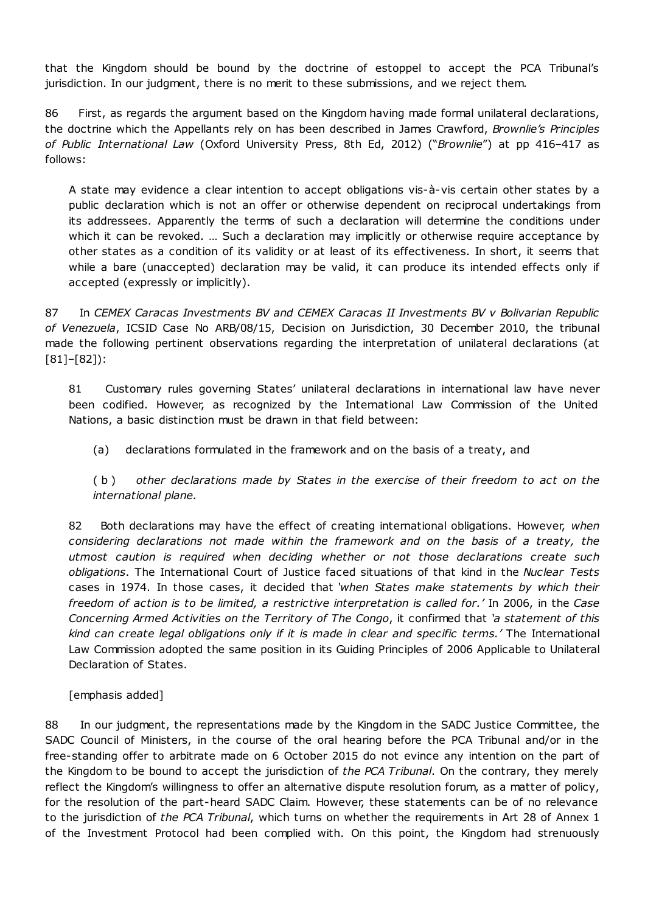that the Kingdom should be bound by the doctrine of estoppel to accept the PCA Tribunal's jurisdiction. In our judgment, there is no merit to these submissions, and we reject them.

86 First, as regards the argument based on the Kingdom having made formal unilateral declarations, the doctrine which the Appellants rely on has been described in James Crawford, *Brownlie's Principles of Public International Law* (Oxford University Press, 8th Ed, 2012) ("*Brownlie*") at pp 416–417 as follows:

A state may evidence a clear intention to accept obligations vis-à-vis certain other states by a public declaration which is not an offer or otherwise dependent on reciprocal undertakings from its addressees. Apparently the terms of such a declaration will determine the conditions under which it can be revoked. ... Such a declaration may implicitly or otherwise require acceptance by other states as a condition of its validity or at least of its effectiveness. In short, it seems that while a bare (unaccepted) declaration may be valid, it can produce its intended effects only if accepted (expressly or implicitly).

87 In *CEMEX Caracas Investments BV and CEMEX Caracas II Investments BV v Bolivarian Republic of Venezuela*, ICSID Case No ARB/08/15, Decision on Jurisdiction, 30 December 2010, the tribunal made the following pertinent observations regarding the interpretation of unilateral declarations (at [81]–[82]):

81 Customary rules governing States' unilateral declarations in international law have never been codified. However, as recognized by the International Law Commission of the United Nations, a basic distinction must be drawn in that field between:

(a) declarations formulated in the framework and on the basis of a treaty, and

( b ) *other declarations made by States in the exercise of their freedom to act on the international plane.*

82 Both declarations may have the effect of creating international obligations. However, *when considering declarations not made within the framework and on the basis of a treaty, the utmost caution is required when deciding whether or not those declarations create such obligations*. The International Court of Justice faced situations of that kind in the *Nuclear Tests* cases in 1974. In those cases, it decided that *'when States make statements by which their freedom of action is to be limited, a restrictive interpretation is called for.'* In 2006, in the *Case Concerning Armed Activities on the Territory of The Congo*, it confirmed that *'a statement of this kind can create legal obligations only if it is made in clear and specific terms.'* The International Law Commission adopted the same position in its Guiding Principles of 2006 Applicable to Unilateral Declaration of States.

[emphasis added]

88 In our judgment, the representations made by the Kingdom in the SADC Justice Committee, the SADC Council of Ministers, in the course of the oral hearing before the PCA Tribunal and/or in the free-standing offer to arbitrate made on 6 October 2015 do not evince any intention on the part of the Kingdom to be bound to accept the jurisdiction of *the PCA Tribunal*. On the contrary, they merely reflect the Kingdom's willingness to offer an alternative dispute resolution forum, as a matter of policy, for the resolution of the part-heard SADC Claim. However, these statements can be of no relevance to the jurisdiction of *the PCA Tribunal*, which turns on whether the requirements in Art 28 of Annex 1 of the Investment Protocol had been complied with. On this point, the Kingdom had strenuously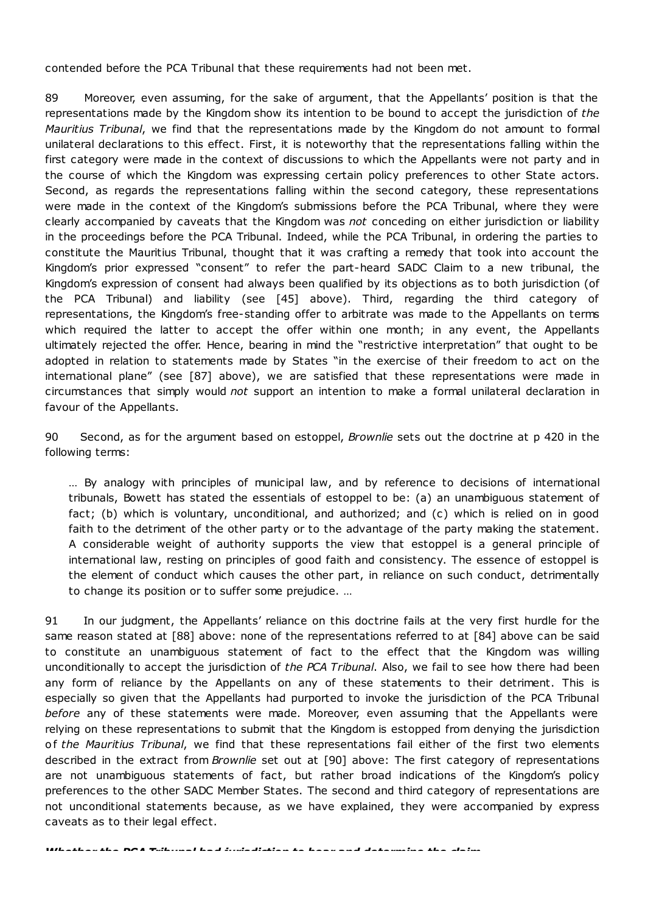contended before the PCA Tribunal that these requirements had not been met.

89 Moreover, even assuming, for the sake of argument, that the Appellants' position is that the representations made by the Kingdom show its intention to be bound to accept the jurisdiction of *the Mauritius Tribunal*, we find that the representations made by the Kingdom do not amount to formal unilateral declarations to this effect. First, it is noteworthy that the representations falling within the first category were made in the context of discussions to which the Appellants were not party and in the course of which the Kingdom was expressing certain policy preferences to other State actors. Second, as regards the representations falling within the second category, these representations were made in the context of the Kingdom's submissions before the PCA Tribunal, where they were clearly accompanied by caveats that the Kingdom was *not* conceding on either jurisdiction or liability in the proceedings before the PCA Tribunal. Indeed, while the PCA Tribunal, in ordering the parties to constitute the Mauritius Tribunal, thought that it was crafting a remedy that took into account the Kingdom's prior expressed "consent" to refer the part-heard SADC Claim to a new tribunal, the Kingdom's expression of consent had always been qualified by its objections as to both jurisdiction (of the PCA Tribunal) and liability (see [45] above). Third, regarding the third category of representations, the Kingdom's free-standing offer to arbitrate was made to the Appellants on terms which required the latter to accept the offer within one month; in any event, the Appellants ultimately rejected the offer. Hence, bearing in mind the "restrictive interpretation" that ought to be adopted in relation to statements made by States "in the exercise of their freedom to act on the international plane" (see [87] above), we are satisfied that these representations were made in circumstances that simply would *not* support an intention to make a formal unilateral declaration in favour of the Appellants.

90 Second, as for the argument based on estoppel, *Brownlie* sets out the doctrine at p 420 in the following terms:

… By analogy with principles of municipal law, and by reference to decisions of international tribunals, Bowett has stated the essentials of estoppel to be: (a) an unambiguous statement of fact; (b) which is voluntary, unconditional, and authorized; and (c) which is relied on in good faith to the detriment of the other party or to the advantage of the party making the statement. A considerable weight of authority supports the view that estoppel is a general principle of international law, resting on principles of good faith and consistency. The essence of estoppel is the element of conduct which causes the other part, in reliance on such conduct, detrimentally to change its position or to suffer some prejudice. …

91 In our judgment, the Appellants' reliance on this doctrine fails at the very first hurdle for the same reason stated at [88] above: none of the representations referred to at [84] above can be said to constitute an unambiguous statement of fact to the effect that the Kingdom was willing unconditionally to accept the jurisdiction of *the PCA Tribunal*. Also, we fail to see how there had been any form of reliance by the Appellants on any of these statements to their detriment. This is especially so given that the Appellants had purported to invoke the jurisdiction of the PCA Tribunal *before* any of these statements were made. Moreover, even assuming that the Appellants were relying on these representations to submit that the Kingdom is estopped from denying the jurisdiction o f *the Mauritius Tribunal*, we find that these representations fail either of the first two elements described in the extract from *Brownlie* set out at [90] above: The first category of representations are not unambiguous statements of fact, but rather broad indications of the Kingdom's policy preferences to the other SADC Member States. The second and third category of representations are not unconditional statements because, as we have explained, they were accompanied by express caveats as to their legal effect.

*Whether the PCA Tribunal had jurisdiction to hear and determine the claim*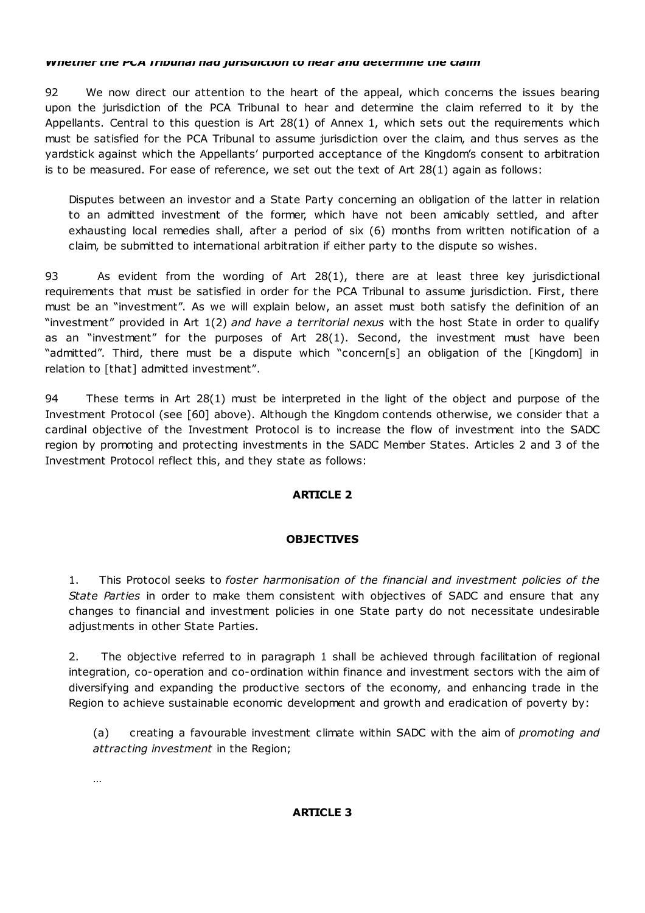#### *Whether the PCA Tribunal had jurisdiction to hear and determine the claim*

92 We now direct our attention to the heart of the appeal, which concerns the issues bearing upon the jurisdiction of the PCA Tribunal to hear and determine the claim referred to it by the Appellants. Central to this question is Art 28(1) of Annex 1, which sets out the requirements which must be satisfied for the PCA Tribunal to assume jurisdiction over the claim, and thus serves as the yardstick against which the Appellants' purported acceptance of the Kingdom's consent to arbitration is to be measured. For ease of reference, we set out the text of Art 28(1) again as follows:

Disputes between an investor and a State Party concerning an obligation of the latter in relation to an admitted investment of the former, which have not been amicably settled, and after exhausting local remedies shall, after a period of six (6) months from written notification of a claim, be submitted to international arbitration if either party to the dispute so wishes.

93 As evident from the wording of Art 28(1), there are at least three key jurisdictional requirements that must be satisfied in order for the PCA Tribunal to assume jurisdiction. First, there must be an "investment". As we will explain below, an asset must both satisfy the definition of an "investment" provided in Art 1(2) *and have a territorial nexus* with the host State in order to qualify as an "investment" for the purposes of Art 28(1). Second, the investment must have been "admitted". Third, there must be a dispute which "concern[s] an obligation of the [Kingdom] in relation to [that] admitted investment".

94 These terms in Art 28(1) must be interpreted in the light of the object and purpose of the Investment Protocol (see [60] above). Although the Kingdom contends otherwise, we consider that a cardinal objective of the Investment Protocol is to increase the flow of investment into the SADC region by promoting and protecting investments in the SADC Member States. Articles 2 and 3 of the Investment Protocol reflect this, and they state as follows:

# **ARTICLE 2**

# **OBJECTIVES**

1. This Protocol seeks to *foster harmonisation of the financial and investment policies of the State Parties* in order to make them consistent with objectives of SADC and ensure that any changes to financial and investment policies in one State party do not necessitate undesirable adjustments in other State Parties.

2. The objective referred to in paragraph 1 shall be achieved through facilitation of regional integration, co-operation and co-ordination within finance and investment sectors with the aim of diversifying and expanding the productive sectors of the economy, and enhancing trade in the Region to achieve sustainable economic development and growth and eradication of poverty by:

(a) creating a favourable investment climate within SADC with the aim of *promoting and attracting investment* in the Region;

…

### **ARTICLE 3**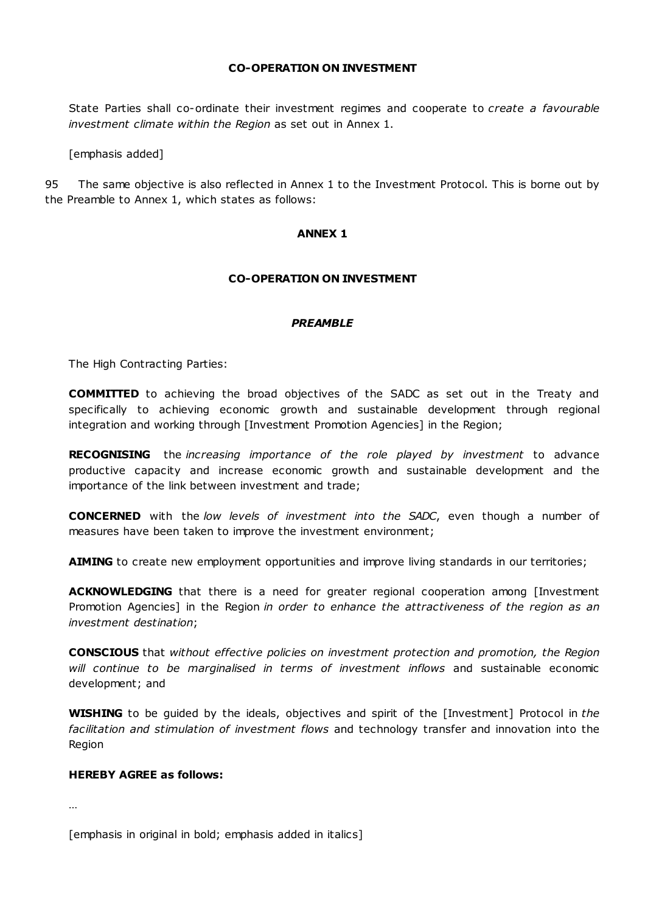### **CO-OPERATION ON INVESTMENT**

State Parties shall co-ordinate their investment regimes and cooperate to *create a favourable investment climate within the Region* as set out in Annex 1.

[emphasis added]

95 The same objective is also reflected in Annex 1 to the Investment Protocol. This is borne out by the Preamble to Annex 1, which states as follows:

#### **ANNEX 1**

#### **CO-OPERATION ON INVESTMENT**

#### *PREAMBLE*

The High Contracting Parties:

**COMMITTED** to achieving the broad objectives of the SADC as set out in the Treaty and specifically to achieving economic growth and sustainable development through regional integration and working through [Investment Promotion Agencies] in the Region;

**RECOGNISING** the *increasing importance of the role played by investment* to advance productive capacity and increase economic growth and sustainable development and the importance of the link between investment and trade;

**CONCERNED** with the *low levels of investment into the SADC*, even though a number of measures have been taken to improve the investment environment;

**AIMING** to create new employment opportunities and improve living standards in our territories;

**ACKNOWLEDGING** that there is a need for greater regional cooperation among [Investment Promotion Agencies] in the Region *in order to enhance the attractiveness of the region as an investment destination*;

**CONSCIOUS** that *without effective policies on investment protection and promotion, the Region will continue to be marginalised in terms of investment inflows* and sustainable economic development; and

**WISHING** to be guided by the ideals, objectives and spirit of the [Investment] Protocol in *the facilitation and stimulation of investment flows* and technology transfer and innovation into the Region

#### **HEREBY AGREE as follows:**

…

[emphasis in original in bold; emphasis added in italics]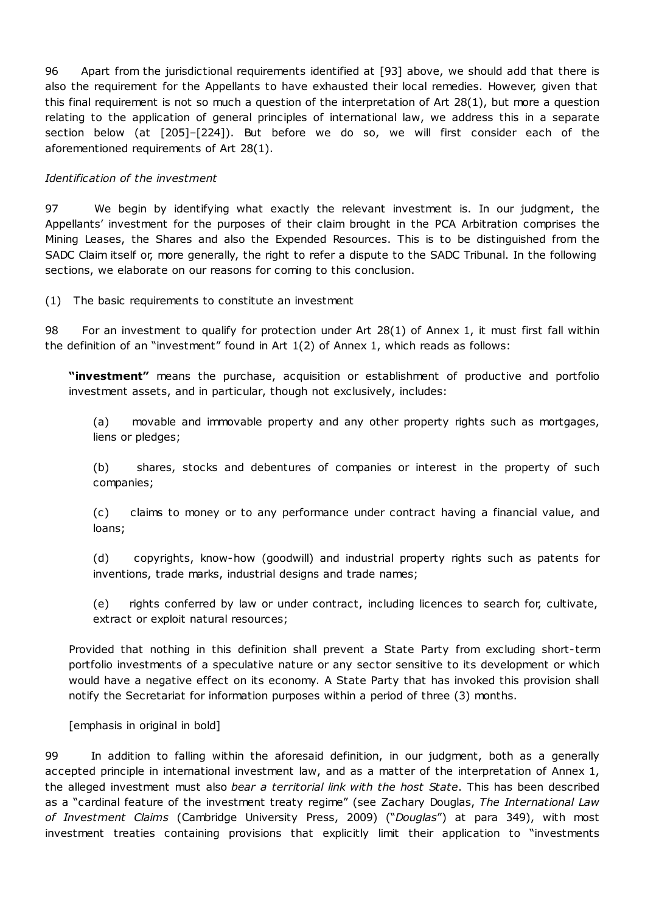96 Apart from the jurisdictional requirements identified at [93] above, we should add that there is also the requirement for the Appellants to have exhausted their local remedies. However, given that this final requirement is not so much a question of the interpretation of Art 28(1), but more a question relating to the application of general principles of international law, we address this in a separate section below (at [205]–[224]). But before we do so, we will first consider each of the aforementioned requirements of Art 28(1).

### *Identification of the investment*

97 We begin by identifying what exactly the relevant investment is. In our judgment, the Appellants' investment for the purposes of their claim brought in the PCA Arbitration comprises the Mining Leases, the Shares and also the Expended Resources. This is to be distinguished from the SADC Claim itself or, more generally, the right to refer a dispute to the SADC Tribunal. In the following sections, we elaborate on our reasons for coming to this conclusion.

(1) The basic requirements to constitute an investment

98 For an investment to qualify for protection under Art 28(1) of Annex 1, it must first fall within the definition of an "investment" found in Art 1(2) of Annex 1, which reads as follows:

**"investment"** means the purchase, acquisition or establishment of productive and portfolio investment assets, and in particular, though not exclusively, includes:

(a) movable and immovable property and any other property rights such as mortgages, liens or pledges;

(b) shares, stocks and debentures of companies or interest in the property of such companies;

(c) claims to money or to any performance under contract having a financial value, and loans;

(d) copyrights, know-how (goodwill) and industrial property rights such as patents for inventions, trade marks, industrial designs and trade names;

(e) rights conferred by law or under contract, including licences to search for, cultivate, extract or exploit natural resources;

Provided that nothing in this definition shall prevent a State Party from excluding short-term portfolio investments of a speculative nature or any sector sensitive to its development or which would have a negative effect on its economy. A State Party that has invoked this provision shall notify the Secretariat for information purposes within a period of three (3) months.

[emphasis in original in bold]

99 In addition to falling within the aforesaid definition, in our judgment, both as a generally accepted principle in international investment law, and as a matter of the interpretation of Annex 1, the alleged investment must also *bear a territorial link with the host State*. This has been described as a "cardinal feature of the investment treaty regime" (see Zachary Douglas, *The International Law of Investment Claims* (Cambridge University Press, 2009) ("*Douglas*") at para 349), with most investment treaties containing provisions that explicitly limit their application to "investments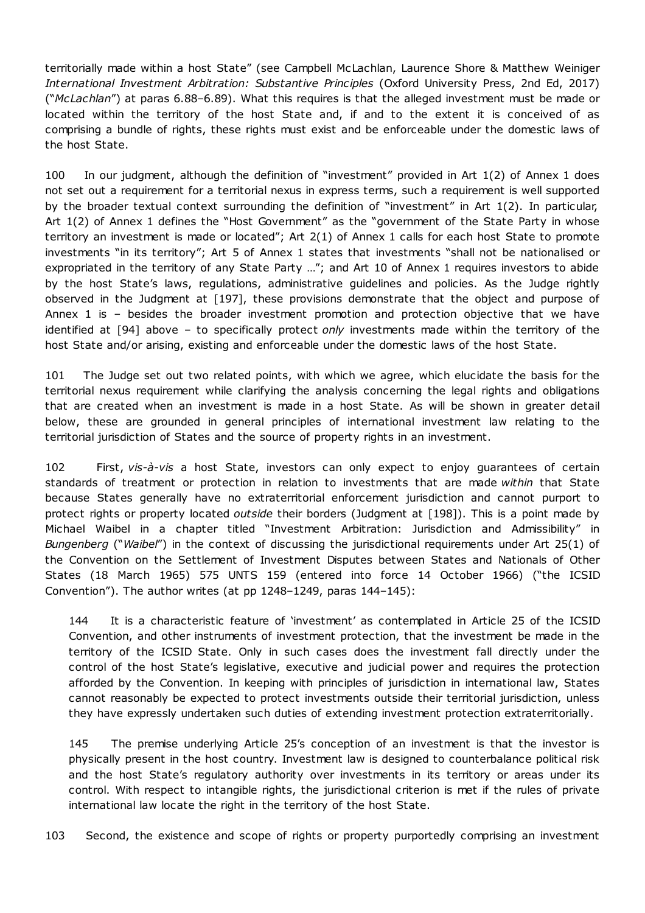territorially made within a host State" (see Campbell McLachlan, Laurence Shore & Matthew Weiniger *International Investment Arbitration: Substantive Principles* (Oxford University Press, 2nd Ed, 2017) ("*McLachlan*") at paras 6.88–6.89). What this requires is that the alleged investment must be made or located within the territory of the host State and, if and to the extent it is conceived of as comprising a bundle of rights, these rights must exist and be enforceable under the domestic laws of the host State.

100 In our judgment, although the definition of "investment" provided in Art 1(2) of Annex 1 does not set out a requirement for a territorial nexus in express terms, such a requirement is well supported by the broader textual context surrounding the definition of "investment" in Art 1(2). In particular, Art 1(2) of Annex 1 defines the "Host Government" as the "government of the State Party in whose territory an investment is made or located"; Art 2(1) of Annex 1 calls for each host State to promote investments "in its territory"; Art 5 of Annex 1 states that investments "shall not be nationalised or expropriated in the territory of any State Party …"; and Art 10 of Annex 1 requires investors to abide by the host State's laws, regulations, administrative guidelines and policies. As the Judge rightly observed in the Judgment at [197], these provisions demonstrate that the object and purpose of Annex 1 is – besides the broader investment promotion and protection objective that we have identified at [94] above – to specifically protect *only* investments made within the territory of the host State and/or arising, existing and enforceable under the domestic laws of the host State.

101 The Judge set out two related points, with which we agree, which elucidate the basis for the territorial nexus requirement while clarifying the analysis concerning the legal rights and obligations that are created when an investment is made in a host State. As will be shown in greater detail below, these are grounded in general principles of international investment law relating to the territorial jurisdiction of States and the source of property rights in an investment.

102 First, *vis-à-vis* a host State, investors can only expect to enjoy guarantees of certain standards of treatment or protection in relation to investments that are made *within* that State because States generally have no extraterritorial enforcement jurisdiction and cannot purport to protect rights or property located *outside* their borders (Judgment at [198]). This is a point made by Michael Waibel in a chapter titled "Investment Arbitration: Jurisdiction and Admissibility" in *Bungenberg* ("*Waibel*") in the context of discussing the jurisdictional requirements under Art 25(1) of the Convention on the Settlement of Investment Disputes between States and Nationals of Other States (18 March 1965) 575 UNTS 159 (entered into force 14 October 1966) ("the ICSID Convention"). The author writes (at pp 1248–1249, paras 144–145):

144 It is a characteristic feature of 'investment' as contemplated in Article 25 of the ICSID Convention, and other instruments of investment protection, that the investment be made in the territory of the ICSID State. Only in such cases does the investment fall directly under the control of the host State's legislative, executive and judicial power and requires the protection afforded by the Convention. In keeping with principles of jurisdiction in international law, States cannot reasonably be expected to protect investments outside their territorial jurisdiction, unless they have expressly undertaken such duties of extending investment protection extraterritorially.

145 The premise underlying Article 25's conception of an investment is that the investor is physically present in the host country. Investment law is designed to counterbalance political risk and the host State's regulatory authority over investments in its territory or areas under its control. With respect to intangible rights, the jurisdictional criterion is met if the rules of private international law locate the right in the territory of the host State.

103 Second, the existence and scope of rights or property purportedly comprising an investment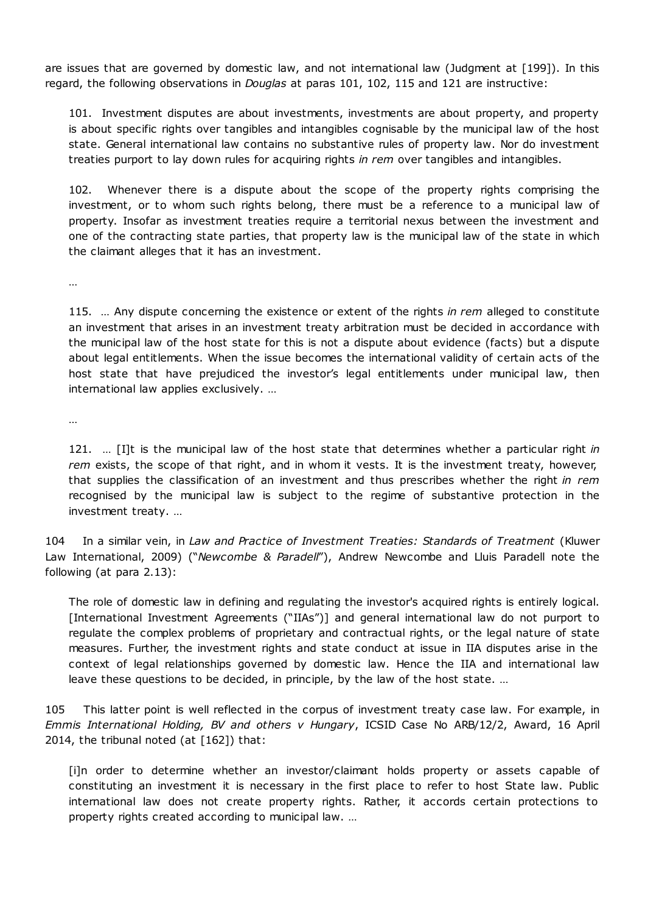are issues that are governed by domestic law, and not international law (Judgment at [199]). In this regard, the following observations in *Douglas* at paras 101, 102, 115 and 121 are instructive:

101. Investment disputes are about investments, investments are about property, and property is about specific rights over tangibles and intangibles cognisable by the municipal law of the host state. General international law contains no substantive rules of property law. Nor do investment treaties purport to lay down rules for acquiring rights *in rem* over tangibles and intangibles.

102. Whenever there is a dispute about the scope of the property rights comprising the investment, or to whom such rights belong, there must be a reference to a municipal law of property. Insofar as investment treaties require a territorial nexus between the investment and one of the contracting state parties, that property law is the municipal law of the state in which the claimant alleges that it has an investment.

…

115. … Any dispute concerning the existence or extent of the rights *in rem* alleged to constitute an investment that arises in an investment treaty arbitration must be decided in accordance with the municipal law of the host state for this is not a dispute about evidence (facts) but a dispute about legal entitlements. When the issue becomes the international validity of certain acts of the host state that have prejudiced the investor's legal entitlements under municipal law, then international law applies exclusively. …

…

121. … [I]t is the municipal law of the host state that determines whether a particular right *in rem* exists, the scope of that right, and in whom it vests. It is the investment treaty, however, that supplies the classification of an investment and thus prescribes whether the right *in rem* recognised by the municipal law is subject to the regime of substantive protection in the investment treaty. …

104 In a similar vein, in *Law and Practice of Investment Treaties: Standards of Treatment* (Kluwer Law International, 2009) ("*Newcombe & Paradell*"), Andrew Newcombe and Lluis Paradell note the following (at para 2.13):

The role of domestic law in defining and regulating the investor's acquired rights is entirely logical. [International Investment Agreements ("IIAs")] and general international law do not purport to regulate the complex problems of proprietary and contractual rights, or the legal nature of state measures. Further, the investment rights and state conduct at issue in IIA disputes arise in the context of legal relationships governed by domestic law. Hence the IIA and international law leave these questions to be decided, in principle, by the law of the host state. …

105 This latter point is well reflected in the corpus of investment treaty case law. For example, in *Emmis International Holding, BV and others v Hungary*, ICSID Case No ARB/12/2, Award, 16 April 2014, the tribunal noted (at [162]) that:

[i]n order to determine whether an investor/claimant holds property or assets capable of constituting an investment it is necessary in the first place to refer to host State law. Public international law does not create property rights. Rather, it accords certain protections to property rights created according to municipal law. …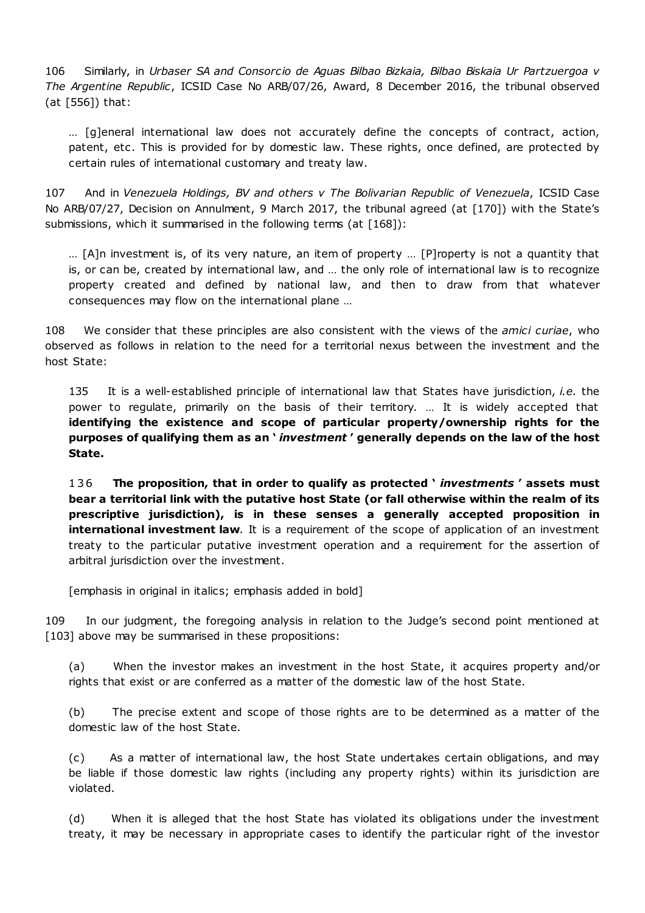106 Similarly, in *Urbaser SA and Consorcio de Aguas Bilbao Bizkaia, Bilbao Biskaia Ur Partzuergoa v The Argentine Republic*, ICSID Case No ARB/07/26, Award, 8 December 2016, the tribunal observed (at [556]) that:

… [g]eneral international law does not accurately define the concepts of contract, action, patent, etc. This is provided for by domestic law. These rights, once defined, are protected by certain rules of international customary and treaty law.

107 And in *Venezuela Holdings, BV and others v The Bolivarian Republic of Venezuela*, ICSID Case No ARB/07/27, Decision on Annulment, 9 March 2017, the tribunal agreed (at [170]) with the State's submissions, which it summarised in the following terms (at [168]):

… [A]n investment is, of its very nature, an item of property … [P]roperty is not a quantity that is, or can be, created by international law, and … the only role of international law is to recognize property created and defined by national law, and then to draw from that whatever consequences may flow on the international plane …

108 We consider that these principles are also consistent with the views of the *amici curiae*, who observed as follows in relation to the need for a territorial nexus between the investment and the host State:

135 It is a well-established principle of international law that States have jurisdiction, *i.e.* the power to regulate, primarily on the basis of their territory. … It is widely accepted that **identifying the existence and scope of particular property/ownership rights for the purposes of qualifying them as an '** *investment* **' generally depends on the law of the host State.**

1 3 6 **The proposition, that in order to qualify as protected '** *investments* **' assets must bear a territorial link with the putative host State (or fall otherwise within the realm of its prescriptive jurisdiction), is in these senses a generally accepted proposition in international <b>investment** law. It is a requirement of the scope of application of an investment treaty to the particular putative investment operation and a requirement for the assertion of arbitral jurisdiction over the investment.

[emphasis in original in italics; emphasis added in bold]

109 In our judgment, the foregoing analysis in relation to the Judge's second point mentioned at [103] above may be summarised in these propositions:

(a) When the investor makes an investment in the host State, it acquires property and/or rights that exist or are conferred as a matter of the domestic law of the host State.

(b) The precise extent and scope of those rights are to be determined as a matter of the domestic law of the host State.

(c) As a matter of international law, the host State undertakes certain obligations, and may be liable if those domestic law rights (including any property rights) within its jurisdiction are violated.

(d) When it is alleged that the host State has violated its obligations under the investment treaty, it may be necessary in appropriate cases to identify the particular right of the investor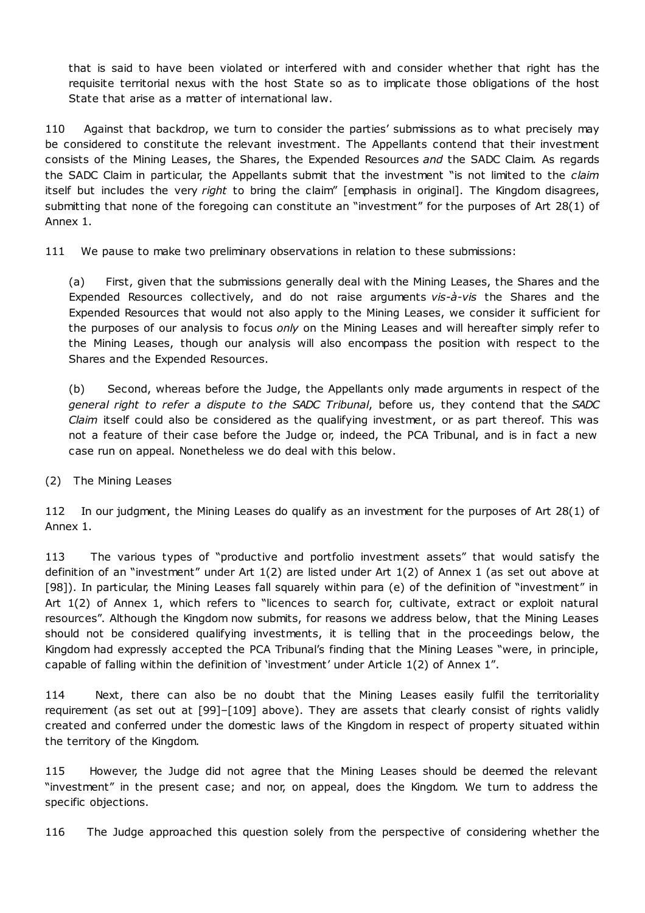that is said to have been violated or interfered with and consider whether that right has the requisite territorial nexus with the host State so as to implicate those obligations of the host State that arise as a matter of international law.

110 Against that backdrop, we turn to consider the parties' submissions as to what precisely may be considered to constitute the relevant investment. The Appellants contend that their investment consists of the Mining Leases, the Shares, the Expended Resources *and* the SADC Claim. As regards the SADC Claim in particular, the Appellants submit that the investment "is not limited to the *claim* itself but includes the very *right* to bring the claim" [emphasis in original]. The Kingdom disagrees, submitting that none of the foregoing can constitute an "investment" for the purposes of Art 28(1) of Annex 1.

111 We pause to make two preliminary observations in relation to these submissions:

(a) First, given that the submissions generally deal with the Mining Leases, the Shares and the Expended Resources collectively, and do not raise arguments *vis-à-vis* the Shares and the Expended Resources that would not also apply to the Mining Leases, we consider it sufficient for the purposes of our analysis to focus *only* on the Mining Leases and will hereafter simply refer to the Mining Leases, though our analysis will also encompass the position with respect to the Shares and the Expended Resources.

(b) Second, whereas before the Judge, the Appellants only made arguments in respect of the *general right to refer a dispute to the SADC Tribunal*, before us, they contend that the *SADC Claim* itself could also be considered as the qualifying investment, or as part thereof. This was not a feature of their case before the Judge or, indeed, the PCA Tribunal, and is in fact a new case run on appeal. Nonetheless we do deal with this below.

(2) The Mining Leases

112 In our judgment, the Mining Leases do qualify as an investment for the purposes of Art 28(1) of Annex 1.

113 The various types of "productive and portfolio investment assets" that would satisfy the definition of an "investment" under Art 1(2) are listed under Art 1(2) of Annex 1 (as set out above at [98]). In particular, the Mining Leases fall squarely within para (e) of the definition of "investment" in Art 1(2) of Annex 1, which refers to "licences to search for, cultivate, extract or exploit natural resources". Although the Kingdom now submits, for reasons we address below, that the Mining Leases should not be considered qualifying investments, it is telling that in the proceedings below, the Kingdom had expressly accepted the PCA Tribunal's finding that the Mining Leases "were, in principle, capable of falling within the definition of 'investment' under Article 1(2) of Annex 1".

114 Next, there can also be no doubt that the Mining Leases easily fulfil the territoriality requirement (as set out at [99]–[109] above). They are assets that clearly consist of rights validly created and conferred under the domestic laws of the Kingdom in respect of property situated within the territory of the Kingdom.

115 However, the Judge did not agree that the Mining Leases should be deemed the relevant "investment" in the present case; and nor, on appeal, does the Kingdom. We turn to address the specific objections.

116 The Judge approached this question solely from the perspective of considering whether the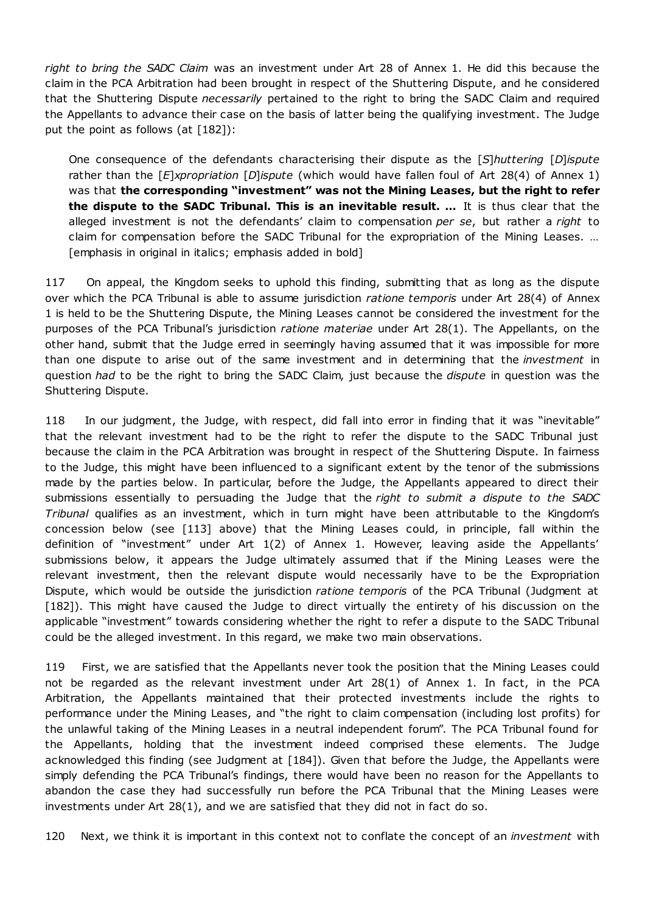*right to bring the SADC Claim* was an investment under Art 28 of Annex 1. He did this because the claim in the PCA Arbitration had been brought in respect of the Shuttering Dispute, and he considered that the Shuttering Dispute *necessarily* pertained to the right to bring the SADC Claim and required the Appellants to advance their case on the basis of latter being the qualifying investment. The Judge put the point as follows (at  $[182]$ ):

One consequence of the defendants characterising their dispute as the [*S*]*huttering* [*D*]*ispute* rather than the [*E*]*xpropriation* [*D*]*ispute* (which would have fallen foul of Art 28(4) of Annex 1) was that **the corresponding "investment" was not the Mining Leases, but the right to refer the dispute to the SADC Tribunal. This is an inevitable result. …** It is thus clear that the alleged investment is not the defendants' claim to compensation *per se*, but rather a *right* to claim for compensation before the SADC Tribunal for the expropriation of the Mining Leases. … [emphasis in original in italics; emphasis added in bold]

117 On appeal, the Kingdom seeks to uphold this finding, submitting that as long as the dispute over which the PCA Tribunal is able to assume jurisdiction *ratione temporis* under Art 28(4) of Annex 1 is held to be the Shuttering Dispute, the Mining Leases cannot be considered the investment for the purposes of the PCA Tribunal's jurisdiction *ratione materiae* under Art 28(1). The Appellants, on the other hand, submit that the Judge erred in seemingly having assumed that it was impossible for more than one dispute to arise out of the same investment and in determining that the *investment* in question *had* to be the right to bring the SADC Claim, just because the *dispute* in question was the Shuttering Dispute.

118 In our judgment, the Judge, with respect, did fall into error in finding that it was "inevitable" that the relevant investment had to be the right to refer the dispute to the SADC Tribunal just because the claim in the PCA Arbitration was brought in respect of the Shuttering Dispute. In fairness to the Judge, this might have been influenced to a significant extent by the tenor of the submissions made by the parties below. In particular, before the Judge, the Appellants appeared to direct their submissions essentially to persuading the Judge that the *right to submit a dispute to the SADC Tribunal* qualifies as an investment, which in turn might have been attributable to the Kingdom's concession below (see [113] above) that the Mining Leases could, in principle, fall within the definition of "investment" under Art 1(2) of Annex 1. However, leaving aside the Appellants' submissions below, it appears the Judge ultimately assumed that if the Mining Leases were the relevant investment, then the relevant dispute would necessarily have to be the Expropriation Dispute, which would be outside the jurisdiction *ratione temporis* of the PCA Tribunal (Judgment at [182]). This might have caused the Judge to direct virtually the entirety of his discussion on the applicable "investment" towards considering whether the right to refer a dispute to the SADC Tribunal could be the alleged investment. In this regard, we make two main observations.

119 First, we are satisfied that the Appellants never took the position that the Mining Leases could not be regarded as the relevant investment under Art 28(1) of Annex 1. In fact, in the PCA Arbitration, the Appellants maintained that their protected investments include the rights to performance under the Mining Leases, and "the right to claim compensation (including lost profits) for the unlawful taking of the Mining Leases in a neutral independent forum". The PCA Tribunal found for the Appellants, holding that the investment indeed comprised these elements. The Judge acknowledged this finding (see Judgment at [184]). Given that before the Judge, the Appellants were simply defending the PCA Tribunal's findings, there would have been no reason for the Appellants to abandon the case they had successfully run before the PCA Tribunal that the Mining Leases were investments under Art 28(1), and we are satisfied that they did not in fact do so.

120 Next, we think it is important in this context not to conflate the concept of an *investment* with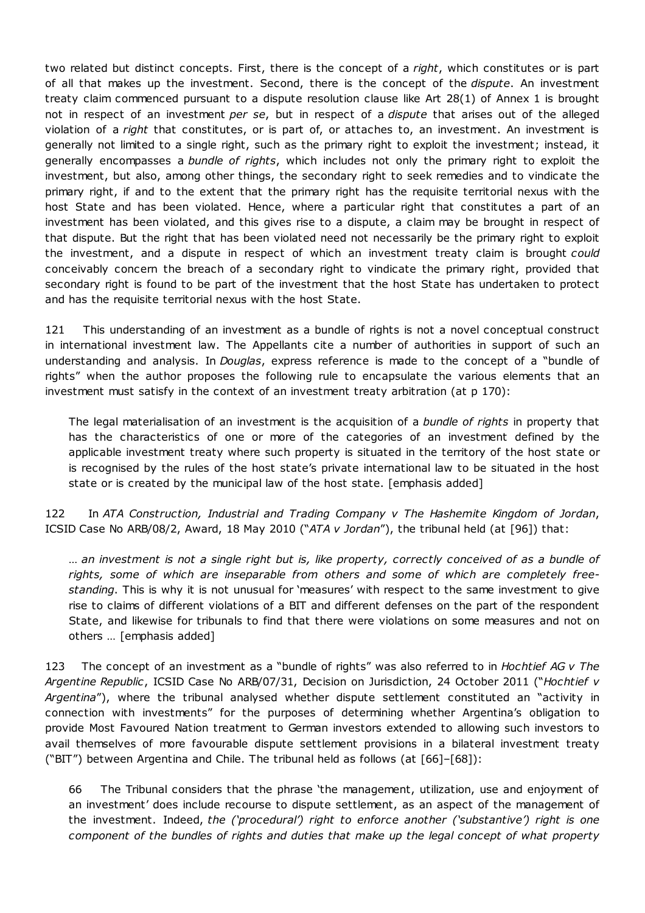two related but distinct concepts. First, there is the concept of a *right*, which constitutes or is part of all that makes up the investment. Second, there is the concept of the *dispute*. An investment treaty claim commenced pursuant to a dispute resolution clause like Art 28(1) of Annex 1 is brought not in respect of an investment *per se*, but in respect of a *dispute* that arises out of the alleged violation of a *right* that constitutes, or is part of, or attaches to, an investment. An investment is generally not limited to a single right, such as the primary right to exploit the investment; instead, it generally encompasses a *bundle of rights*, which includes not only the primary right to exploit the investment, but also, among other things, the secondary right to seek remedies and to vindicate the primary right, if and to the extent that the primary right has the requisite territorial nexus with the host State and has been violated. Hence, where a particular right that constitutes a part of an investment has been violated, and this gives rise to a dispute, a claim may be brought in respect of that dispute. But the right that has been violated need not necessarily be the primary right to exploit the investment, and a dispute in respect of which an investment treaty claim is brought *could* conceivably concern the breach of a secondary right to vindicate the primary right, provided that secondary right is found to be part of the investment that the host State has undertaken to protect and has the requisite territorial nexus with the host State.

121 This understanding of an investment as a bundle of rights is not a novel conceptual construct in international investment law. The Appellants cite a number of authorities in support of such an understanding and analysis. In *Douglas*, express reference is made to the concept of a "bundle of rights" when the author proposes the following rule to encapsulate the various elements that an investment must satisfy in the context of an investment treaty arbitration (at p 170):

The legal materialisation of an investment is the acquisition of a *bundle of rights* in property that has the characteristics of one or more of the categories of an investment defined by the applicable investment treaty where such property is situated in the territory of the host state or is recognised by the rules of the host state's private international law to be situated in the host state or is created by the municipal law of the host state. [emphasis added]

122 In *ATA Construction, Industrial and Trading Company v The Hashemite Kingdom of Jordan*, ICSID Case No ARB/08/2, Award, 18 May 2010 ("*ATA v Jordan*"), the tribunal held (at [96]) that:

… *an investment is not a single right but is, like property, correctly conceived of as a bundle of rights, some of which are inseparable from others and some of which are completely freestanding*. This is why it is not unusual for 'measures' with respect to the same investment to give rise to claims of different violations of a BIT and different defenses on the part of the respondent State, and likewise for tribunals to find that there were violations on some measures and not on others … [emphasis added]

123 The concept of an investment as a "bundle of rights" was also referred to in *Hochtief AG v The Argentine Republic*, ICSID Case No ARB/07/31, Decision on Jurisdiction, 24 October 2011 ("*Hochtief v Argentina*"), where the tribunal analysed whether dispute settlement constituted an "activity in connection with investments" for the purposes of determining whether Argentina's obligation to provide Most Favoured Nation treatment to German investors extended to allowing such investors to avail themselves of more favourable dispute settlement provisions in a bilateral investment treaty ("BIT") between Argentina and Chile. The tribunal held as follows (at [66]–[68]):

66 The Tribunal considers that the phrase 'the management, utilization, use and enjoyment of an investment' does include recourse to dispute settlement, as an aspect of the management of the investment. Indeed, *the ('procedural') right to enforce another ('substantive') right is one component of the bundles of rights and duties that make up the legal concept of what property*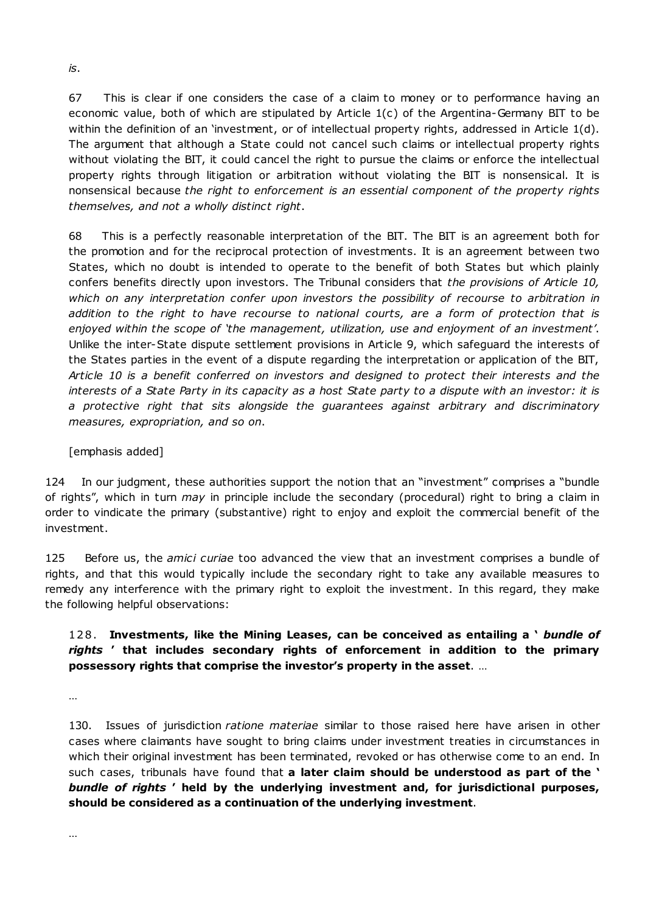67 This is clear if one considers the case of a claim to money or to performance having an economic value, both of which are stipulated by Article 1(c) of the Argentina-Germany BIT to be within the definition of an 'investment, or of intellectual property rights, addressed in Article 1(d). The argument that although a State could not cancel such claims or intellectual property rights without violating the BIT, it could cancel the right to pursue the claims or enforce the intellectual property rights through litigation or arbitration without violating the BIT is nonsensical. It is nonsensical because *the right to enforcement is an essential component of the property rights themselves, and not a wholly distinct right*.

68 This is a perfectly reasonable interpretation of the BIT. The BIT is an agreement both for the promotion and for the reciprocal protection of investments. It is an agreement between two States, which no doubt is intended to operate to the benefit of both States but which plainly confers benefits directly upon investors. The Tribunal considers that *the provisions of Article 10, which on any interpretation confer upon investors the possibility of recourse to arbitration in addition to the right to have recourse to national courts, are a form of protection that is enjoyed within the scope of 'the management, utilization, use and enjoyment of an investment'*. Unlike the inter-State dispute settlement provisions in Article 9, which safeguard the interests of the States parties in the event of a dispute regarding the interpretation or application of the BIT, *Article 10 is a benefit conferred on investors and designed to protect their interests and the* interests of a State Party in its capacity as a host State party to a dispute with an investor: it is *a protective right that sits alongside the guarantees against arbitrary and discriminatory measures, expropriation, and so on*.

### [emphasis added]

124 In our judgment, these authorities support the notion that an "investment" comprises a "bundle of rights", which in turn *may* in principle include the secondary (procedural) right to bring a claim in order to vindicate the primary (substantive) right to enjoy and exploit the commercial benefit of the investment.

125 Before us, the *amici curiae* too advanced the view that an investment comprises a bundle of rights, and that this would typically include the secondary right to take any available measures to remedy any interference with the primary right to exploit the investment. In this regard, they make the following helpful observations:

# 128. **Investments, like the Mining Leases, can be conceived as entailing a '** *bundle of rights* **' that includes secondary rights of enforcement in addition to the primary possessory rights that comprise the investor's property in the asset**. …

…

130. Issues of jurisdiction *ratione materiae* similar to those raised here have arisen in other cases where claimants have sought to bring claims under investment treaties in circumstances in which their original investment has been terminated, revoked or has otherwise come to an end. In such cases, tribunals have found that **a later claim should be understood as part of the '** *bundle of rights* **' held by the underlying investment and, for jurisdictional purposes, should be considered as a continuation of the underlying investment**.

*is*.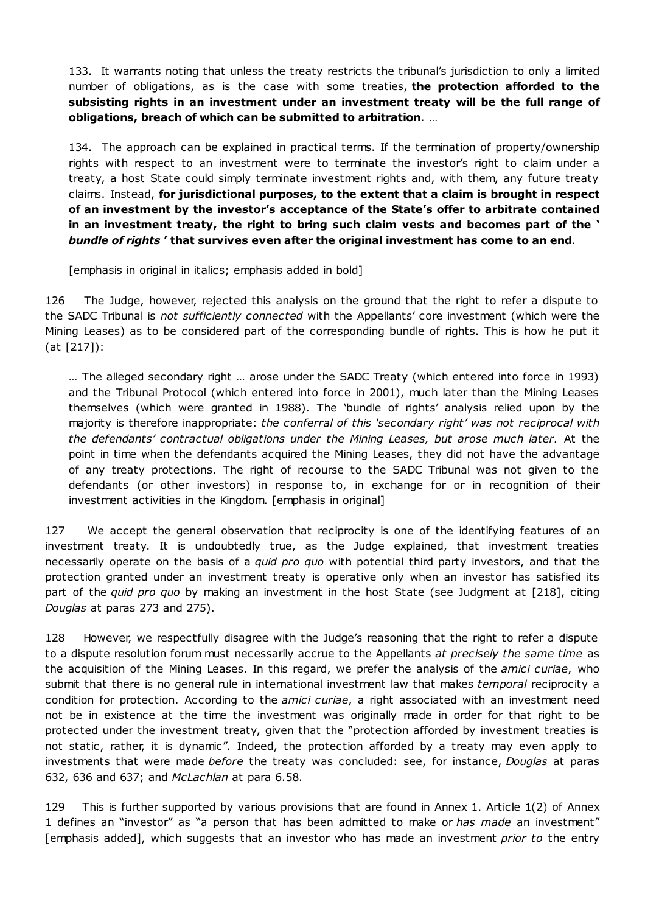133. It warrants noting that unless the treaty restricts the tribunal's jurisdiction to only a limited number of obligations, as is the case with some treaties, **the protection afforded to the subsisting rights in an investment under an investment treaty will be the full range of obligations, breach of which can be submitted to arbitration**. …

134. The approach can be explained in practical terms. If the termination of property/ownership rights with respect to an investment were to terminate the investor's right to claim under a treaty, a host State could simply terminate investment rights and, with them, any future treaty claims. Instead, **for jurisdictional purposes, to the extent that a claim is brought in respect of an investment by the investor's acceptance of the State's offer to arbitrate contained in an investment treaty, the right to bring such claim vests and becomes part of the '** *bundle of rights* **' that survives even after the original investment has come to an end**.

[emphasis in original in italics; emphasis added in bold]

126 The Judge, however, rejected this analysis on the ground that the right to refer a dispute to the SADC Tribunal is *not sufficiently connected* with the Appellants' core investment (which were the Mining Leases) as to be considered part of the corresponding bundle of rights. This is how he put it (at [217]):

… The alleged secondary right … arose under the SADC Treaty (which entered into force in 1993) and the Tribunal Protocol (which entered into force in 2001), much later than the Mining Leases themselves (which were granted in 1988). The 'bundle of rights' analysis relied upon by the majority is therefore inappropriate: *the conferral of this 'secondary right' was not reciprocal with the defendants' contractual obligations under the Mining Leases, but arose much later.* At the point in time when the defendants acquired the Mining Leases, they did not have the advantage of any treaty protections. The right of recourse to the SADC Tribunal was not given to the defendants (or other investors) in response to, in exchange for or in recognition of their investment activities in the Kingdom. [emphasis in original]

127 We accept the general observation that reciprocity is one of the identifying features of an investment treaty. It is undoubtedly true, as the Judge explained, that investment treaties necessarily operate on the basis of a *quid pro quo* with potential third party investors, and that the protection granted under an investment treaty is operative only when an investor has satisfied its part of the *quid pro quo* by making an investment in the host State (see Judgment at [218], citing *Douglas* at paras 273 and 275).

128 However, we respectfully disagree with the Judge's reasoning that the right to refer a dispute to a dispute resolution forum must necessarily accrue to the Appellants *at precisely the same time* as the acquisition of the Mining Leases. In this regard, we prefer the analysis of the *amici curiae*, who submit that there is no general rule in international investment law that makes *temporal* reciprocity a condition for protection. According to the *amici curiae*, a right associated with an investment need not be in existence at the time the investment was originally made in order for that right to be protected under the investment treaty, given that the "protection afforded by investment treaties is not static, rather, it is dynamic". Indeed, the protection afforded by a treaty may even apply to investments that were made *before* the treaty was concluded: see, for instance, *Douglas* at paras 632, 636 and 637; and *McLachlan* at para 6.58.

129 This is further supported by various provisions that are found in Annex 1. Article 1(2) of Annex 1 defines an "investor" as "a person that has been admitted to make or *has made* an investment" [emphasis added], which suggests that an investor who has made an investment *prior to* the entry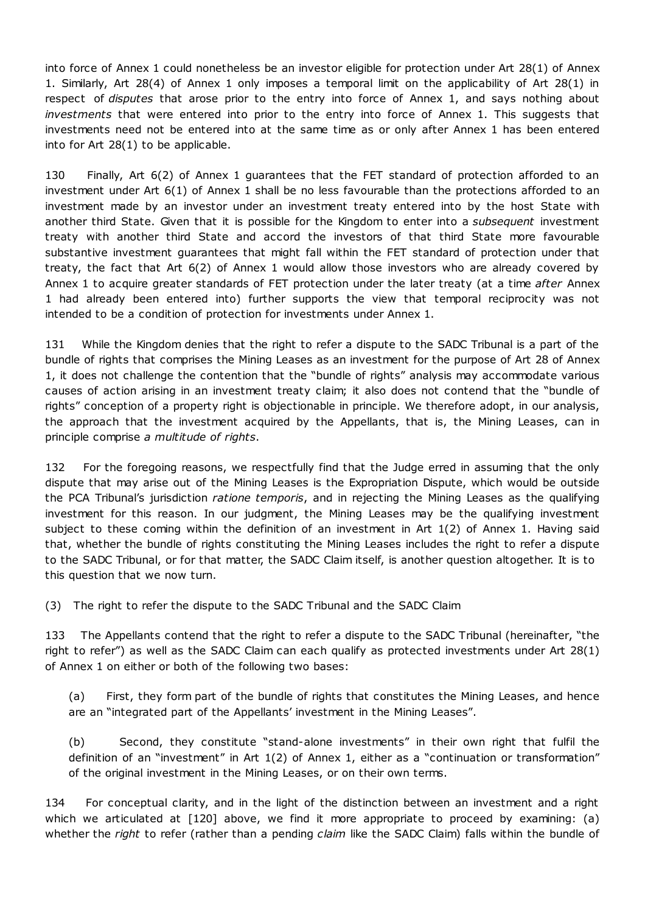into force of Annex 1 could nonetheless be an investor eligible for protection under Art 28(1) of Annex 1. Similarly, Art 28(4) of Annex 1 only imposes a temporal limit on the applicability of Art 28(1) in respect of *disputes* that arose prior to the entry into force of Annex 1, and says nothing about *investments* that were entered into prior to the entry into force of Annex 1. This suggests that investments need not be entered into at the same time as or only after Annex 1 has been entered into for Art 28(1) to be applicable.

130 Finally, Art 6(2) of Annex 1 guarantees that the FET standard of protection afforded to an investment under Art 6(1) of Annex 1 shall be no less favourable than the protections afforded to an investment made by an investor under an investment treaty entered into by the host State with another third State. Given that it is possible for the Kingdom to enter into a *subsequent* investment treaty with another third State and accord the investors of that third State more favourable substantive investment guarantees that might fall within the FET standard of protection under that treaty, the fact that Art 6(2) of Annex 1 would allow those investors who are already covered by Annex 1 to acquire greater standards of FET protection under the later treaty (at a time *after* Annex 1 had already been entered into) further supports the view that temporal reciprocity was not intended to be a condition of protection for investments under Annex 1.

131 While the Kingdom denies that the right to refer a dispute to the SADC Tribunal is a part of the bundle of rights that comprises the Mining Leases as an investment for the purpose of Art 28 of Annex 1, it does not challenge the contention that the "bundle of rights" analysis may accommodate various causes of action arising in an investment treaty claim; it also does not contend that the "bundle of rights" conception of a property right is objectionable in principle. We therefore adopt, in our analysis, the approach that the investment acquired by the Appellants, that is, the Mining Leases, can in principle comprise *a multitude of rights*.

132 For the foregoing reasons, we respectfully find that the Judge erred in assuming that the only dispute that may arise out of the Mining Leases is the Expropriation Dispute, which would be outside the PCA Tribunal's jurisdiction *ratione temporis*, and in rejecting the Mining Leases as the qualifying investment for this reason. In our judgment, the Mining Leases may be the qualifying investment subject to these coming within the definition of an investment in Art 1(2) of Annex 1. Having said that, whether the bundle of rights constituting the Mining Leases includes the right to refer a dispute to the SADC Tribunal, or for that matter, the SADC Claim itself, is another question altogether. It is to this question that we now turn.

(3) The right to refer the dispute to the SADC Tribunal and the SADC Claim

133 The Appellants contend that the right to refer a dispute to the SADC Tribunal (hereinafter, "the right to refer") as well as the SADC Claim can each qualify as protected investments under Art 28(1) of Annex 1 on either or both of the following two bases:

(a) First, they form part of the bundle of rights that constitutes the Mining Leases, and hence are an "integrated part of the Appellants' investment in the Mining Leases".

(b) Second, they constitute "stand-alone investments" in their own right that fulfil the definition of an "investment" in Art 1(2) of Annex 1, either as a "continuation or transformation" of the original investment in the Mining Leases, or on their own terms.

134 For conceptual clarity, and in the light of the distinction between an investment and a right which we articulated at [120] above, we find it more appropriate to proceed by examining: (a) whether the *right* to refer (rather than a pending *claim* like the SADC Claim) falls within the bundle of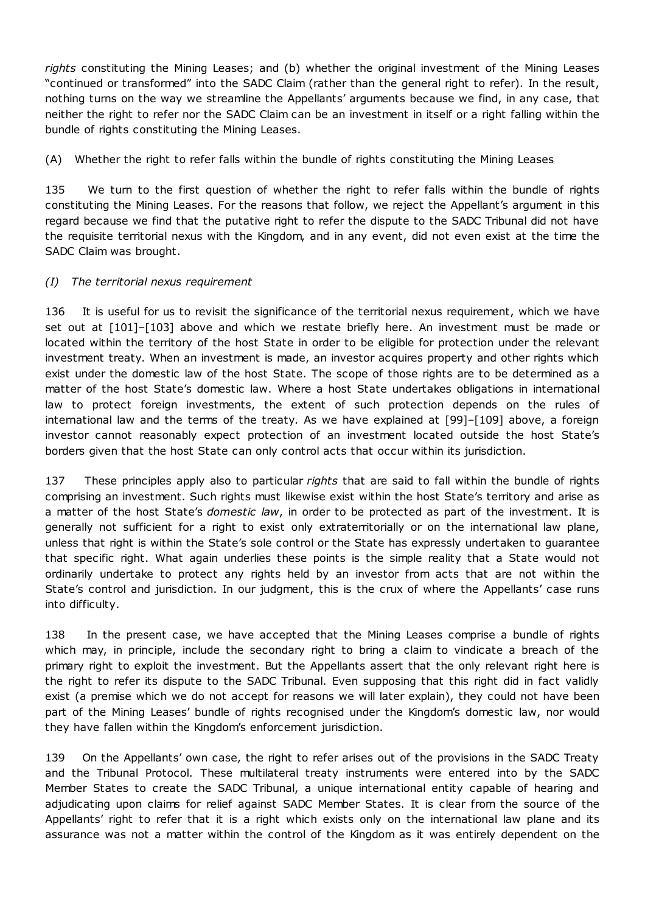*rights* constituting the Mining Leases; and (b) whether the original investment of the Mining Leases "continued or transformed" into the SADC Claim (rather than the general right to refer). In the result, nothing turns on the way we streamline the Appellants' arguments because we find, in any case, that neither the right to refer nor the SADC Claim can be an investment in itself or a right falling within the bundle of rights constituting the Mining Leases.

(A) Whether the right to refer falls within the bundle of rights constituting the Mining Leases

135 We turn to the first question of whether the right to refer falls within the bundle of rights constituting the Mining Leases. For the reasons that follow, we reject the Appellant's argument in this regard because we find that the putative right to refer the dispute to the SADC Tribunal did not have the requisite territorial nexus with the Kingdom, and in any event, did not even exist at the time the SADC Claim was brought.

### *(I) The territorial nexus requirement*

136 It is useful for us to revisit the significance of the territorial nexus requirement, which we have set out at [101]–[103] above and which we restate briefly here. An investment must be made or located within the territory of the host State in order to be eligible for protection under the relevant investment treaty. When an investment is made, an investor acquires property and other rights which exist under the domestic law of the host State. The scope of those rights are to be determined as a matter of the host State's domestic law. Where a host State undertakes obligations in international law to protect foreign investments, the extent of such protection depends on the rules of international law and the terms of the treaty. As we have explained at [99]–[109] above, a foreign investor cannot reasonably expect protection of an investment located outside the host State's borders given that the host State can only control acts that occur within its jurisdiction.

137 These principles apply also to particular *rights* that are said to fall within the bundle of rights comprising an investment. Such rights must likewise exist within the host State's territory and arise as a matter of the host State's *domestic law*, in order to be protected as part of the investment. It is generally not sufficient for a right to exist only extraterritorially or on the international law plane, unless that right is within the State's sole control or the State has expressly undertaken to guarantee that specific right. What again underlies these points is the simple reality that a State would not ordinarily undertake to protect any rights held by an investor from acts that are not within the State's control and jurisdiction. In our judgment, this is the crux of where the Appellants' case runs into difficulty.

138 In the present case, we have accepted that the Mining Leases comprise a bundle of rights which may, in principle, include the secondary right to bring a claim to vindicate a breach of the primary right to exploit the investment. But the Appellants assert that the only relevant right here is the right to refer its dispute to the SADC Tribunal. Even supposing that this right did in fact validly exist (a premise which we do not accept for reasons we will later explain), they could not have been part of the Mining Leases' bundle of rights recognised under the Kingdom's domestic law, nor would they have fallen within the Kingdom's enforcement jurisdiction.

139 On the Appellants' own case, the right to refer arises out of the provisions in the SADC Treaty and the Tribunal Protocol. These multilateral treaty instruments were entered into by the SADC Member States to create the SADC Tribunal, a unique international entity capable of hearing and adjudicating upon claims for relief against SADC Member States. It is clear from the source of the Appellants' right to refer that it is a right which exists only on the international law plane and its assurance was not a matter within the control of the Kingdom as it was entirely dependent on the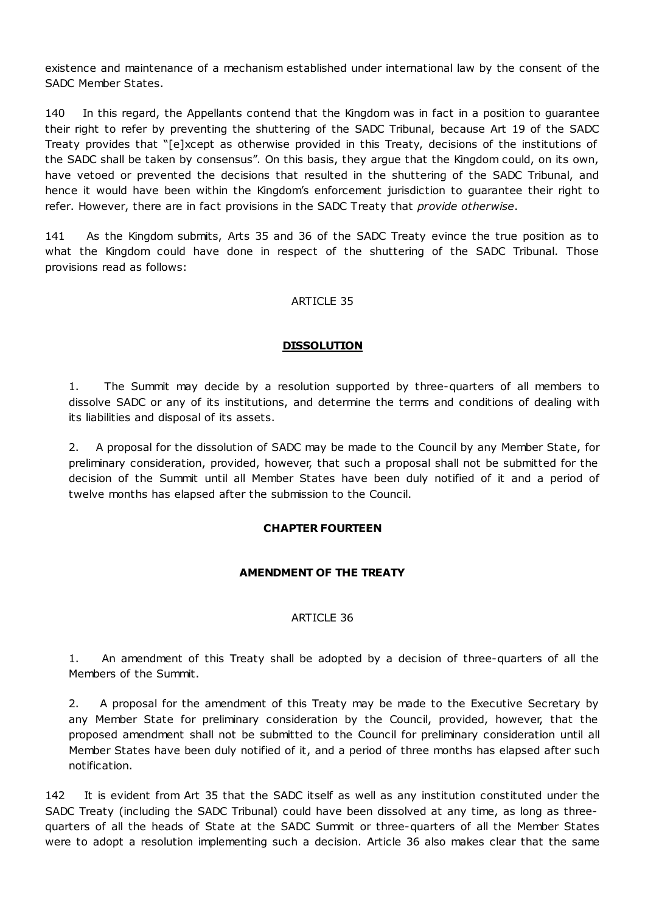existence and maintenance of a mechanism established under international law by the consent of the SADC Member States.

140 In this regard, the Appellants contend that the Kingdom was in fact in a position to guarantee their right to refer by preventing the shuttering of the SADC Tribunal, because Art 19 of the SADC Treaty provides that "[e]xcept as otherwise provided in this Treaty, decisions of the institutions of the SADC shall be taken by consensus". On this basis, they argue that the Kingdom could, on its own, have vetoed or prevented the decisions that resulted in the shuttering of the SADC Tribunal, and hence it would have been within the Kingdom's enforcement jurisdiction to guarantee their right to refer. However, there are in fact provisions in the SADC Treaty that *provide otherwise*.

141 As the Kingdom submits, Arts 35 and 36 of the SADC Treaty evince the true position as to what the Kingdom could have done in respect of the shuttering of the SADC Tribunal. Those provisions read as follows:

### ARTICLE 35

### **DISSOLUTION**

1. The Summit may decide by a resolution supported by three-quarters of all members to dissolve SADC or any of its institutions, and determine the terms and conditions of dealing with its liabilities and disposal of its assets.

2. A proposal for the dissolution of SADC may be made to the Council by any Member State, for preliminary consideration, provided, however, that such a proposal shall not be submitted for the decision of the Summit until all Member States have been duly notified of it and a period of twelve months has elapsed after the submission to the Council.

# **CHAPTER FOURTEEN**

### **AMENDMENT OF THE TREATY**

### ARTICLE 36

1. An amendment of this Treaty shall be adopted by a decision of three-quarters of all the Members of the Summit.

2. A proposal for the amendment of this Treaty may be made to the Executive Secretary by any Member State for preliminary consideration by the Council, provided, however, that the proposed amendment shall not be submitted to the Council for preliminary consideration until all Member States have been duly notified of it, and a period of three months has elapsed after such notification.

142 It is evident from Art 35 that the SADC itself as well as any institution constituted under the SADC Treaty (including the SADC Tribunal) could have been dissolved at any time, as long as threequarters of all the heads of State at the SADC Summit or three-quarters of all the Member States were to adopt a resolution implementing such a decision. Article 36 also makes clear that the same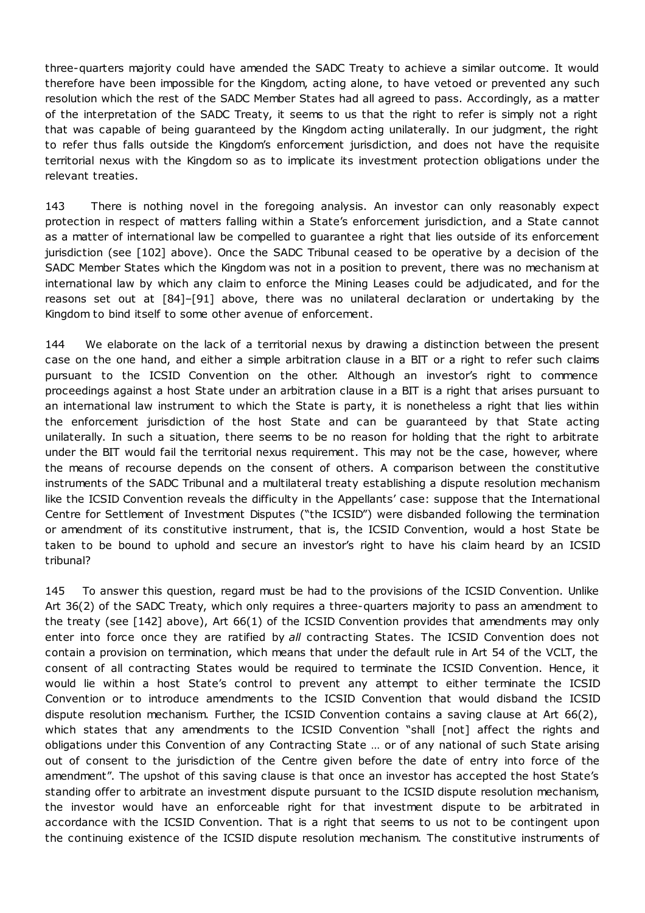three-quarters majority could have amended the SADC Treaty to achieve a similar outcome. It would therefore have been impossible for the Kingdom, acting alone, to have vetoed or prevented any such resolution which the rest of the SADC Member States had all agreed to pass. Accordingly, as a matter of the interpretation of the SADC Treaty, it seems to us that the right to refer is simply not a right that was capable of being guaranteed by the Kingdom acting unilaterally. In our judgment, the right to refer thus falls outside the Kingdom's enforcement jurisdiction, and does not have the requisite territorial nexus with the Kingdom so as to implicate its investment protection obligations under the relevant treaties.

143 There is nothing novel in the foregoing analysis. An investor can only reasonably expect protection in respect of matters falling within a State's enforcement jurisdiction, and a State cannot as a matter of international law be compelled to guarantee a right that lies outside of its enforcement jurisdiction (see [102] above). Once the SADC Tribunal ceased to be operative by a decision of the SADC Member States which the Kingdom was not in a position to prevent, there was no mechanism at international law by which any claim to enforce the Mining Leases could be adjudicated, and for the reasons set out at [84]–[91] above, there was no unilateral declaration or undertaking by the Kingdom to bind itself to some other avenue of enforcement.

144 We elaborate on the lack of a territorial nexus by drawing a distinction between the present case on the one hand, and either a simple arbitration clause in a BIT or a right to refer such claims pursuant to the ICSID Convention on the other. Although an investor's right to commence proceedings against a host State under an arbitration clause in a BIT is a right that arises pursuant to an international law instrument to which the State is party, it is nonetheless a right that lies within the enforcement jurisdiction of the host State and can be guaranteed by that State acting unilaterally. In such a situation, there seems to be no reason for holding that the right to arbitrate under the BIT would fail the territorial nexus requirement. This may not be the case, however, where the means of recourse depends on the consent of others. A comparison between the constitutive instruments of the SADC Tribunal and a multilateral treaty establishing a dispute resolution mechanism like the ICSID Convention reveals the difficulty in the Appellants' case: suppose that the International Centre for Settlement of Investment Disputes ("the ICSID") were disbanded following the termination or amendment of its constitutive instrument, that is, the ICSID Convention, would a host State be taken to be bound to uphold and secure an investor's right to have his claim heard by an ICSID tribunal?

145 To answer this question, regard must be had to the provisions of the ICSID Convention. Unlike Art 36(2) of the SADC Treaty, which only requires a three-quarters majority to pass an amendment to the treaty (see [142] above), Art 66(1) of the ICSID Convention provides that amendments may only enter into force once they are ratified by *all* contracting States. The ICSID Convention does not contain a provision on termination, which means that under the default rule in Art 54 of the VCLT, the consent of all contracting States would be required to terminate the ICSID Convention. Hence, it would lie within a host State's control to prevent any attempt to either terminate the ICSID Convention or to introduce amendments to the ICSID Convention that would disband the ICSID dispute resolution mechanism. Further, the ICSID Convention contains a saving clause at Art 66(2), which states that any amendments to the ICSID Convention "shall [not] affect the rights and obligations under this Convention of any Contracting State … or of any national of such State arising out of consent to the jurisdiction of the Centre given before the date of entry into force of the amendment". The upshot of this saving clause is that once an investor has accepted the host State's standing offer to arbitrate an investment dispute pursuant to the ICSID dispute resolution mechanism, the investor would have an enforceable right for that investment dispute to be arbitrated in accordance with the ICSID Convention. That is a right that seems to us not to be contingent upon the continuing existence of the ICSID dispute resolution mechanism. The constitutive instruments of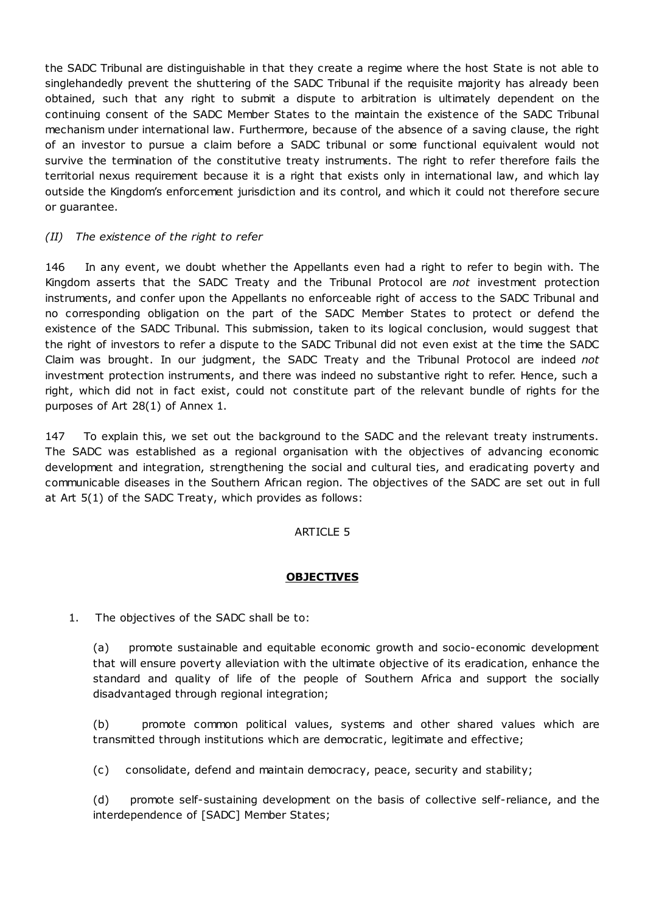the SADC Tribunal are distinguishable in that they create a regime where the host State is not able to singlehandedly prevent the shuttering of the SADC Tribunal if the requisite majority has already been obtained, such that any right to submit a dispute to arbitration is ultimately dependent on the continuing consent of the SADC Member States to the maintain the existence of the SADC Tribunal mechanism under international law. Furthermore, because of the absence of a saving clause, the right of an investor to pursue a claim before a SADC tribunal or some functional equivalent would not survive the termination of the constitutive treaty instruments. The right to refer therefore fails the territorial nexus requirement because it is a right that exists only in international law, and which lay outside the Kingdom's enforcement jurisdiction and its control, and which it could not therefore secure or guarantee.

### *(II) The existence of the right to refer*

146 In any event, we doubt whether the Appellants even had a right to refer to begin with. The Kingdom asserts that the SADC Treaty and the Tribunal Protocol are *not* investment protection instruments, and confer upon the Appellants no enforceable right of access to the SADC Tribunal and no corresponding obligation on the part of the SADC Member States to protect or defend the existence of the SADC Tribunal. This submission, taken to its logical conclusion, would suggest that the right of investors to refer a dispute to the SADC Tribunal did not even exist at the time the SADC Claim was brought. In our judgment, the SADC Treaty and the Tribunal Protocol are indeed *not* investment protection instruments, and there was indeed no substantive right to refer. Hence, such a right, which did not in fact exist, could not constitute part of the relevant bundle of rights for the purposes of Art 28(1) of Annex 1.

147 To explain this, we set out the background to the SADC and the relevant treaty instruments. The SADC was established as a regional organisation with the objectives of advancing economic development and integration, strengthening the social and cultural ties, and eradicating poverty and communicable diseases in the Southern African region. The objectives of the SADC are set out in full at Art 5(1) of the SADC Treaty, which provides as follows:

### ARTICLE 5

### **OBJECTIVES**

1. The objectives of the SADC shall be to:

(a) promote sustainable and equitable economic growth and socio-economic development that will ensure poverty alleviation with the ultimate objective of its eradication, enhance the standard and quality of life of the people of Southern Africa and support the socially disadvantaged through regional integration;

(b) promote common political values, systems and other shared values which are transmitted through institutions which are democratic, legitimate and effective;

(c) consolidate, defend and maintain democracy, peace, security and stability;

(d) promote self-sustaining development on the basis of collective self-reliance, and the interdependence of [SADC] Member States;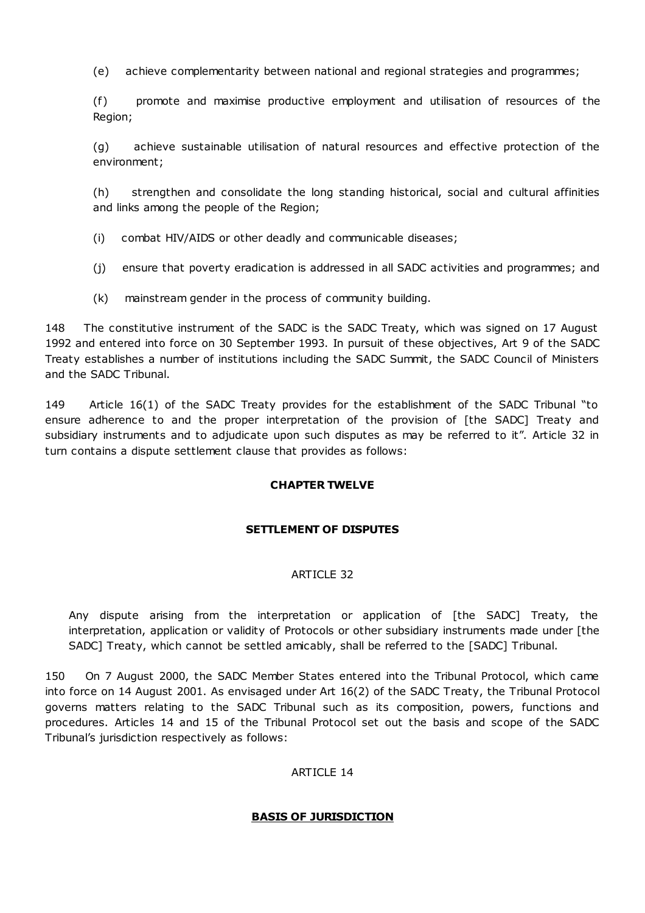(e) achieve complementarity between national and regional strategies and programmes;

(f) promote and maximise productive employment and utilisation of resources of the Region;

(g) achieve sustainable utilisation of natural resources and effective protection of the environment;

(h) strengthen and consolidate the long standing historical, social and cultural affinities and links among the people of the Region;

- (i) combat HIV/AIDS or other deadly and communicable diseases;
- (j) ensure that poverty eradication is addressed in all SADC activities and programmes; and
- (k) mainstream gender in the process of community building.

148 The constitutive instrument of the SADC is the SADC Treaty, which was signed on 17 August 1992 and entered into force on 30 September 1993. In pursuit of these objectives, Art 9 of the SADC Treaty establishes a number of institutions including the SADC Summit, the SADC Council of Ministers and the SADC Tribunal.

149 Article 16(1) of the SADC Treaty provides for the establishment of the SADC Tribunal "to ensure adherence to and the proper interpretation of the provision of [the SADC] Treaty and subsidiary instruments and to adjudicate upon such disputes as may be referred to it". Article 32 in turn contains a dispute settlement clause that provides as follows:

### **CHAPTER TWELVE**

### **SETTLEMENT OF DISPUTES**

### ARTICLE 32

Any dispute arising from the interpretation or application of [the SADC] Treaty, the interpretation, application or validity of Protocols or other subsidiary instruments made under [the SADC] Treaty, which cannot be settled amicably, shall be referred to the [SADC] Tribunal.

150 On 7 August 2000, the SADC Member States entered into the Tribunal Protocol, which came into force on 14 August 2001. As envisaged under Art 16(2) of the SADC Treaty, the Tribunal Protocol governs matters relating to the SADC Tribunal such as its composition, powers, functions and procedures. Articles 14 and 15 of the Tribunal Protocol set out the basis and scope of the SADC Tribunal's jurisdiction respectively as follows:

### ARTICLE 14

### **BASIS OF JURISDICTION**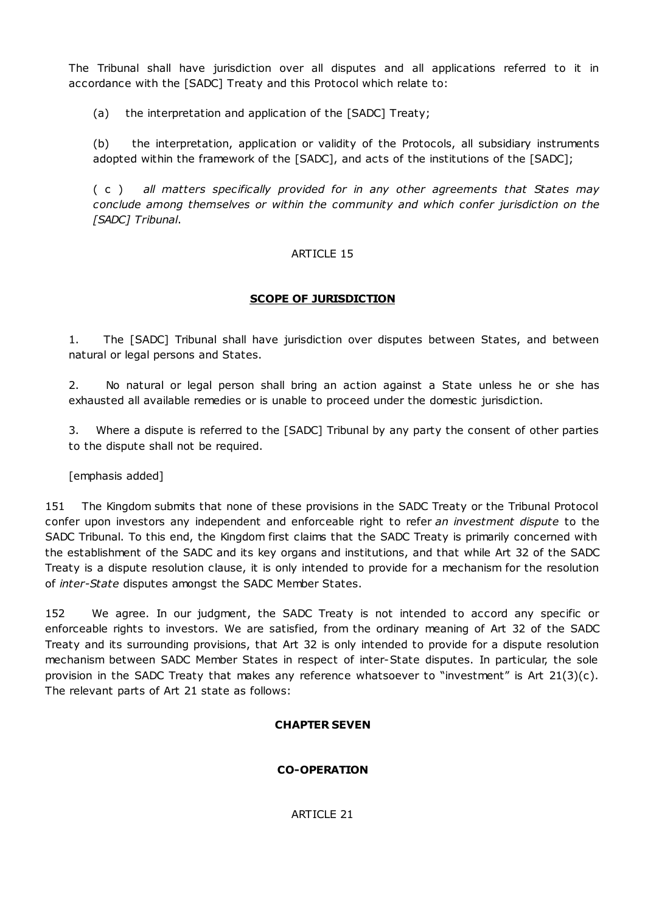The Tribunal shall have jurisdiction over all disputes and all applications referred to it in accordance with the [SADC] Treaty and this Protocol which relate to:

(a) the interpretation and application of the [SADC] Treaty;

(b) the interpretation, application or validity of the Protocols, all subsidiary instruments adopted within the framework of the [SADC], and acts of the institutions of the [SADC];

( c ) *all matters specifically provided for in any other agreements that States may conclude among themselves or within the community and which confer jurisdiction on the [SADC] Tribunal*.

# ARTICLE 15

# **SCOPE OF JURISDICTION**

1. The [SADC] Tribunal shall have jurisdiction over disputes between States, and between natural or legal persons and States.

2. No natural or legal person shall bring an action against a State unless he or she has exhausted all available remedies or is unable to proceed under the domestic jurisdiction.

3. Where a dispute is referred to the [SADC] Tribunal by any party the consent of other parties to the dispute shall not be required.

[emphasis added]

151 The Kingdom submits that none of these provisions in the SADC Treaty or the Tribunal Protocol confer upon investors any independent and enforceable right to refer *an investment dispute* to the SADC Tribunal. To this end, the Kingdom first claims that the SADC Treaty is primarily concerned with the establishment of the SADC and its key organs and institutions, and that while Art 32 of the SADC Treaty is a dispute resolution clause, it is only intended to provide for a mechanism for the resolution of *inter-State* disputes amongst the SADC Member States.

152 We agree. In our judgment, the SADC Treaty is not intended to accord any specific or enforceable rights to investors. We are satisfied, from the ordinary meaning of Art 32 of the SADC Treaty and its surrounding provisions, that Art 32 is only intended to provide for a dispute resolution mechanism between SADC Member States in respect of inter-State disputes. In particular, the sole provision in the SADC Treaty that makes any reference whatsoever to "investment" is Art 21(3)(c). The relevant parts of Art 21 state as follows:

# **CHAPTER SEVEN**

# **CO-OPERATION**

ARTICLE 21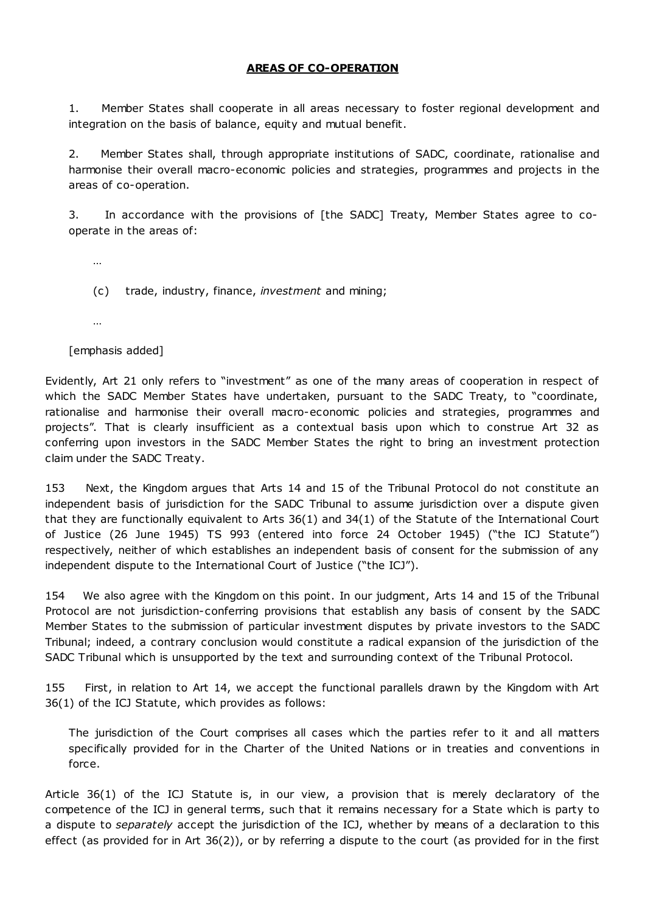### **AREAS OF CO-OPERATION**

1. Member States shall cooperate in all areas necessary to foster regional development and integration on the basis of balance, equity and mutual benefit.

2. Member States shall, through appropriate institutions of SADC, coordinate, rationalise and harmonise their overall macro-economic policies and strategies, programmes and projects in the areas of co-operation.

3. In accordance with the provisions of [the SADC] Treaty, Member States agree to cooperate in the areas of:

…

(c) trade, industry, finance, *investment* and mining;

…

[emphasis added]

Evidently, Art 21 only refers to "investment" as one of the many areas of cooperation in respect of which the SADC Member States have undertaken, pursuant to the SADC Treaty, to "coordinate, rationalise and harmonise their overall macro-economic policies and strategies, programmes and projects". That is clearly insufficient as a contextual basis upon which to construe Art 32 as conferring upon investors in the SADC Member States the right to bring an investment protection claim under the SADC Treaty.

153 Next, the Kingdom argues that Arts 14 and 15 of the Tribunal Protocol do not constitute an independent basis of jurisdiction for the SADC Tribunal to assume jurisdiction over a dispute given that they are functionally equivalent to Arts 36(1) and 34(1) of the Statute of the International Court of Justice (26 June 1945) TS 993 (entered into force 24 October 1945) ("the ICJ Statute") respectively, neither of which establishes an independent basis of consent for the submission of any independent dispute to the International Court of Justice ("the ICJ").

154 We also agree with the Kingdom on this point. In our judgment, Arts 14 and 15 of the Tribunal Protocol are not jurisdiction-conferring provisions that establish any basis of consent by the SADC Member States to the submission of particular investment disputes by private investors to the SADC Tribunal; indeed, a contrary conclusion would constitute a radical expansion of the jurisdiction of the SADC Tribunal which is unsupported by the text and surrounding context of the Tribunal Protocol.

155 First, in relation to Art 14, we accept the functional parallels drawn by the Kingdom with Art 36(1) of the ICJ Statute, which provides as follows:

The jurisdiction of the Court comprises all cases which the parties refer to it and all matters specifically provided for in the Charter of the United Nations or in treaties and conventions in force.

Article 36(1) of the ICJ Statute is, in our view, a provision that is merely declaratory of the competence of the ICJ in general terms, such that it remains necessary for a State which is party to a dispute to *separately* accept the jurisdiction of the ICJ, whether by means of a declaration to this effect (as provided for in Art 36(2)), or by referring a dispute to the court (as provided for in the first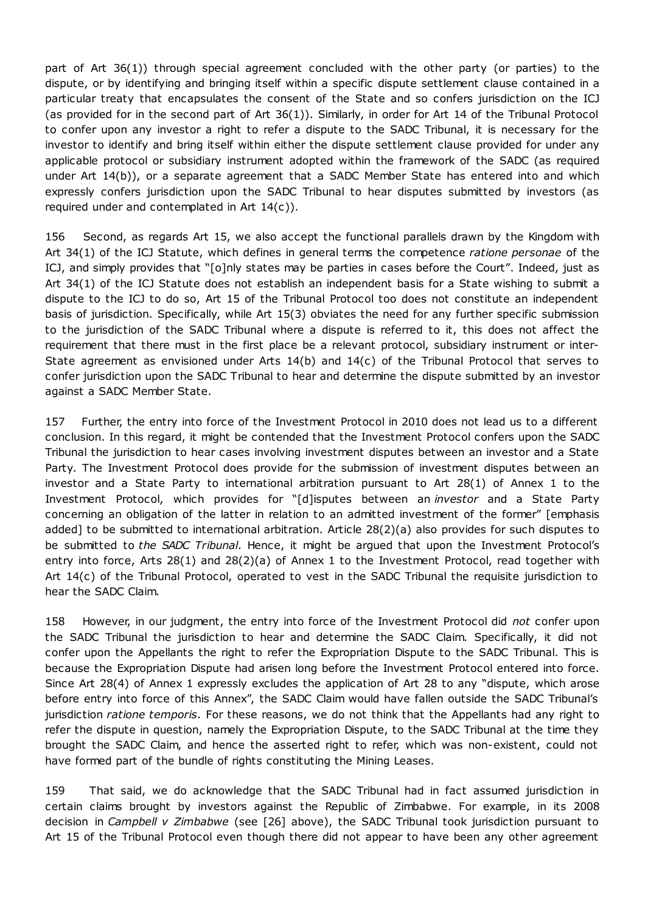part of Art 36(1)) through special agreement concluded with the other party (or parties) to the dispute, or by identifying and bringing itself within a specific dispute settlement clause contained in a particular treaty that encapsulates the consent of the State and so confers jurisdiction on the ICJ (as provided for in the second part of Art 36(1)). Similarly, in order for Art 14 of the Tribunal Protocol to confer upon any investor a right to refer a dispute to the SADC Tribunal, it is necessary for the investor to identify and bring itself within either the dispute settlement clause provided for under any applicable protocol or subsidiary instrument adopted within the framework of the SADC (as required under Art 14(b)), or a separate agreement that a SADC Member State has entered into and which expressly confers jurisdiction upon the SADC Tribunal to hear disputes submitted by investors (as required under and contemplated in Art 14(c)).

156 Second, as regards Art 15, we also accept the functional parallels drawn by the Kingdom with Art 34(1) of the ICJ Statute, which defines in general terms the competence *ratione personae* of the ICJ, and simply provides that "[o]nly states may be parties in cases before the Court". Indeed, just as Art 34(1) of the ICJ Statute does not establish an independent basis for a State wishing to submit a dispute to the ICJ to do so, Art 15 of the Tribunal Protocol too does not constitute an independent basis of jurisdiction. Specifically, while Art 15(3) obviates the need for any further specific submission to the jurisdiction of the SADC Tribunal where a dispute is referred to it, this does not affect the requirement that there must in the first place be a relevant protocol, subsidiary instrument or inter-State agreement as envisioned under Arts 14(b) and 14(c) of the Tribunal Protocol that serves to confer jurisdiction upon the SADC Tribunal to hear and determine the dispute submitted by an investor against a SADC Member State.

157 Further, the entry into force of the Investment Protocol in 2010 does not lead us to a different conclusion. In this regard, it might be contended that the Investment Protocol confers upon the SADC Tribunal the jurisdiction to hear cases involving investment disputes between an investor and a State Party. The Investment Protocol does provide for the submission of investment disputes between an investor and a State Party to international arbitration pursuant to Art 28(1) of Annex 1 to the Investment Protocol, which provides for "[d]isputes between an *investor* and a State Party concerning an obligation of the latter in relation to an admitted investment of the former" [emphasis added] to be submitted to international arbitration. Article 28(2)(a) also provides for such disputes to be submitted to *the SADC Tribunal*. Hence, it might be argued that upon the Investment Protocol's entry into force, Arts 28(1) and 28(2)(a) of Annex 1 to the Investment Protocol, read together with Art 14(c) of the Tribunal Protocol, operated to vest in the SADC Tribunal the requisite jurisdiction to hear the SADC Claim.

158 However, in our judgment, the entry into force of the Investment Protocol did *not* confer upon the SADC Tribunal the jurisdiction to hear and determine the SADC Claim. Specifically, it did not confer upon the Appellants the right to refer the Expropriation Dispute to the SADC Tribunal. This is because the Expropriation Dispute had arisen long before the Investment Protocol entered into force. Since Art 28(4) of Annex 1 expressly excludes the application of Art 28 to any "dispute, which arose before entry into force of this Annex", the SADC Claim would have fallen outside the SADC Tribunal's jurisdiction *ratione temporis*. For these reasons, we do not think that the Appellants had any right to refer the dispute in question, namely the Expropriation Dispute, to the SADC Tribunal at the time they brought the SADC Claim, and hence the asserted right to refer, which was non-existent, could not have formed part of the bundle of rights constituting the Mining Leases.

159 That said, we do acknowledge that the SADC Tribunal had in fact assumed jurisdiction in certain claims brought by investors against the Republic of Zimbabwe. For example, in its 2008 decision in *Campbell v Zimbabwe* (see [26] above), the SADC Tribunal took jurisdiction pursuant to Art 15 of the Tribunal Protocol even though there did not appear to have been any other agreement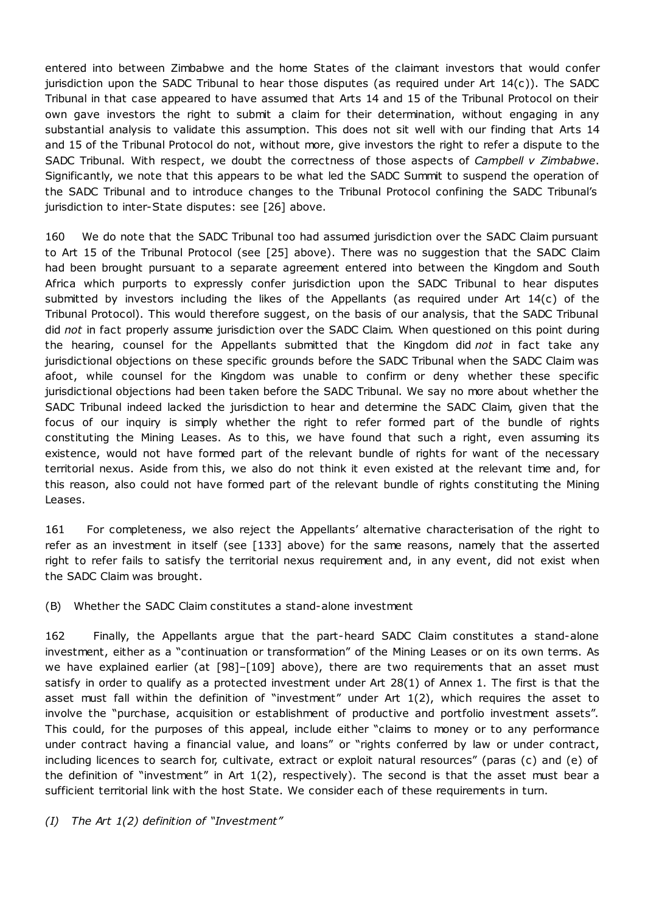entered into between Zimbabwe and the home States of the claimant investors that would confer jurisdiction upon the SADC Tribunal to hear those disputes (as required under Art 14(c)). The SADC Tribunal in that case appeared to have assumed that Arts 14 and 15 of the Tribunal Protocol on their own gave investors the right to submit a claim for their determination, without engaging in any substantial analysis to validate this assumption. This does not sit well with our finding that Arts 14 and 15 of the Tribunal Protocol do not, without more, give investors the right to refer a dispute to the SADC Tribunal. With respect, we doubt the correctness of those aspects of *Campbell v Zimbabwe*. Significantly, we note that this appears to be what led the SADC Summit to suspend the operation of the SADC Tribunal and to introduce changes to the Tribunal Protocol confining the SADC Tribunal's jurisdiction to inter-State disputes: see [26] above.

160 We do note that the SADC Tribunal too had assumed jurisdiction over the SADC Claim pursuant to Art 15 of the Tribunal Protocol (see [25] above). There was no suggestion that the SADC Claim had been brought pursuant to a separate agreement entered into between the Kingdom and South Africa which purports to expressly confer jurisdiction upon the SADC Tribunal to hear disputes submitted by investors including the likes of the Appellants (as required under Art 14(c) of the Tribunal Protocol). This would therefore suggest, on the basis of our analysis, that the SADC Tribunal did *not* in fact properly assume jurisdiction over the SADC Claim. When questioned on this point during the hearing, counsel for the Appellants submitted that the Kingdom did *not* in fact take any jurisdictional objections on these specific grounds before the SADC Tribunal when the SADC Claim was afoot, while counsel for the Kingdom was unable to confirm or deny whether these specific jurisdictional objections had been taken before the SADC Tribunal. We say no more about whether the SADC Tribunal indeed lacked the jurisdiction to hear and determine the SADC Claim, given that the focus of our inquiry is simply whether the right to refer formed part of the bundle of rights constituting the Mining Leases. As to this, we have found that such a right, even assuming its existence, would not have formed part of the relevant bundle of rights for want of the necessary territorial nexus. Aside from this, we also do not think it even existed at the relevant time and, for this reason, also could not have formed part of the relevant bundle of rights constituting the Mining Leases.

161 For completeness, we also reject the Appellants' alternative characterisation of the right to refer as an investment in itself (see [133] above) for the same reasons, namely that the asserted right to refer fails to satisfy the territorial nexus requirement and, in any event, did not exist when the SADC Claim was brought.

(B) Whether the SADC Claim constitutes a stand-alone investment

162 Finally, the Appellants argue that the part-heard SADC Claim constitutes a stand-alone investment, either as a "continuation or transformation" of the Mining Leases or on its own terms. As we have explained earlier (at [98]–[109] above), there are two requirements that an asset must satisfy in order to qualify as a protected investment under Art 28(1) of Annex 1. The first is that the asset must fall within the definition of "investment" under Art 1(2), which requires the asset to involve the "purchase, acquisition or establishment of productive and portfolio investment assets". This could, for the purposes of this appeal, include either "claims to money or to any performance under contract having a financial value, and loans" or "rights conferred by law or under contract, including licences to search for, cultivate, extract or exploit natural resources" (paras (c) and (e) of the definition of "investment" in Art 1(2), respectively). The second is that the asset must bear a sufficient territorial link with the host State. We consider each of these requirements in turn.

*(I) The Art 1(2) definition of "Investment"*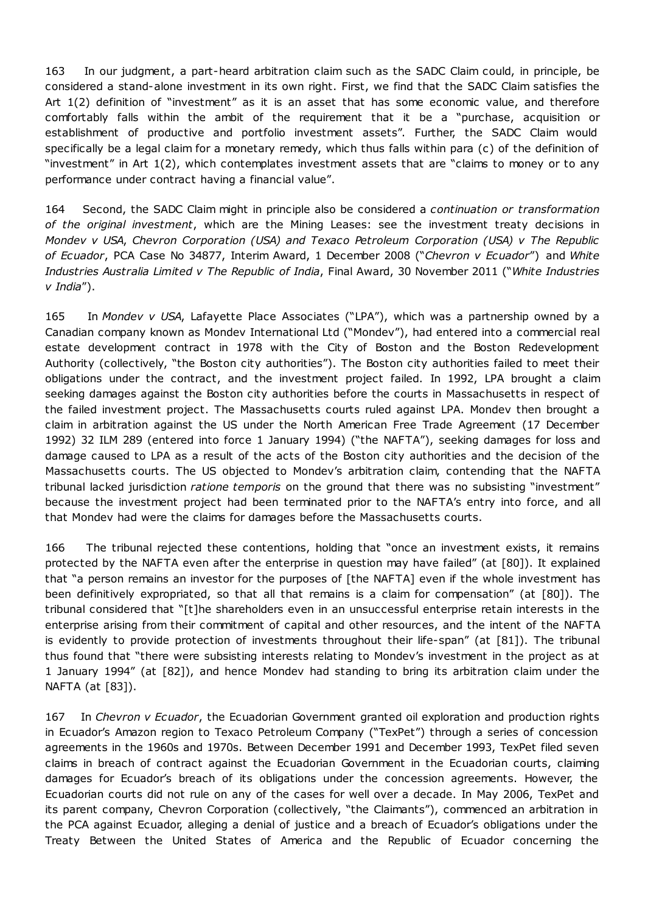163 In our judgment, a part-heard arbitration claim such as the SADC Claim could, in principle, be considered a stand-alone investment in its own right. First, we find that the SADC Claim satisfies the Art 1(2) definition of "investment" as it is an asset that has some economic value, and therefore comfortably falls within the ambit of the requirement that it be a "purchase, acquisition or establishment of productive and portfolio investment assets". Further, the SADC Claim would specifically be a legal claim for a monetary remedy, which thus falls within para (c) of the definition of "investment" in Art 1(2), which contemplates investment assets that are "claims to money or to any performance under contract having a financial value".

164 Second, the SADC Claim might in principle also be considered a *continuation or transformation of the original investment*, which are the Mining Leases: see the investment treaty decisions in *Mondev v USA*, *Chevron Corporation (USA) and Texaco Petroleum Corporation (USA) v The Republic of Ecuador*, PCA Case No 34877, Interim Award, 1 December 2008 ("*Chevron v Ecuador*") and *White Industries Australia Limited v The Republic of India*, Final Award, 30 November 2011 ("*White Industries v India*").

165 In *Mondev v USA*, Lafayette Place Associates ("LPA"), which was a partnership owned by a Canadian company known as Mondev International Ltd ("Mondev"), had entered into a commercial real estate development contract in 1978 with the City of Boston and the Boston Redevelopment Authority (collectively, "the Boston city authorities"). The Boston city authorities failed to meet their obligations under the contract, and the investment project failed. In 1992, LPA brought a claim seeking damages against the Boston city authorities before the courts in Massachusetts in respect of the failed investment project. The Massachusetts courts ruled against LPA. Mondev then brought a claim in arbitration against the US under the North American Free Trade Agreement (17 December 1992) 32 ILM 289 (entered into force 1 January 1994) ("the NAFTA"), seeking damages for loss and damage caused to LPA as a result of the acts of the Boston city authorities and the decision of the Massachusetts courts. The US objected to Mondev's arbitration claim, contending that the NAFTA tribunal lacked jurisdiction *ratione temporis* on the ground that there was no subsisting "investment" because the investment project had been terminated prior to the NAFTA's entry into force, and all that Mondev had were the claims for damages before the Massachusetts courts.

166 The tribunal rejected these contentions, holding that "once an investment exists, it remains protected by the NAFTA even after the enterprise in question may have failed" (at [80]). It explained that "a person remains an investor for the purposes of [the NAFTA] even if the whole investment has been definitively expropriated, so that all that remains is a claim for compensation" (at [80]). The tribunal considered that "[t]he shareholders even in an unsuccessful enterprise retain interests in the enterprise arising from their commitment of capital and other resources, and the intent of the NAFTA is evidently to provide protection of investments throughout their life-span" (at [81]). The tribunal thus found that "there were subsisting interests relating to Mondev's investment in the project as at 1 January 1994" (at [82]), and hence Mondev had standing to bring its arbitration claim under the NAFTA (at [83]).

167 In *Chevron v Ecuador*, the Ecuadorian Government granted oil exploration and production rights in Ecuador's Amazon region to Texaco Petroleum Company ("TexPet") through a series of concession agreements in the 1960s and 1970s. Between December 1991 and December 1993, TexPet filed seven claims in breach of contract against the Ecuadorian Government in the Ecuadorian courts, claiming damages for Ecuador's breach of its obligations under the concession agreements. However, the Ecuadorian courts did not rule on any of the cases for well over a decade. In May 2006, TexPet and its parent company, Chevron Corporation (collectively, "the Claimants"), commenced an arbitration in the PCA against Ecuador, alleging a denial of justice and a breach of Ecuador's obligations under the Treaty Between the United States of America and the Republic of Ecuador concerning the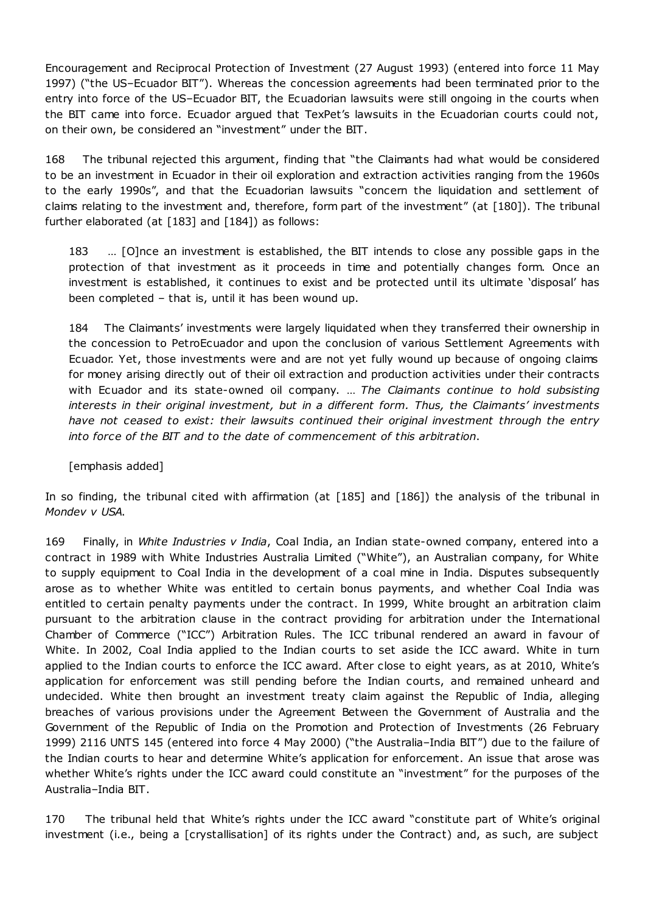Encouragement and Reciprocal Protection of Investment (27 August 1993) (entered into force 11 May 1997) ("the US–Ecuador BIT"). Whereas the concession agreements had been terminated prior to the entry into force of the US–Ecuador BIT, the Ecuadorian lawsuits were still ongoing in the courts when the BIT came into force. Ecuador argued that TexPet's lawsuits in the Ecuadorian courts could not, on their own, be considered an "investment" under the BIT.

168 The tribunal rejected this argument, finding that "the Claimants had what would be considered to be an investment in Ecuador in their oil exploration and extraction activities ranging from the 1960s to the early 1990s", and that the Ecuadorian lawsuits "concern the liquidation and settlement of claims relating to the investment and, therefore, form part of the investment" (at [180]). The tribunal further elaborated (at [183] and [184]) as follows:

183 … [O]nce an investment is established, the BIT intends to close any possible gaps in the protection of that investment as it proceeds in time and potentially changes form. Once an investment is established, it continues to exist and be protected until its ultimate 'disposal' has been completed – that is, until it has been wound up.

184 The Claimants' investments were largely liquidated when they transferred their ownership in the concession to PetroEcuador and upon the conclusion of various Settlement Agreements with Ecuador. Yet, those investments were and are not yet fully wound up because of ongoing claims for money arising directly out of their oil extraction and production activities under their contracts with Ecuador and its state-owned oil company. … *The Claimants continue to hold subsisting interests in their original investment, but in a different form. Thus, the Claimants' investments have not ceased to exist: their lawsuits continued their original investment through the entry into force of the BIT and to the date of commencement of this arbitration*.

[emphasis added]

In so finding, the tribunal cited with affirmation (at [185] and [186]) the analysis of the tribunal in *Mondev v USA*.

169 Finally, in *White Industries v India*, Coal India, an Indian state-owned company, entered into a contract in 1989 with White Industries Australia Limited ("White"), an Australian company, for White to supply equipment to Coal India in the development of a coal mine in India. Disputes subsequently arose as to whether White was entitled to certain bonus payments, and whether Coal India was entitled to certain penalty payments under the contract. In 1999, White brought an arbitration claim pursuant to the arbitration clause in the contract providing for arbitration under the International Chamber of Commerce ("ICC") Arbitration Rules. The ICC tribunal rendered an award in favour of White. In 2002, Coal India applied to the Indian courts to set aside the ICC award. White in turn applied to the Indian courts to enforce the ICC award. After close to eight years, as at 2010, White's application for enforcement was still pending before the Indian courts, and remained unheard and undecided. White then brought an investment treaty claim against the Republic of India, alleging breaches of various provisions under the Agreement Between the Government of Australia and the Government of the Republic of India on the Promotion and Protection of Investments (26 February 1999) 2116 UNTS 145 (entered into force 4 May 2000) ("the Australia–India BIT") due to the failure of the Indian courts to hear and determine White's application for enforcement. An issue that arose was whether White's rights under the ICC award could constitute an "investment" for the purposes of the Australia–India BIT.

170 The tribunal held that White's rights under the ICC award "constitute part of White's original investment (i.e., being a [crystallisation] of its rights under the Contract) and, as such, are subject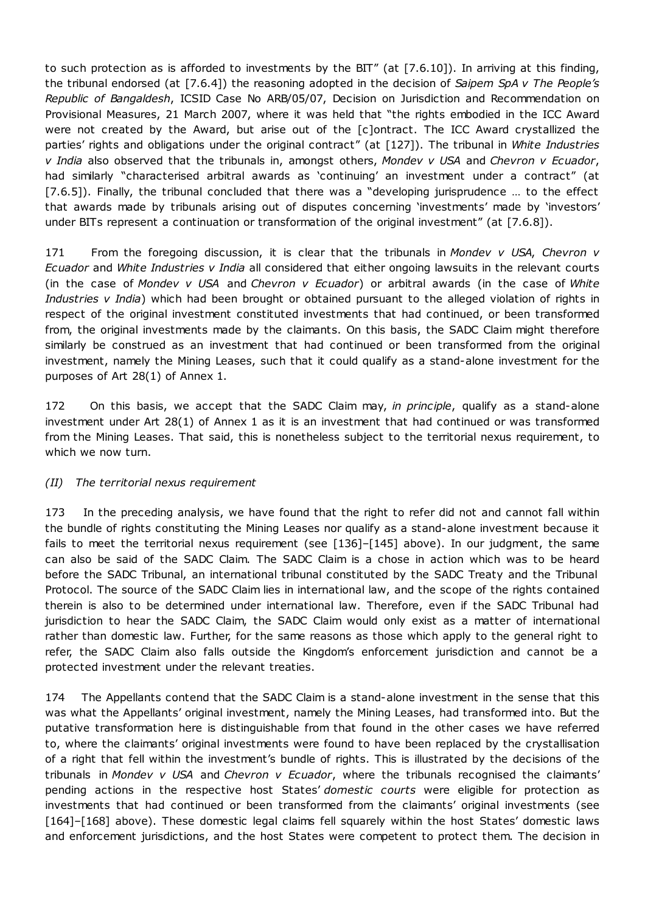to such protection as is afforded to investments by the BIT" (at [7.6.10]). In arriving at this finding, the tribunal endorsed (at [7.6.4]) the reasoning adopted in the decision of *Saipem SpA v The People's Republic of Bangaldesh*, ICSID Case No ARB/05/07, Decision on Jurisdiction and Recommendation on Provisional Measures, 21 March 2007, where it was held that "the rights embodied in the ICC Award were not created by the Award, but arise out of the [c]ontract. The ICC Award crystallized the parties' rights and obligations under the original contract" (at [127]). The tribunal in *White Industries v India* also observed that the tribunals in, amongst others, *Mondev v USA* and *Chevron v Ecuador*, had similarly "characterised arbitral awards as 'continuing' an investment under a contract" (at [7.6.5]). Finally, the tribunal concluded that there was a "developing jurisprudence … to the effect that awards made by tribunals arising out of disputes concerning 'investments' made by 'investors' under BITs represent a continuation or transformation of the original investment" (at [7.6.8]).

171 From the foregoing discussion, it is clear that the tribunals in *Mondev v USA*, *Chevron v Ecuador* and *White Industries v India* all considered that either ongoing lawsuits in the relevant courts (in the case of *Mondev v USA* and *Chevron v Ecuador*) or arbitral awards (in the case of *White Industries v India*) which had been brought or obtained pursuant to the alleged violation of rights in respect of the original investment constituted investments that had continued, or been transformed from, the original investments made by the claimants. On this basis, the SADC Claim might therefore similarly be construed as an investment that had continued or been transformed from the original investment, namely the Mining Leases, such that it could qualify as a stand-alone investment for the purposes of Art 28(1) of Annex 1.

172 On this basis, we accept that the SADC Claim may, *in principle*, qualify as a stand-alone investment under Art 28(1) of Annex 1 as it is an investment that had continued or was transformed from the Mining Leases. That said, this is nonetheless subject to the territorial nexus requirement, to which we now turn.

# *(II) The territorial nexus requirement*

173 In the preceding analysis, we have found that the right to refer did not and cannot fall within the bundle of rights constituting the Mining Leases nor qualify as a stand-alone investment because it fails to meet the territorial nexus requirement (see [136]–[145] above). In our judgment, the same can also be said of the SADC Claim. The SADC Claim is a chose in action which was to be heard before the SADC Tribunal, an international tribunal constituted by the SADC Treaty and the Tribunal Protocol. The source of the SADC Claim lies in international law, and the scope of the rights contained therein is also to be determined under international law. Therefore, even if the SADC Tribunal had jurisdiction to hear the SADC Claim, the SADC Claim would only exist as a matter of international rather than domestic law. Further, for the same reasons as those which apply to the general right to refer, the SADC Claim also falls outside the Kingdom's enforcement jurisdiction and cannot be a protected investment under the relevant treaties.

174 The Appellants contend that the SADC Claim is a stand-alone investment in the sense that this was what the Appellants' original investment, namely the Mining Leases, had transformed into. But the putative transformation here is distinguishable from that found in the other cases we have referred to, where the claimants' original investments were found to have been replaced by the crystallisation of a right that fell within the investment's bundle of rights. This is illustrated by the decisions of the tribunals in *Mondev v USA* and *Chevron v Ecuador*, where the tribunals recognised the claimants' pending actions in the respective host States' *domestic courts* were eligible for protection as investments that had continued or been transformed from the claimants' original investments (see [164]–[168] above). These domestic legal claims fell squarely within the host States' domestic laws and enforcement jurisdictions, and the host States were competent to protect them. The decision in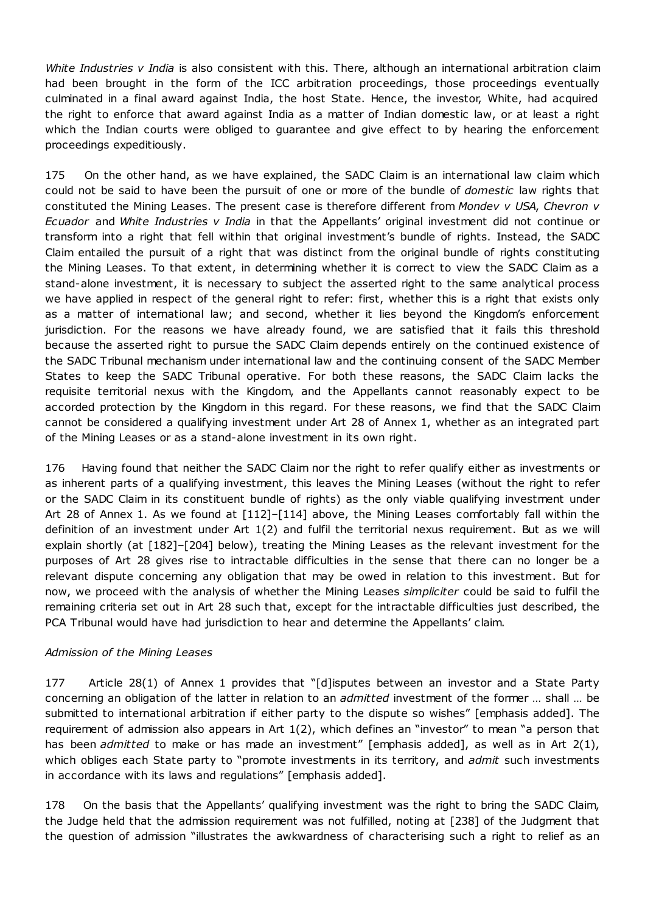*White Industries v India* is also consistent with this. There, although an international arbitration claim had been brought in the form of the ICC arbitration proceedings, those proceedings eventually culminated in a final award against India, the host State. Hence, the investor, White, had acquired the right to enforce that award against India as a matter of Indian domestic law, or at least a right which the Indian courts were obliged to guarantee and give effect to by hearing the enforcement proceedings expeditiously.

175 On the other hand, as we have explained, the SADC Claim is an international law claim which could not be said to have been the pursuit of one or more of the bundle of *domestic* law rights that constituted the Mining Leases. The present case is therefore different from *Mondev v USA*, *Chevron v Ecuador* and *White Industries v India* in that the Appellants' original investment did not continue or transform into a right that fell within that original investment's bundle of rights. Instead, the SADC Claim entailed the pursuit of a right that was distinct from the original bundle of rights constituting the Mining Leases. To that extent, in determining whether it is correct to view the SADC Claim as a stand-alone investment, it is necessary to subject the asserted right to the same analytical process we have applied in respect of the general right to refer: first, whether this is a right that exists only as a matter of international law; and second, whether it lies beyond the Kingdom's enforcement jurisdiction. For the reasons we have already found, we are satisfied that it fails this threshold because the asserted right to pursue the SADC Claim depends entirely on the continued existence of the SADC Tribunal mechanism under international law and the continuing consent of the SADC Member States to keep the SADC Tribunal operative. For both these reasons, the SADC Claim lacks the requisite territorial nexus with the Kingdom, and the Appellants cannot reasonably expect to be accorded protection by the Kingdom in this regard. For these reasons, we find that the SADC Claim cannot be considered a qualifying investment under Art 28 of Annex 1, whether as an integrated part of the Mining Leases or as a stand-alone investment in its own right.

176 Having found that neither the SADC Claim nor the right to refer qualify either as investments or as inherent parts of a qualifying investment, this leaves the Mining Leases (without the right to refer or the SADC Claim in its constituent bundle of rights) as the only viable qualifying investment under Art 28 of Annex 1. As we found at [112]–[114] above, the Mining Leases comfortably fall within the definition of an investment under Art 1(2) and fulfil the territorial nexus requirement. But as we will explain shortly (at [182]–[204] below), treating the Mining Leases as the relevant investment for the purposes of Art 28 gives rise to intractable difficulties in the sense that there can no longer be a relevant dispute concerning any obligation that may be owed in relation to this investment. But for now, we proceed with the analysis of whether the Mining Leases *simpliciter* could be said to fulfil the remaining criteria set out in Art 28 such that, except for the intractable difficulties just described, the PCA Tribunal would have had jurisdiction to hear and determine the Appellants' claim.

# *Admission of the Mining Leases*

177 Article 28(1) of Annex 1 provides that "[d]isputes between an investor and a State Party concerning an obligation of the latter in relation to an *admitted* investment of the former … shall … be submitted to international arbitration if either party to the dispute so wishes" [emphasis added]. The requirement of admission also appears in Art 1(2), which defines an "investor" to mean "a person that has been *admitted* to make or has made an investment" [emphasis added], as well as in Art 2(1), which obliges each State party to "promote investments in its territory, and *admit* such investments in accordance with its laws and regulations" [emphasis added].

178 On the basis that the Appellants' qualifying investment was the right to bring the SADC Claim, the Judge held that the admission requirement was not fulfilled, noting at [238] of the Judgment that the question of admission "illustrates the awkwardness of characterising such a right to relief as an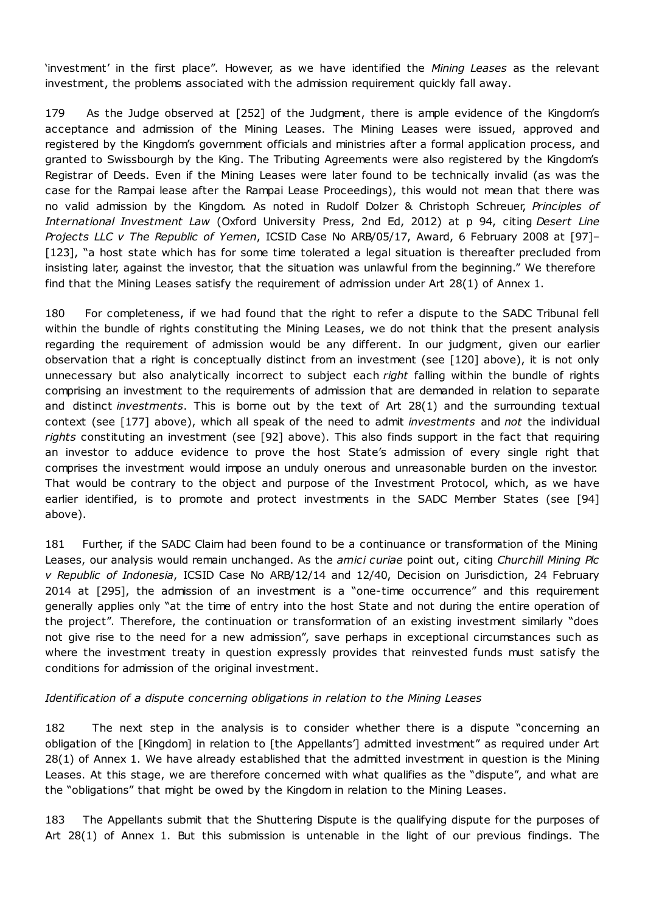'investment' in the first place". However, as we have identified the *Mining Leases* as the relevant investment, the problems associated with the admission requirement quickly fall away.

179 As the Judge observed at [252] of the Judgment, there is ample evidence of the Kingdom's acceptance and admission of the Mining Leases. The Mining Leases were issued, approved and registered by the Kingdom's government officials and ministries after a formal application process, and granted to Swissbourgh by the King. The Tributing Agreements were also registered by the Kingdom's Registrar of Deeds. Even if the Mining Leases were later found to be technically invalid (as was the case for the Rampai lease after the Rampai Lease Proceedings), this would not mean that there was no valid admission by the Kingdom. As noted in Rudolf Dolzer & Christoph Schreuer, *Principles of International Investment Law* (Oxford University Press, 2nd Ed, 2012) at p 94, citing *Desert Line Projects LLC v The Republic of Yemen*, ICSID Case No ARB/05/17, Award, 6 February 2008 at [97]– [123], "a host state which has for some time tolerated a legal situation is thereafter precluded from insisting later, against the investor, that the situation was unlawful from the beginning." We therefore find that the Mining Leases satisfy the requirement of admission under Art 28(1) of Annex 1.

180 For completeness, if we had found that the right to refer a dispute to the SADC Tribunal fell within the bundle of rights constituting the Mining Leases, we do not think that the present analysis regarding the requirement of admission would be any different. In our judgment, given our earlier observation that a right is conceptually distinct from an investment (see [120] above), it is not only unnecessary but also analytically incorrect to subject each *right* falling within the bundle of rights comprising an investment to the requirements of admission that are demanded in relation to separate and distinct *investments*. This is borne out by the text of Art 28(1) and the surrounding textual context (see [177] above), which all speak of the need to admit *investments* and *not* the individual *rights* constituting an investment (see [92] above). This also finds support in the fact that requiring an investor to adduce evidence to prove the host State's admission of every single right that comprises the investment would impose an unduly onerous and unreasonable burden on the investor. That would be contrary to the object and purpose of the Investment Protocol, which, as we have earlier identified, is to promote and protect investments in the SADC Member States (see [94] above).

181 Further, if the SADC Claim had been found to be a continuance or transformation of the Mining Leases, our analysis would remain unchanged. As the *amici curiae* point out, citing *Churchill Mining Plc v Republic of Indonesia*, ICSID Case No ARB/12/14 and 12/40, Decision on Jurisdiction, 24 February 2014 at [295], the admission of an investment is a "one-time occurrence" and this requirement generally applies only "at the time of entry into the host State and not during the entire operation of the project". Therefore, the continuation or transformation of an existing investment similarly "does not give rise to the need for a new admission", save perhaps in exceptional circumstances such as where the investment treaty in question expressly provides that reinvested funds must satisfy the conditions for admission of the original investment.

### *Identification of a dispute concerning obligations in relation to the Mining Leases*

182 The next step in the analysis is to consider whether there is a dispute "concerning an obligation of the [Kingdom] in relation to [the Appellants'] admitted investment" as required under Art 28(1) of Annex 1. We have already established that the admitted investment in question is the Mining Leases. At this stage, we are therefore concerned with what qualifies as the "dispute", and what are the "obligations" that might be owed by the Kingdom in relation to the Mining Leases.

183 The Appellants submit that the Shuttering Dispute is the qualifying dispute for the purposes of Art 28(1) of Annex 1. But this submission is untenable in the light of our previous findings. The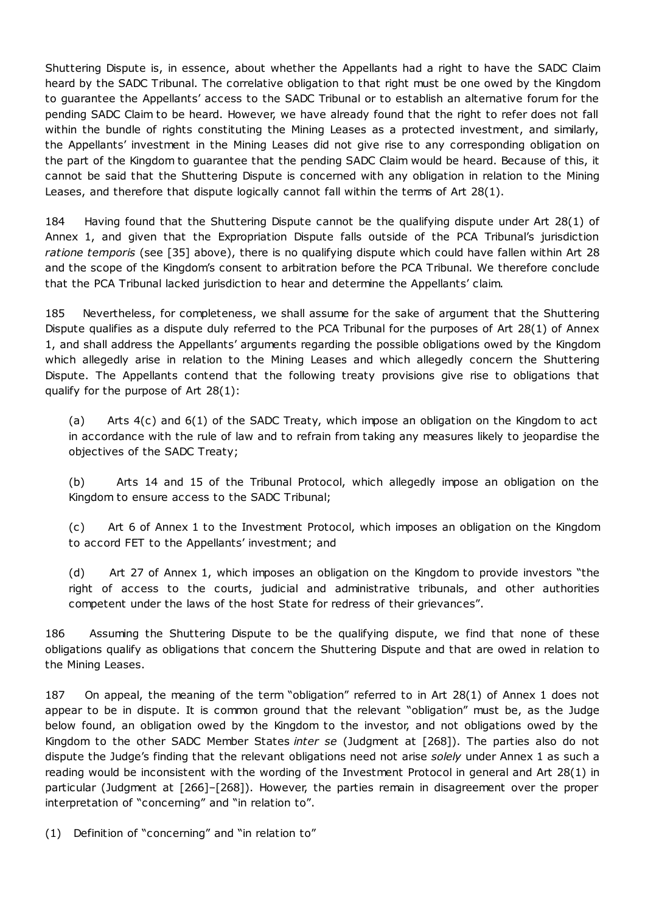Shuttering Dispute is, in essence, about whether the Appellants had a right to have the SADC Claim heard by the SADC Tribunal. The correlative obligation to that right must be one owed by the Kingdom to guarantee the Appellants' access to the SADC Tribunal or to establish an alternative forum for the pending SADC Claim to be heard. However, we have already found that the right to refer does not fall within the bundle of rights constituting the Mining Leases as a protected investment, and similarly, the Appellants' investment in the Mining Leases did not give rise to any corresponding obligation on the part of the Kingdom to guarantee that the pending SADC Claim would be heard. Because of this, it cannot be said that the Shuttering Dispute is concerned with any obligation in relation to the Mining Leases, and therefore that dispute logically cannot fall within the terms of Art 28(1).

184 Having found that the Shuttering Dispute cannot be the qualifying dispute under Art 28(1) of Annex 1, and given that the Expropriation Dispute falls outside of the PCA Tribunal's jurisdiction *ratione temporis* (see [35] above), there is no qualifying dispute which could have fallen within Art 28 and the scope of the Kingdom's consent to arbitration before the PCA Tribunal. We therefore conclude that the PCA Tribunal lacked jurisdiction to hear and determine the Appellants' claim.

185 Nevertheless, for completeness, we shall assume for the sake of argument that the Shuttering Dispute qualifies as a dispute duly referred to the PCA Tribunal for the purposes of Art 28(1) of Annex 1, and shall address the Appellants' arguments regarding the possible obligations owed by the Kingdom which allegedly arise in relation to the Mining Leases and which allegedly concern the Shuttering Dispute. The Appellants contend that the following treaty provisions give rise to obligations that qualify for the purpose of Art 28(1):

(a) Arts 4(c) and 6(1) of the SADC Treaty, which impose an obligation on the Kingdom to act in accordance with the rule of law and to refrain from taking any measures likely to jeopardise the objectives of the SADC Treaty;

(b) Arts 14 and 15 of the Tribunal Protocol, which allegedly impose an obligation on the Kingdom to ensure access to the SADC Tribunal;

(c) Art 6 of Annex 1 to the Investment Protocol, which imposes an obligation on the Kingdom to accord FET to the Appellants' investment; and

(d) Art 27 of Annex 1, which imposes an obligation on the Kingdom to provide investors "the right of access to the courts, judicial and administrative tribunals, and other authorities competent under the laws of the host State for redress of their grievances".

186 Assuming the Shuttering Dispute to be the qualifying dispute, we find that none of these obligations qualify as obligations that concern the Shuttering Dispute and that are owed in relation to the Mining Leases.

187 On appeal, the meaning of the term "obligation" referred to in Art 28(1) of Annex 1 does not appear to be in dispute. It is common ground that the relevant "obligation" must be, as the Judge below found, an obligation owed by the Kingdom to the investor, and not obligations owed by the Kingdom to the other SADC Member States *inter se* (Judgment at [268]). The parties also do not dispute the Judge's finding that the relevant obligations need not arise *solely* under Annex 1 as such a reading would be inconsistent with the wording of the Investment Protocol in general and Art 28(1) in particular (Judgment at [266]–[268]). However, the parties remain in disagreement over the proper interpretation of "concerning" and "in relation to".

(1) Definition of "concerning" and "in relation to"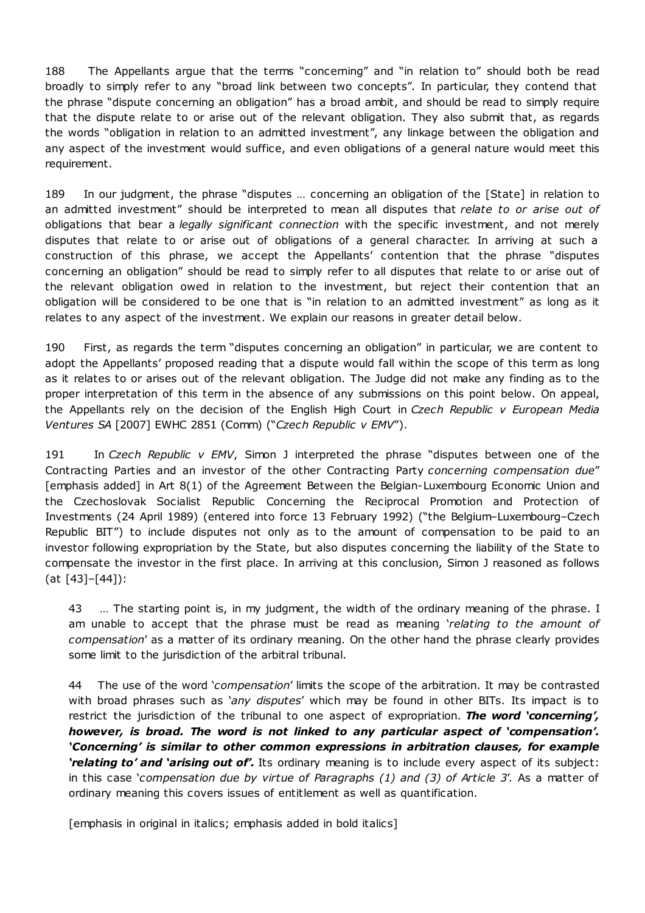188 The Appellants argue that the terms "concerning" and "in relation to" should both be read broadly to simply refer to any "broad link between two concepts". In particular, they contend that the phrase "dispute concerning an obligation" has a broad ambit, and should be read to simply require that the dispute relate to or arise out of the relevant obligation. They also submit that, as regards the words "obligation in relation to an admitted investment", any linkage between the obligation and any aspect of the investment would suffice, and even obligations of a general nature would meet this requirement.

189 In our judgment, the phrase "disputes … concerning an obligation of the [State] in relation to an admitted investment" should be interpreted to mean all disputes that *relate to or arise out of* obligations that bear a *legally significant connection* with the specific investment, and not merely disputes that relate to or arise out of obligations of a general character. In arriving at such a construction of this phrase, we accept the Appellants' contention that the phrase "disputes concerning an obligation" should be read to simply refer to all disputes that relate to or arise out of the relevant obligation owed in relation to the investment, but reject their contention that an obligation will be considered to be one that is "in relation to an admitted investment" as long as it relates to any aspect of the investment. We explain our reasons in greater detail below.

190 First, as regards the term "disputes concerning an obligation" in particular, we are content to adopt the Appellants' proposed reading that a dispute would fall within the scope of this term as long as it relates to or arises out of the relevant obligation. The Judge did not make any finding as to the proper interpretation of this term in the absence of any submissions on this point below. On appeal, the Appellants rely on the decision of the English High Court in *Czech Republic v European Media Ventures SA* [2007] EWHC 2851 (Comm) ("*Czech Republic v EMV*").

191 In *Czech Republic v EMV*, Simon J interpreted the phrase "disputes between one of the Contracting Parties and an investor of the other Contracting Party *concerning compensation due*" [emphasis added] in Art 8(1) of the Agreement Between the Belgian-Luxembourg Economic Union and the Czechoslovak Socialist Republic Concerning the Reciprocal Promotion and Protection of Investments (24 April 1989) (entered into force 13 February 1992) ("the Belgium–Luxembourg–Czech Republic BIT") to include disputes not only as to the amount of compensation to be paid to an investor following expropriation by the State, but also disputes concerning the liability of the State to compensate the investor in the first place. In arriving at this conclusion, Simon J reasoned as follows (at [43]–[44]):

43 … The starting point is, in my judgment, the width of the ordinary meaning of the phrase. I am unable to accept that the phrase must be read as meaning '*relating to the amount of compensation*' as a matter of its ordinary meaning. On the other hand the phrase clearly provides some limit to the jurisdiction of the arbitral tribunal.

44 The use of the word '*compensation*' limits the scope of the arbitration. It may be contrasted with broad phrases such as '*any disputes*' which may be found in other BITs. Its impact is to restrict the jurisdiction of the tribunal to one aspect of expropriation. *The word 'concerning', however, is broad. The word is not linked to any particular aspect of 'compensation'. 'Concerning' is similar to other common expressions in arbitration clauses, for example 'relating to' and 'arising out of'.* Its ordinary meaning is to include every aspect of its subject: in this case '*compensation due by virtue of Paragraphs (1) and (3) of Article 3*'. As a matter of ordinary meaning this covers issues of entitlement as well as quantification.

[emphasis in original in italics; emphasis added in bold italics]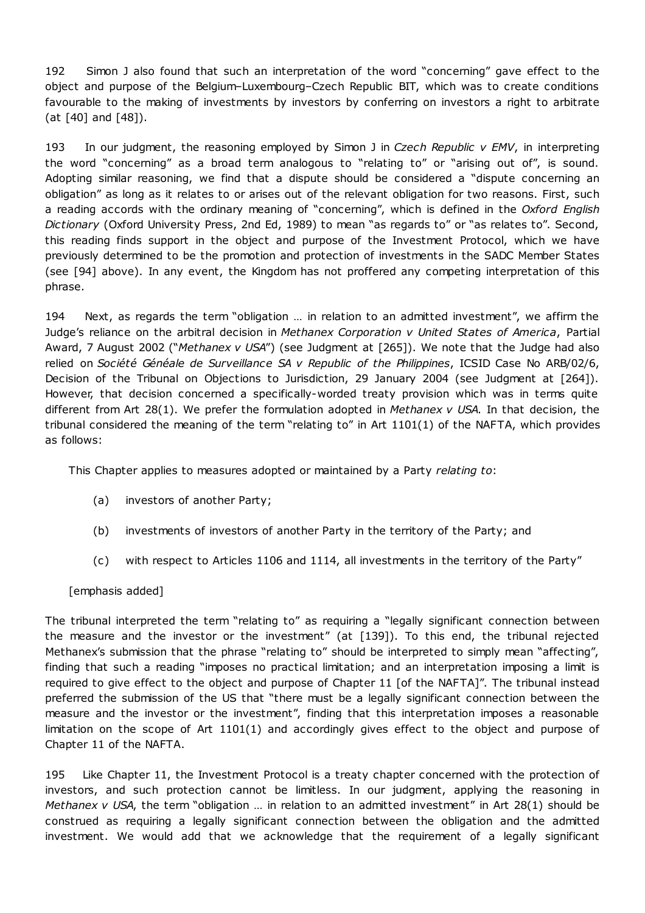192 Simon J also found that such an interpretation of the word "concerning" gave effect to the object and purpose of the Belgium–Luxembourg–Czech Republic BIT, which was to create conditions favourable to the making of investments by investors by conferring on investors a right to arbitrate (at [40] and [48]).

193 In our judgment, the reasoning employed by Simon J in *Czech Republic v EMV*, in interpreting the word "concerning" as a broad term analogous to "relating to" or "arising out of", is sound. Adopting similar reasoning, we find that a dispute should be considered a "dispute concerning an obligation" as long as it relates to or arises out of the relevant obligation for two reasons. First, such a reading accords with the ordinary meaning of "concerning", which is defined in the *Oxford English Dictionary* (Oxford University Press, 2nd Ed, 1989) to mean "as regards to" or "as relates to". Second, this reading finds support in the object and purpose of the Investment Protocol, which we have previously determined to be the promotion and protection of investments in the SADC Member States (see [94] above). In any event, the Kingdom has not proffered any competing interpretation of this phrase.

194 Next, as regards the term "obligation … in relation to an admitted investment", we affirm the Judge's reliance on the arbitral decision in *Methanex Corporation v United States of America*, Partial Award, 7 August 2002 ("*Methanex v USA*") (see Judgment at [265]). We note that the Judge had also relied on *Société Généale de Surveillance SA v Republic of the Philippines*, ICSID Case No ARB/02/6, Decision of the Tribunal on Objections to Jurisdiction, 29 January 2004 (see Judgment at [264]). However, that decision concerned a specifically-worded treaty provision which was in terms quite different from Art 28(1). We prefer the formulation adopted in *Methanex v USA*. In that decision, the tribunal considered the meaning of the term "relating to" in Art 1101(1) of the NAFTA, which provides as follows:

This Chapter applies to measures adopted or maintained by a Party *relating to*:

- (a) investors of another Party;
- (b) investments of investors of another Party in the territory of the Party; and
- (c) with respect to Articles 1106 and 1114, all investments in the territory of the Party"

[emphasis added]

The tribunal interpreted the term "relating to" as requiring a "legally significant connection between the measure and the investor or the investment" (at [139]). To this end, the tribunal rejected Methanex's submission that the phrase "relating to" should be interpreted to simply mean "affecting", finding that such a reading "imposes no practical limitation; and an interpretation imposing a limit is required to give effect to the object and purpose of Chapter 11 [of the NAFTA]". The tribunal instead preferred the submission of the US that "there must be a legally significant connection between the measure and the investor or the investment", finding that this interpretation imposes a reasonable limitation on the scope of Art 1101(1) and accordingly gives effect to the object and purpose of Chapter 11 of the NAFTA.

195 Like Chapter 11, the Investment Protocol is a treaty chapter concerned with the protection of investors, and such protection cannot be limitless. In our judgment, applying the reasoning in *Methanex v USA*, the term "obligation … in relation to an admitted investment" in Art 28(1) should be construed as requiring a legally significant connection between the obligation and the admitted investment. We would add that we acknowledge that the requirement of a legally significant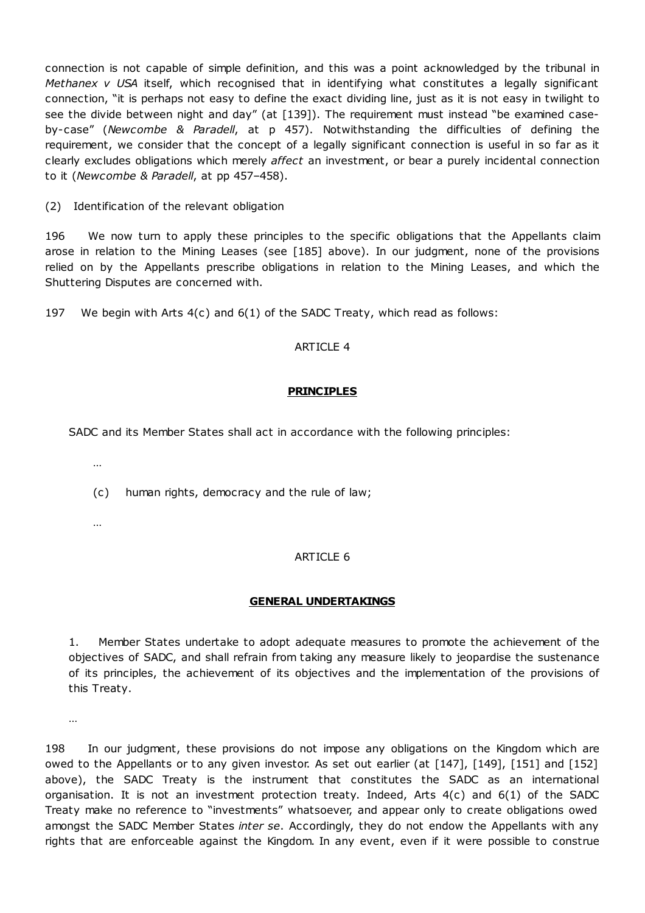connection is not capable of simple definition, and this was a point acknowledged by the tribunal in *Methanex v USA* itself, which recognised that in identifying what constitutes a legally significant connection, "it is perhaps not easy to define the exact dividing line, just as it is not easy in twilight to see the divide between night and day" (at [139]). The requirement must instead "be examined caseby-case" (*Newcombe & Paradell*, at p 457). Notwithstanding the difficulties of defining the requirement, we consider that the concept of a legally significant connection is useful in so far as it clearly excludes obligations which merely *affect* an investment, or bear a purely incidental connection to it (*Newcombe & Paradell*, at pp 457–458).

(2) Identification of the relevant obligation

196 We now turn to apply these principles to the specific obligations that the Appellants claim arose in relation to the Mining Leases (see [185] above). In our judgment, none of the provisions relied on by the Appellants prescribe obligations in relation to the Mining Leases, and which the Shuttering Disputes are concerned with.

197 We begin with Arts 4(c) and 6(1) of the SADC Treaty, which read as follows:

### ARTICLE 4

### **PRINCIPLES**

SADC and its Member States shall act in accordance with the following principles:

…

(c) human rights, democracy and the rule of law;

…

# ARTICLE 6

### **GENERAL UNDERTAKINGS**

1. Member States undertake to adopt adequate measures to promote the achievement of the objectives of SADC, and shall refrain from taking any measure likely to jeopardise the sustenance of its principles, the achievement of its objectives and the implementation of the provisions of this Treaty.

…

198 In our judgment, these provisions do not impose any obligations on the Kingdom which are owed to the Appellants or to any given investor. As set out earlier (at [147], [149], [151] and [152] above), the SADC Treaty is the instrument that constitutes the SADC as an international organisation. It is not an investment protection treaty. Indeed, Arts 4(c) and 6(1) of the SADC Treaty make no reference to "investments" whatsoever, and appear only to create obligations owed amongst the SADC Member States *inter se*. Accordingly, they do not endow the Appellants with any rights that are enforceable against the Kingdom. In any event, even if it were possible to construe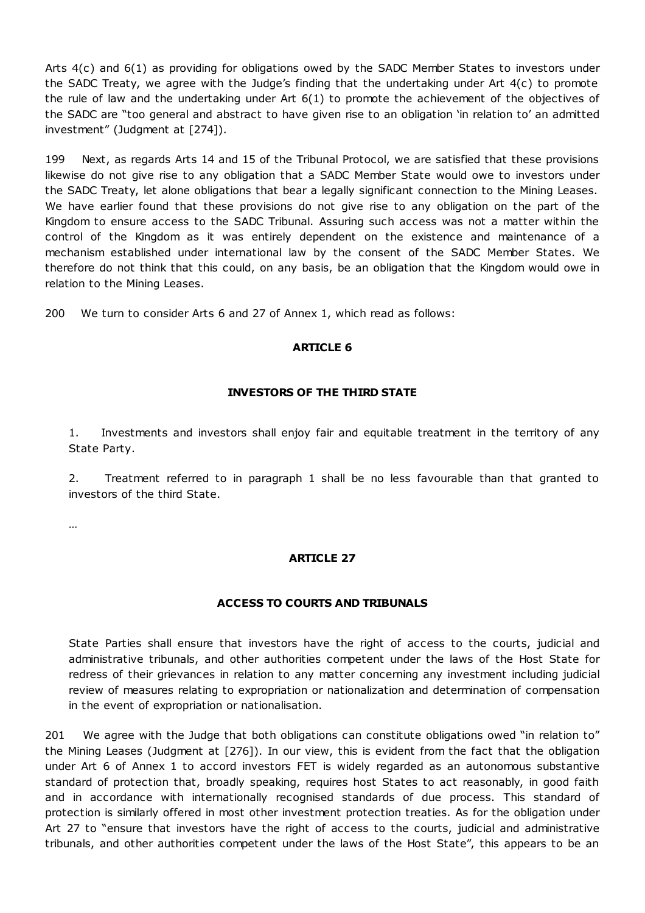Arts 4(c) and 6(1) as providing for obligations owed by the SADC Member States to investors under the SADC Treaty, we agree with the Judge's finding that the undertaking under Art 4(c) to promote the rule of law and the undertaking under Art 6(1) to promote the achievement of the objectives of the SADC are "too general and abstract to have given rise to an obligation 'in relation to' an admitted investment" (Judgment at [274]).

199 Next, as regards Arts 14 and 15 of the Tribunal Protocol, we are satisfied that these provisions likewise do not give rise to any obligation that a SADC Member State would owe to investors under the SADC Treaty, let alone obligations that bear a legally significant connection to the Mining Leases. We have earlier found that these provisions do not give rise to any obligation on the part of the Kingdom to ensure access to the SADC Tribunal. Assuring such access was not a matter within the control of the Kingdom as it was entirely dependent on the existence and maintenance of a mechanism established under international law by the consent of the SADC Member States. We therefore do not think that this could, on any basis, be an obligation that the Kingdom would owe in relation to the Mining Leases.

200 We turn to consider Arts 6 and 27 of Annex 1, which read as follows:

### **ARTICLE 6**

# **INVESTORS OF THE THIRD STATE**

1. Investments and investors shall enjoy fair and equitable treatment in the territory of any State Party.

2. Treatment referred to in paragraph 1 shall be no less favourable than that granted to investors of the third State.

…

# **ARTICLE 27**

### **ACCESS TO COURTS AND TRIBUNALS**

State Parties shall ensure that investors have the right of access to the courts, judicial and administrative tribunals, and other authorities competent under the laws of the Host State for redress of their grievances in relation to any matter concerning any investment including judicial review of measures relating to expropriation or nationalization and determination of compensation in the event of expropriation or nationalisation.

201 We agree with the Judge that both obligations can constitute obligations owed "in relation to" the Mining Leases (Judgment at [276]). In our view, this is evident from the fact that the obligation under Art 6 of Annex 1 to accord investors FET is widely regarded as an autonomous substantive standard of protection that, broadly speaking, requires host States to act reasonably, in good faith and in accordance with internationally recognised standards of due process. This standard of protection is similarly offered in most other investment protection treaties. As for the obligation under Art 27 to "ensure that investors have the right of access to the courts, judicial and administrative tribunals, and other authorities competent under the laws of the Host State", this appears to be an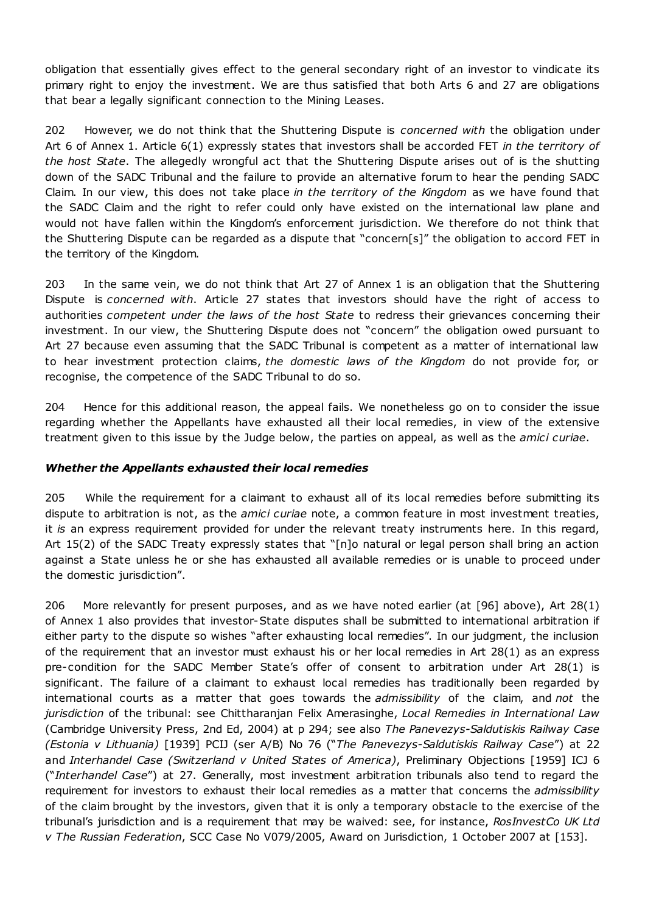obligation that essentially gives effect to the general secondary right of an investor to vindicate its primary right to enjoy the investment. We are thus satisfied that both Arts 6 and 27 are obligations that bear a legally significant connection to the Mining Leases.

202 However, we do not think that the Shuttering Dispute is *concerned with* the obligation under Art 6 of Annex 1. Article 6(1) expressly states that investors shall be accorded FET *in the territory of the host State*. The allegedly wrongful act that the Shuttering Dispute arises out of is the shutting down of the SADC Tribunal and the failure to provide an alternative forum to hear the pending SADC Claim. In our view, this does not take place *in the territory of the Kingdom* as we have found that the SADC Claim and the right to refer could only have existed on the international law plane and would not have fallen within the Kingdom's enforcement jurisdiction. We therefore do not think that the Shuttering Dispute can be regarded as a dispute that "concern[s]" the obligation to accord FET in the territory of the Kingdom.

203 In the same vein, we do not think that Art 27 of Annex 1 is an obligation that the Shuttering Dispute is *concerned with*. Article 27 states that investors should have the right of access to authorities *competent under the laws of the host State* to redress their grievances concerning their investment. In our view, the Shuttering Dispute does not "concern" the obligation owed pursuant to Art 27 because even assuming that the SADC Tribunal is competent as a matter of international law to hear investment protection claims, *the domestic laws of the Kingdom* do not provide for, or recognise, the competence of the SADC Tribunal to do so.

204 Hence for this additional reason, the appeal fails. We nonetheless go on to consider the issue regarding whether the Appellants have exhausted all their local remedies, in view of the extensive treatment given to this issue by the Judge below, the parties on appeal, as well as the *amici curiae*.

### *Whether the Appellants exhausted their local remedies*

205 While the requirement for a claimant to exhaust all of its local remedies before submitting its dispute to arbitration is not, as the *amici curiae* note, a common feature in most investment treaties, it *is* an express requirement provided for under the relevant treaty instruments here. In this regard, Art 15(2) of the SADC Treaty expressly states that "[n]o natural or legal person shall bring an action against a State unless he or she has exhausted all available remedies or is unable to proceed under the domestic jurisdiction".

206 More relevantly for present purposes, and as we have noted earlier (at [96] above), Art 28(1) of Annex 1 also provides that investor-State disputes shall be submitted to international arbitration if either party to the dispute so wishes "after exhausting local remedies". In our judgment, the inclusion of the requirement that an investor must exhaust his or her local remedies in Art 28(1) as an express pre-condition for the SADC Member State's offer of consent to arbitration under Art 28(1) is significant. The failure of a claimant to exhaust local remedies has traditionally been regarded by international courts as a matter that goes towards the *admissibility* of the claim, and *not* the *jurisdiction* of the tribunal: see Chittharanjan Felix Amerasinghe, *Local Remedies in International Law* (Cambridge University Press, 2nd Ed, 2004) at p 294; see also *The Panevezys-Saldutiskis Railway Case (Estonia v Lithuania)* [1939] PCIJ (ser A/B) No 76 ("*The Panevezys-Saldutiskis Railway Case*") at 22 and *Interhandel Case (Switzerland v United States of America)*, Preliminary Objections [1959] ICJ 6 ("*Interhandel Case*") at 27. Generally, most investment arbitration tribunals also tend to regard the requirement for investors to exhaust their local remedies as a matter that concerns the *admissibility* of the claim brought by the investors, given that it is only a temporary obstacle to the exercise of the tribunal's jurisdiction and is a requirement that may be waived: see, for instance, *RosInvestCo UK Ltd v The Russian Federation*, SCC Case No V079/2005, Award on Jurisdiction, 1 October 2007 at [153].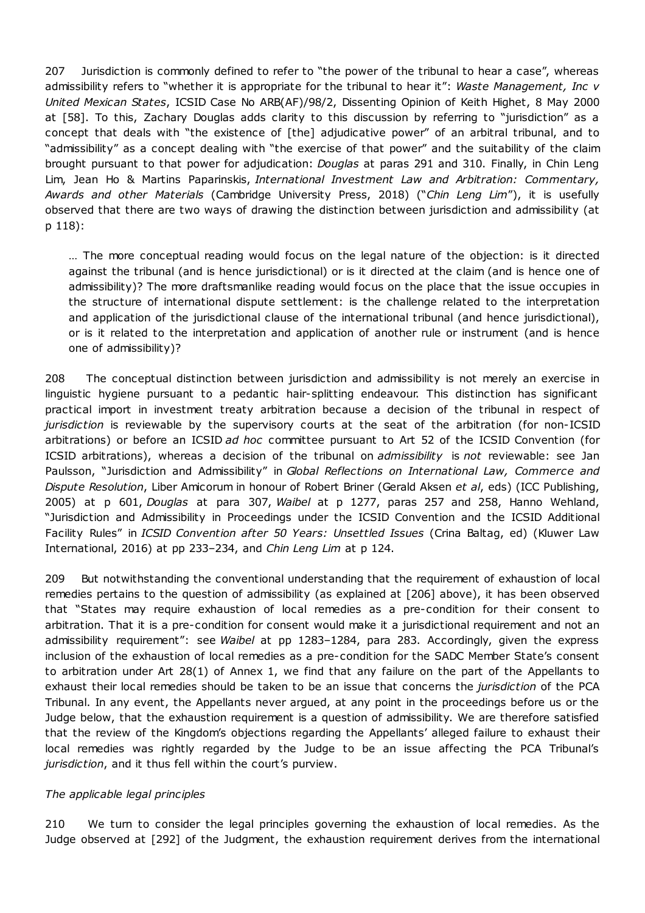207 Jurisdiction is commonly defined to refer to "the power of the tribunal to hear a case", whereas admissibility refers to "whether it is appropriate for the tribunal to hear it": *Waste Management, Inc v United Mexican States*, ICSID Case No ARB(AF)/98/2, Dissenting Opinion of Keith Highet, 8 May 2000 at [58]. To this, Zachary Douglas adds clarity to this discussion by referring to "jurisdiction" as a concept that deals with "the existence of [the] adjudicative power" of an arbitral tribunal, and to "admissibility" as a concept dealing with "the exercise of that power" and the suitability of the claim brought pursuant to that power for adjudication: *Douglas* at paras 291 and 310. Finally, in Chin Leng Lim, Jean Ho & Martins Paparinskis, *International Investment Law and Arbitration: Commentary, Awards and other Materials* (Cambridge University Press, 2018) ("*Chin Leng Lim*"), it is usefully observed that there are two ways of drawing the distinction between jurisdiction and admissibility (at p 118):

… The more conceptual reading would focus on the legal nature of the objection: is it directed against the tribunal (and is hence jurisdictional) or is it directed at the claim (and is hence one of admissibility)? The more draftsmanlike reading would focus on the place that the issue occupies in the structure of international dispute settlement: is the challenge related to the interpretation and application of the jurisdictional clause of the international tribunal (and hence jurisdictional), or is it related to the interpretation and application of another rule or instrument (and is hence one of admissibility)?

208 The conceptual distinction between jurisdiction and admissibility is not merely an exercise in linguistic hygiene pursuant to a pedantic hair-splitting endeavour. This distinction has significant practical import in investment treaty arbitration because a decision of the tribunal in respect of *jurisdiction* is reviewable by the supervisory courts at the seat of the arbitration (for non-ICSID arbitrations) or before an ICSID *ad hoc* committee pursuant to Art 52 of the ICSID Convention (for ICSID arbitrations), whereas a decision of the tribunal on *admissibility* is *not* reviewable: see Jan Paulsson, "Jurisdiction and Admissibility" in *Global Reflections on International Law, Commerce and Dispute Resolution*, Liber Amicorum in honour of Robert Briner (Gerald Aksen *et al*, eds) (ICC Publishing, 2005) at p 601, *Douglas* at para 307, *Waibel* at p 1277, paras 257 and 258, Hanno Wehland, "Jurisdiction and Admissibility in Proceedings under the ICSID Convention and the ICSID Additional Facility Rules" in *ICSID Convention after 50 Years: Unsettled Issues* (Crina Baltag, ed) (Kluwer Law International, 2016) at pp 233–234, and *Chin Leng Lim* at p 124.

209 But notwithstanding the conventional understanding that the requirement of exhaustion of local remedies pertains to the question of admissibility (as explained at [206] above), it has been observed that "States may require exhaustion of local remedies as a pre-condition for their consent to arbitration. That it is a pre-condition for consent would make it a jurisdictional requirement and not an admissibility requirement": see *Waibel* at pp 1283–1284, para 283. Accordingly, given the express inclusion of the exhaustion of local remedies as a pre-condition for the SADC Member State's consent to arbitration under Art 28(1) of Annex 1, we find that any failure on the part of the Appellants to exhaust their local remedies should be taken to be an issue that concerns the *jurisdiction* of the PCA Tribunal. In any event, the Appellants never argued, at any point in the proceedings before us or the Judge below, that the exhaustion requirement is a question of admissibility. We are therefore satisfied that the review of the Kingdom's objections regarding the Appellants' alleged failure to exhaust their local remedies was rightly regarded by the Judge to be an issue affecting the PCA Tribunal's *jurisdiction*, and it thus fell within the court's purview.

### *The applicable legal principles*

210 We turn to consider the legal principles governing the exhaustion of local remedies. As the Judge observed at [292] of the Judgment, the exhaustion requirement derives from the international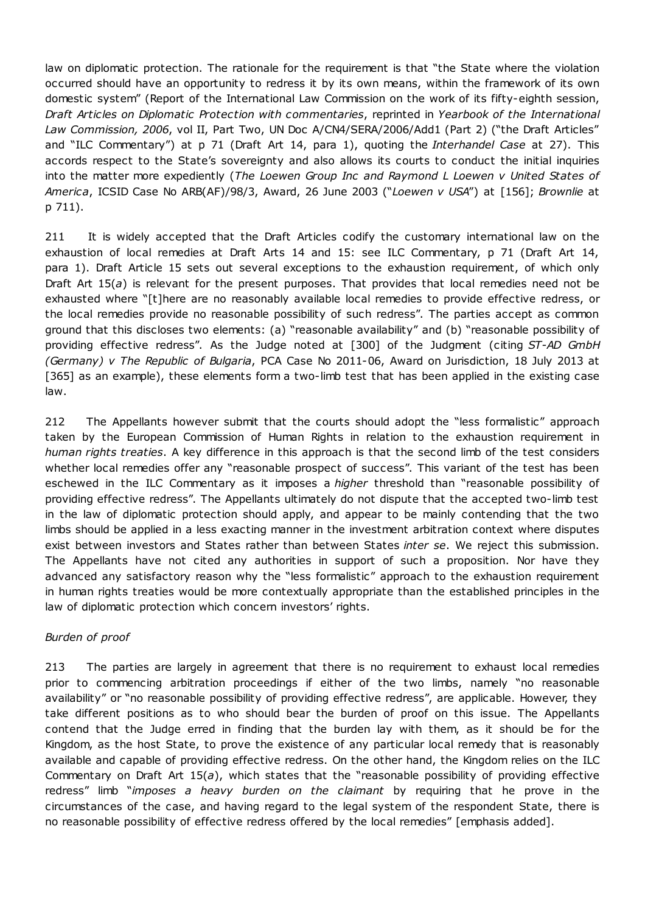law on diplomatic protection. The rationale for the requirement is that "the State where the violation occurred should have an opportunity to redress it by its own means, within the framework of its own domestic system" (Report of the International Law Commission on the work of its fifty-eighth session, *Draft Articles on Diplomatic Protection with commentaries*, reprinted in *Yearbook of the International Law Commission, 2006*, vol II, Part Two, UN Doc A/CN4/SERA/2006/Add1 (Part 2) ("the Draft Articles" and "ILC Commentary") at p 71 (Draft Art 14, para 1), quoting the *Interhandel Case* at 27). This accords respect to the State's sovereignty and also allows its courts to conduct the initial inquiries into the matter more expediently (*The Loewen Group Inc and Raymond L Loewen v United States of America*, ICSID Case No ARB(AF)/98/3, Award, 26 June 2003 ("*Loewen v USA*") at [156]; *Brownlie* at p 711).

211 It is widely accepted that the Draft Articles codify the customary international law on the exhaustion of local remedies at Draft Arts 14 and 15: see ILC Commentary, p 71 (Draft Art 14, para 1). Draft Article 15 sets out several exceptions to the exhaustion requirement, of which only Draft Art 15(*a*) is relevant for the present purposes. That provides that local remedies need not be exhausted where "[t]here are no reasonably available local remedies to provide effective redress, or the local remedies provide no reasonable possibility of such redress". The parties accept as common ground that this discloses two elements: (a) "reasonable availability" and (b) "reasonable possibility of providing effective redress". As the Judge noted at [300] of the Judgment (citing *ST-AD GmbH (Germany) v The Republic of Bulgaria*, PCA Case No 2011-06, Award on Jurisdiction, 18 July 2013 at [365] as an example), these elements form a two-limb test that has been applied in the existing case law.

212 The Appellants however submit that the courts should adopt the "less formalistic" approach taken by the European Commission of Human Rights in relation to the exhaustion requirement in *human rights treaties*. A key difference in this approach is that the second limb of the test considers whether local remedies offer any "reasonable prospect of success". This variant of the test has been eschewed in the ILC Commentary as it imposes a *higher* threshold than "reasonable possibility of providing effective redress". The Appellants ultimately do not dispute that the accepted two-limb test in the law of diplomatic protection should apply, and appear to be mainly contending that the two limbs should be applied in a less exacting manner in the investment arbitration context where disputes exist between investors and States rather than between States *inter se*. We reject this submission. The Appellants have not cited any authorities in support of such a proposition. Nor have they advanced any satisfactory reason why the "less formalistic" approach to the exhaustion requirement in human rights treaties would be more contextually appropriate than the established principles in the law of diplomatic protection which concern investors' rights.

# *Burden of proof*

213 The parties are largely in agreement that there is no requirement to exhaust local remedies prior to commencing arbitration proceedings if either of the two limbs, namely "no reasonable availability" or "no reasonable possibility of providing effective redress", are applicable. However, they take different positions as to who should bear the burden of proof on this issue. The Appellants contend that the Judge erred in finding that the burden lay with them, as it should be for the Kingdom, as the host State, to prove the existence of any particular local remedy that is reasonably available and capable of providing effective redress. On the other hand, the Kingdom relies on the ILC Commentary on Draft Art 15(*a*), which states that the "reasonable possibility of providing effective redress" limb "*imposes a heavy burden on the claimant* by requiring that he prove in the circumstances of the case, and having regard to the legal system of the respondent State, there is no reasonable possibility of effective redress offered by the local remedies" [emphasis added].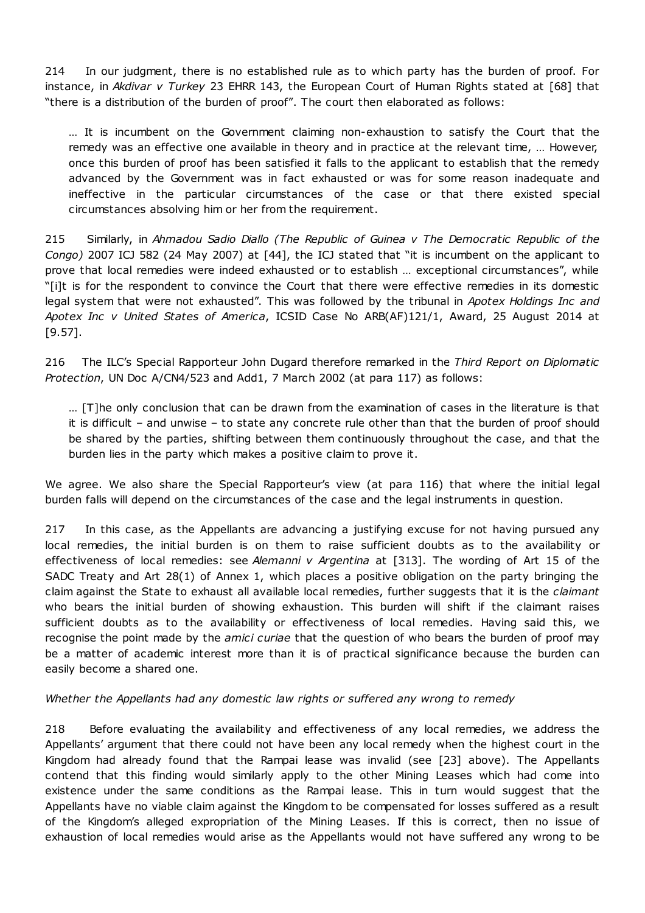214 In our judgment, there is no established rule as to which party has the burden of proof. For instance, in *Akdivar v Turkey* 23 EHRR 143, the European Court of Human Rights stated at [68] that "there is a distribution of the burden of proof". The court then elaborated as follows:

… It is incumbent on the Government claiming non-exhaustion to satisfy the Court that the remedy was an effective one available in theory and in practice at the relevant time, … However, once this burden of proof has been satisfied it falls to the applicant to establish that the remedy advanced by the Government was in fact exhausted or was for some reason inadequate and ineffective in the particular circumstances of the case or that there existed special circumstances absolving him or her from the requirement.

215 Similarly, in *Ahmadou Sadio Diallo (The Republic of Guinea v The Democratic Republic of the Congo)* 2007 ICJ 582 (24 May 2007) at [44], the ICJ stated that "it is incumbent on the applicant to prove that local remedies were indeed exhausted or to establish … exceptional circumstances", while "[i]t is for the respondent to convince the Court that there were effective remedies in its domestic legal system that were not exhausted". This was followed by the tribunal in *Apotex Holdings Inc and Apotex Inc v United States of America*, ICSID Case No ARB(AF)121/1, Award, 25 August 2014 at [9.57].

216 The ILC's Special Rapporteur John Dugard therefore remarked in the *Third Report on Diplomatic Protection*, UN Doc A/CN4/523 and Add1, 7 March 2002 (at para 117) as follows:

… [T]he only conclusion that can be drawn from the examination of cases in the literature is that it is difficult – and unwise – to state any concrete rule other than that the burden of proof should be shared by the parties, shifting between them continuously throughout the case, and that the burden lies in the party which makes a positive claim to prove it.

We agree. We also share the Special Rapporteur's view (at para 116) that where the initial legal burden falls will depend on the circumstances of the case and the legal instruments in question.

217 In this case, as the Appellants are advancing a justifying excuse for not having pursued any local remedies, the initial burden is on them to raise sufficient doubts as to the availability or effectiveness of local remedies: see *Alemanni v Argentina* at [313]. The wording of Art 15 of the SADC Treaty and Art 28(1) of Annex 1, which places a positive obligation on the party bringing the claim against the State to exhaust all available local remedies, further suggests that it is the *claimant* who bears the initial burden of showing exhaustion. This burden will shift if the claimant raises sufficient doubts as to the availability or effectiveness of local remedies. Having said this, we recognise the point made by the *amici curiae* that the question of who bears the burden of proof may be a matter of academic interest more than it is of practical significance because the burden can easily become a shared one.

### *Whether the Appellants had any domestic law rights or suffered any wrong to remedy*

218 Before evaluating the availability and effectiveness of any local remedies, we address the Appellants' argument that there could not have been any local remedy when the highest court in the Kingdom had already found that the Rampai lease was invalid (see [23] above). The Appellants contend that this finding would similarly apply to the other Mining Leases which had come into existence under the same conditions as the Rampai lease. This in turn would suggest that the Appellants have no viable claim against the Kingdom to be compensated for losses suffered as a result of the Kingdom's alleged expropriation of the Mining Leases. If this is correct, then no issue of exhaustion of local remedies would arise as the Appellants would not have suffered any wrong to be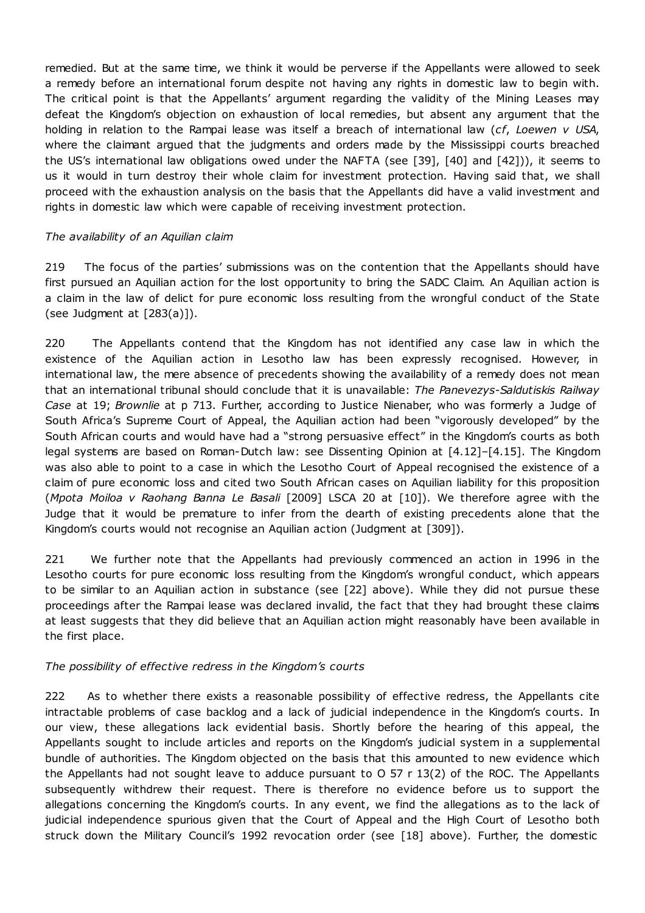remedied. But at the same time, we think it would be perverse if the Appellants were allowed to seek a remedy before an international forum despite not having any rights in domestic law to begin with. The critical point is that the Appellants' argument regarding the validity of the Mining Leases may defeat the Kingdom's objection on exhaustion of local remedies, but absent any argument that the holding in relation to the Rampai lease was itself a breach of international law (*cf*, *Loewen v USA*, where the claimant argued that the judgments and orders made by the Mississippi courts breached the US's international law obligations owed under the NAFTA (see [39], [40] and [42])), it seems to us it would in turn destroy their whole claim for investment protection. Having said that, we shall proceed with the exhaustion analysis on the basis that the Appellants did have a valid investment and rights in domestic law which were capable of receiving investment protection.

### *The availability of an Aquilian claim*

219 The focus of the parties' submissions was on the contention that the Appellants should have first pursued an Aquilian action for the lost opportunity to bring the SADC Claim. An Aquilian action is a claim in the law of delict for pure economic loss resulting from the wrongful conduct of the State (see Judgment at [283(a)]).

220 The Appellants contend that the Kingdom has not identified any case law in which the existence of the Aquilian action in Lesotho law has been expressly recognised. However, in international law, the mere absence of precedents showing the availability of a remedy does not mean that an international tribunal should conclude that it is unavailable: *The Panevezys-Saldutiskis Railway Case* at 19; *Brownlie* at p 713. Further, according to Justice Nienaber, who was formerly a Judge of South Africa's Supreme Court of Appeal, the Aquilian action had been "vigorously developed" by the South African courts and would have had a "strong persuasive effect" in the Kingdom's courts as both legal systems are based on Roman-Dutch law: see Dissenting Opinion at [4.12]–[4.15]. The Kingdom was also able to point to a case in which the Lesotho Court of Appeal recognised the existence of a claim of pure economic loss and cited two South African cases on Aquilian liability for this proposition (*Mpota Moiloa v Raohang Banna Le Basali* [2009] LSCA 20 at [10]). We therefore agree with the Judge that it would be premature to infer from the dearth of existing precedents alone that the Kingdom's courts would not recognise an Aquilian action (Judgment at [309]).

221 We further note that the Appellants had previously commenced an action in 1996 in the Lesotho courts for pure economic loss resulting from the Kingdom's wrongful conduct, which appears to be similar to an Aquilian action in substance (see [22] above). While they did not pursue these proceedings after the Rampai lease was declared invalid, the fact that they had brought these claims at least suggests that they did believe that an Aquilian action might reasonably have been available in the first place.

# *The possibility of effective redress in the Kingdom's courts*

222 As to whether there exists a reasonable possibility of effective redress, the Appellants cite intractable problems of case backlog and a lack of judicial independence in the Kingdom's courts. In our view, these allegations lack evidential basis. Shortly before the hearing of this appeal, the Appellants sought to include articles and reports on the Kingdom's judicial system in a supplemental bundle of authorities. The Kingdom objected on the basis that this amounted to new evidence which the Appellants had not sought leave to adduce pursuant to O 57 r 13(2) of the ROC. The Appellants subsequently withdrew their request. There is therefore no evidence before us to support the allegations concerning the Kingdom's courts. In any event, we find the allegations as to the lack of judicial independence spurious given that the Court of Appeal and the High Court of Lesotho both struck down the Military Council's 1992 revocation order (see [18] above). Further, the domestic